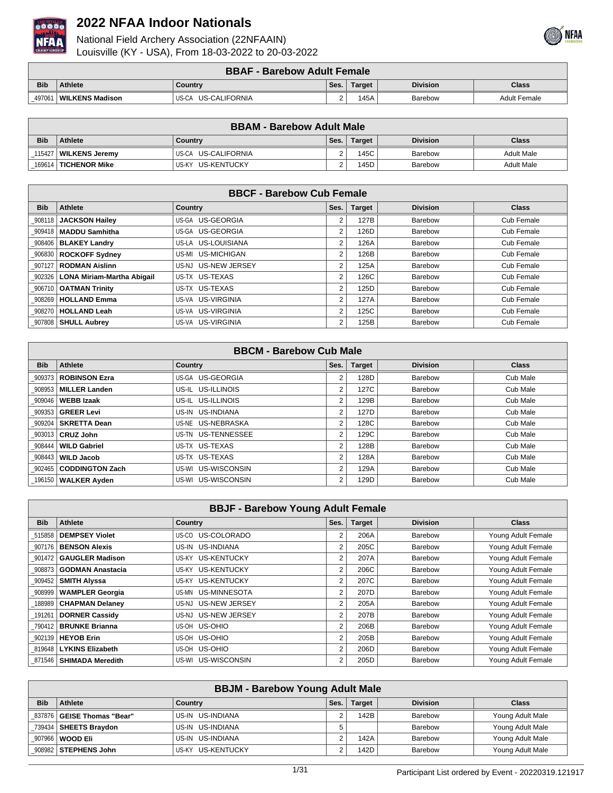



|            | <b>BBAF - Barebow Adult Female</b>                               |                        |   |      |         |                     |  |  |
|------------|------------------------------------------------------------------|------------------------|---|------|---------|---------------------|--|--|
| <b>Bib</b> | Ses.<br><b>Division</b><br>Athlete<br>Class<br>Country<br>Target |                        |   |      |         |                     |  |  |
| 497061     | WILKENS Madison_                                                 | US-CALIFORNIA<br>US-CA | ∼ | 145A | Barebow | <b>Adult Female</b> |  |  |

| <b>BBAM - Barebow Adult Male</b> |                        |                      |      |               |                 |                   |  |
|----------------------------------|------------------------|----------------------|------|---------------|-----------------|-------------------|--|
| <b>Bib</b>                       | Athlete                | Country              | Ses. | <b>Target</b> | <b>Division</b> | <b>Class</b>      |  |
| 115427                           | <b>WILKENS Jeremy</b>  | US-CA US-CALIFORNIA  |      | 145C          | Barebow         | <b>Adult Male</b> |  |
|                                  | 169614   TICHENOR Mike | US-KY<br>US-KENTUCKY |      | 145D          | Barebow         | <b>Adult Male</b> |  |

|            | <b>BBCF - Barebow Cub Female</b>    |                     |      |               |                 |              |  |  |  |
|------------|-------------------------------------|---------------------|------|---------------|-----------------|--------------|--|--|--|
| <b>Bib</b> | Athlete                             | Country             | Ses. | <b>Target</b> | <b>Division</b> | <b>Class</b> |  |  |  |
| 908118     | <b>JACKSON Hailey</b>               | US-GA US-GEORGIA    | 2    | 127B          | Barebow         | Cub Female   |  |  |  |
|            | 909418   MADDU Samhitha             | US-GA US-GEORGIA    | 2    | 126D          | Barebow         | Cub Female   |  |  |  |
|            | 908406   BLAKEY Landry              | US-LA US-LOUISIANA  | 2    | 126A          | Barebow         | Cub Female   |  |  |  |
|            | 906830   ROCKOFF Sydney             | US-MI US-MICHIGAN   | 2    | 126B          | Barebow         | Cub Female   |  |  |  |
|            | 907127   RODMAN Aislinn             | US-NJ US-NEW JERSEY | 2    | 125A          | Barebow         | Cub Female   |  |  |  |
|            | 902326   LONA Miriam-Martha Abigail | US-TX US-TEXAS      | 2    | 126C          | Barebow         | Cub Female   |  |  |  |
|            | 906710   OATMAN Trinity             | US-TX US-TEXAS      | 2    | 125D          | Barebow         | Cub Female   |  |  |  |
| 908269     | <b>HOLLAND Emma</b>                 | US-VA US-VIRGINIA   | 2    | 127A          | Barebow         | Cub Female   |  |  |  |
|            | 908270   HOLLAND Leah               | US-VA US-VIRGINIA   | 2    | 125C          | Barebow         | Cub Female   |  |  |  |
|            | _907808 <b>SHULL Aubrey_</b>        | US-VA US-VIRGINIA   | 2    | 125B          | Barebow         | Cub Female   |  |  |  |

|            | <b>BBCM - Barebow Cub Male</b> |                    |                |               |                 |              |  |  |  |
|------------|--------------------------------|--------------------|----------------|---------------|-----------------|--------------|--|--|--|
| <b>Bib</b> | Athlete                        | <b>Country</b>     | Ses.           | <b>Target</b> | <b>Division</b> | <b>Class</b> |  |  |  |
| 909373 I   | <b>ROBINSON Ezra</b>           | US-GA US-GEORGIA   | 2              | 128D          | Barebow         | Cub Male     |  |  |  |
|            | 908953   MILLER Landen         | US-IL US-ILLINOIS  | 2              | 127C          | Barebow         | Cub Male     |  |  |  |
| 909046     | <b>WEBB Izaak</b>              | US-IL US-ILLINOIS  | 2              | 129B          | Barebow         | Cub Male     |  |  |  |
| 909353     | <b>GREER Levi</b>              | US-IN US-INDIANA   | 2              | 127D          | Barebow         | Cub Male     |  |  |  |
| 909204     | <b>SKRETTA Dean</b>            | US-NE US-NEBRASKA  | 2              | 128C          | Barebow         | Cub Male     |  |  |  |
|            | 903013   CRUZ John             | US-TN US-TENNESSEE | 2              | 129C          | Barebow         | Cub Male     |  |  |  |
| 908444 I   | <b>WILD Gabriel</b>            | US-TX US-TEXAS     | $\overline{2}$ | 128B          | Barebow         | Cub Male     |  |  |  |
| 908443     | <b>WILD Jacob</b>              | US-TX US-TEXAS     | 2              | 128A          | Barebow         | Cub Male     |  |  |  |
|            | 902465   CODDINGTON Zach       | US-WI US-WISCONSIN | $\overline{2}$ | 129A          | Barebow         | Cub Male     |  |  |  |
|            | _196150   WALKER Ayden         | US-WI US-WISCONSIN | 2              | 129D          | Barebow         | Cub Male     |  |  |  |

| <b>BBJF - Barebow Young Adult Female</b> |                           |                     |      |               |                 |                    |  |  |
|------------------------------------------|---------------------------|---------------------|------|---------------|-----------------|--------------------|--|--|
| <b>Bib</b>                               | Athlete                   | <b>Country</b>      | Ses. | <b>Target</b> | <b>Division</b> | <b>Class</b>       |  |  |
| 515858                                   | <b>DEMPSEY Violet</b>     | US-CO US-COLORADO   |      | 206A          | Barebow         | Young Adult Female |  |  |
| 907176                                   | <b>BENSON Alexis</b>      | US-IN US-INDIANA    | c    | 205C          | Barebow         | Young Adult Female |  |  |
| 901472                                   | <b>GAUGLER Madison</b>    | US-KY US-KENTUCKY   | 2    | 207A          | Barebow         | Young Adult Female |  |  |
| 908873                                   | <b>GODMAN Anastacia</b>   | US-KY US-KENTUCKY   | 2    | 206C          | Barebow         | Young Adult Female |  |  |
| 909452                                   | <b>SMITH Alyssa</b>       | US-KY US-KENTUCKY   | 2    | 207C          | Barebow         | Young Adult Female |  |  |
| 908999                                   | <b>WAMPLER Georgia</b>    | US-MN US-MINNESOTA  | 2    | 207D          | Barebow         | Young Adult Female |  |  |
| 188989                                   | <b>CHAPMAN Delaney</b>    | US-NJ US-NEW JERSEY | 2    | 205A          | Barebow         | Young Adult Female |  |  |
| 191261                                   | <b>DORNER Cassidy</b>     | US-NJ US-NEW JERSEY | 2    | 207B          | Barebow         | Young Adult Female |  |  |
| 790412                                   | <b>BRUNKE Brianna</b>     | US-OH US-OHIO       | 2    | 206B          | Barebow         | Young Adult Female |  |  |
|                                          | 902139   HEYOB Erin       | US-OH US-OHIO       | 2    | 205B          | Barebow         | Young Adult Female |  |  |
|                                          | 819648   LYKINS Elizabeth | US-OH US-OHIO       | 2    | 206D          | Barebow         | Young Adult Female |  |  |
|                                          | 871546   SHIMADA Meredith | US-WI US-WISCONSIN  | 2    | 205D          | Barebow         | Young Adult Female |  |  |

|            | <b>BBJM - Barebow Young Adult Male</b> |                   |      |               |                 |                  |  |  |  |
|------------|----------------------------------------|-------------------|------|---------------|-----------------|------------------|--|--|--|
| <b>Bib</b> | Athlete                                | Country           | Ses. | <b>Target</b> | <b>Division</b> | <b>Class</b>     |  |  |  |
|            | 837876 GEISE Thomas "Bear"             | US-IN US-INDIANA  |      | 142B          | Barebow         | Young Adult Male |  |  |  |
|            | 739434   SHEETS Bravdon                | US-IN US-INDIANA  |      |               | Barebow         | Young Adult Male |  |  |  |
|            | 907966   WOOD Eli                      | US-IN US-INDIANA  |      | 142A          | Barebow         | Young Adult Male |  |  |  |
|            | 908982   STEPHENS John                 | US-KY US-KENTUCKY |      | 142D          | Barebow         | Young Adult Male |  |  |  |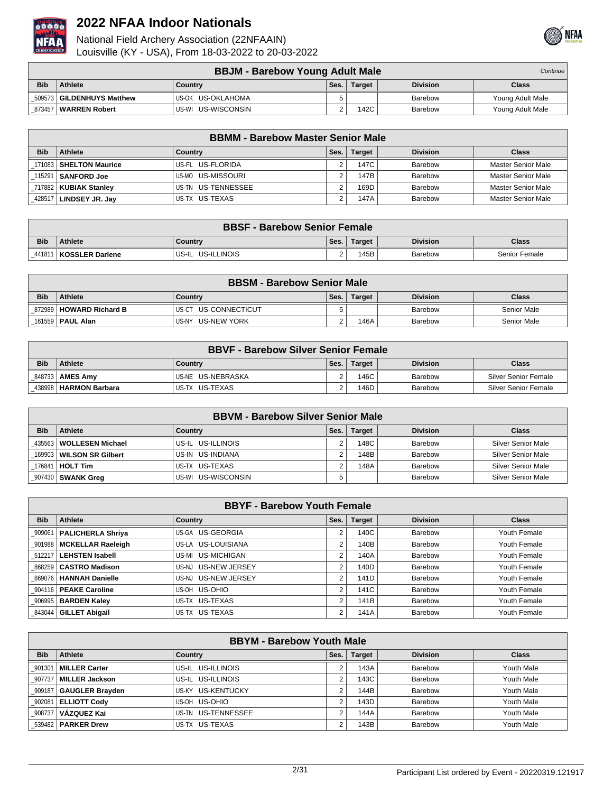



|            | <b>BBJM - Barebow Young Adult Male</b><br>Continue |                    |      |               |                 |                  |  |  |
|------------|----------------------------------------------------|--------------------|------|---------------|-----------------|------------------|--|--|
| <b>Bib</b> | Athlete                                            | Country            | Ses. | <b>Target</b> | <b>Division</b> | <b>Class</b>     |  |  |
| 509573     | GILDENHUYS Matthew                                 | US-OK US-OKLAHOMA  |      |               | Barebow         | Young Adult Male |  |  |
| 873457     | WARREN Robert                                      | US-WI US-WISCONSIN | -    | 142C          | Barebow         | Young Adult Male |  |  |

|            | <b>BBMM - Barebow Master Senior Male</b> |                    |      |               |                 |                           |  |  |  |
|------------|------------------------------------------|--------------------|------|---------------|-----------------|---------------------------|--|--|--|
| <b>Bib</b> | Athlete                                  | Country            | Ses. | <b>Target</b> | <b>Division</b> | <b>Class</b>              |  |  |  |
|            | 171083 SHELTON Maurice                   | US-FL US-FLORIDA   |      | 147C          | Barebow         | Master Senior Male        |  |  |  |
|            | 115291   <b>SANFORD Joe</b>              | US-MO US-MISSOURI  |      | 147B          | Barebow         | <b>Master Senior Male</b> |  |  |  |
|            | 717882   KUBIAK Stanlev                  | US-TN US-TENNESSEE |      | 169D          | Barebow         | <b>Master Senior Male</b> |  |  |  |
| 428517     | /   LINDSEY JR. Jay                      | US-TX US-TEXAS     |      | 147A          | Barebow         | Master Senior Male        |  |  |  |

|            | <b>BBSF - Barebow Senior Female</b>                                     |                      |  |      |         |               |  |  |
|------------|-------------------------------------------------------------------------|----------------------|--|------|---------|---------------|--|--|
| <b>Bib</b> | <b>Athlete</b><br><b>Division</b><br>Ses.<br>Class<br>Country<br>Target |                      |  |      |         |               |  |  |
| 441811     | ∣ KOSSLER Darlene                                                       | US-ILLINOIS<br>US-IL |  | 145B | Barebow | Senior Female |  |  |

| <b>BBSM - Barebow Senior Male</b> |                                         |                       |      |               |                 |             |  |
|-----------------------------------|-----------------------------------------|-----------------------|------|---------------|-----------------|-------------|--|
| <b>Bib</b>                        | <b>Athlete</b>                          | Country               | Ses. | <b>Target</b> | <b>Division</b> | Class       |  |
|                                   | 872989   HOWARD Richard B               | IUS-CT US-CONNECTICUT | 5    |               | Barebow         | Senior Male |  |
|                                   | <sup>1</sup> _161559   <b>PAUL Alan</b> | US-NY<br>US-NEW YORK  |      | 146A          | Barebow         | Senior Male |  |

|            | <b>BBVF - Barebow Silver Senior Female</b> |                    |      |        |                 |                      |  |  |
|------------|--------------------------------------------|--------------------|------|--------|-----------------|----------------------|--|--|
| <b>Bib</b> | Athlete                                    | Country            | Ses. | Target | <b>Division</b> | <b>Class</b>         |  |  |
|            | 848733   AMES Amv                          | IUS-NE US-NEBRASKA |      | 146C   | Barebow         | Silver Senior Female |  |  |
|            | 438998   HARMON Barbara                    | IUS-TX US-TEXAS    |      | 146D   | Barebow         | Silver Senior Female |  |  |

|            | <b>BBVM - Barebow Silver Senior Male</b> |                    |      |               |                 |                           |  |  |  |
|------------|------------------------------------------|--------------------|------|---------------|-----------------|---------------------------|--|--|--|
| <b>Bib</b> | Athlete                                  | Country            | Ses. | <b>Target</b> | <b>Division</b> | <b>Class</b>              |  |  |  |
|            | 435563   WOLLESEN Michael                | US-IL US-ILLINOIS  |      | 148C          | Barebow         | <b>Silver Senior Male</b> |  |  |  |
|            | 169903   WILSON SR Gilbert               | US-IN US-INDIANA   |      | 148B          | Barebow         | Silver Senior Male        |  |  |  |
|            | 176841   <b>HOLT Tim</b>                 | US-TX US-TEXAS     |      | 148A          | Barebow         | <b>Silver Senior Male</b> |  |  |  |
|            | _907430 <b>  SWANK Greg</b>              | US-WI US-WISCONSIN |      |               | Barebow         | Silver Senior Male        |  |  |  |

| <b>BBYF - Barebow Youth Female</b> |                            |                     |            |               |                 |              |  |
|------------------------------------|----------------------------|---------------------|------------|---------------|-----------------|--------------|--|
| <b>Bib</b>                         | Athlete                    | Country             | Ses.       | <b>Target</b> | <b>Division</b> | <b>Class</b> |  |
|                                    | 909061   PALICHERLA Shriya | US-GA US-GEORGIA    |            | 140C          | Barebow         | Youth Female |  |
|                                    | 901988   MCKELLAR Raeleigh | US-LA US-LOUISIANA  | $\sqrt{2}$ | 140B          | Barebow         | Youth Female |  |
|                                    | 512217   LEHSTEN Isabell   | US-MI US-MICHIGAN   |            | 140A          | Barebow         | Youth Female |  |
|                                    | 868259   CASTRO Madison    | US-NJ US-NEW JERSEY |            | 140D          | Barebow         | Youth Female |  |
|                                    | 869076   HANNAH Danielle   | US-NJ US-NEW JERSEY |            | 141D          | Barebow         | Youth Female |  |
|                                    | 904116   PEAKE Caroline    | US-OH US-OHIO       | $\sim$     | 141C          | Barebow         | Youth Female |  |
|                                    | 906995   BARDEN Kaley      | US-TX US-TEXAS      | $\sim$     | 141B          | Barebow         | Youth Female |  |
|                                    | 843044   GILLET Abigail    | US-TX US-TEXAS      |            | 141A          | Barebow         | Youth Female |  |

| <b>BBYM - Barebow Youth Male</b> |                                                                                |                    |  |      |         |            |  |  |  |
|----------------------------------|--------------------------------------------------------------------------------|--------------------|--|------|---------|------------|--|--|--|
| <b>Bib</b>                       | <b>Target</b><br><b>Division</b><br>Athlete<br>Ses.<br>Country<br><b>Class</b> |                    |  |      |         |            |  |  |  |
|                                  | 901301   MILLER Carter                                                         | US-IL US-ILLINOIS  |  | 143A | Barebow | Youth Male |  |  |  |
|                                  | 907737   MILLER Jackson                                                        | US-IL US-ILLINOIS  |  | 143C | Barebow | Youth Male |  |  |  |
|                                  | 909187   GAUGLER Brayden                                                       | US-KY US-KENTUCKY  |  | 144B | Barebow | Youth Male |  |  |  |
|                                  | 902081   ELLIOTT Cody                                                          | US-OH US-OHIO      |  | 143D | Barebow | Youth Male |  |  |  |
|                                  | 908737   VÁZQUEZ Kai                                                           | US-TN US-TENNESSEE |  | 144A | Barebow | Youth Male |  |  |  |
|                                  | 539482   PARKER Drew                                                           | US-TX US-TEXAS     |  | 143B | Barebow | Youth Male |  |  |  |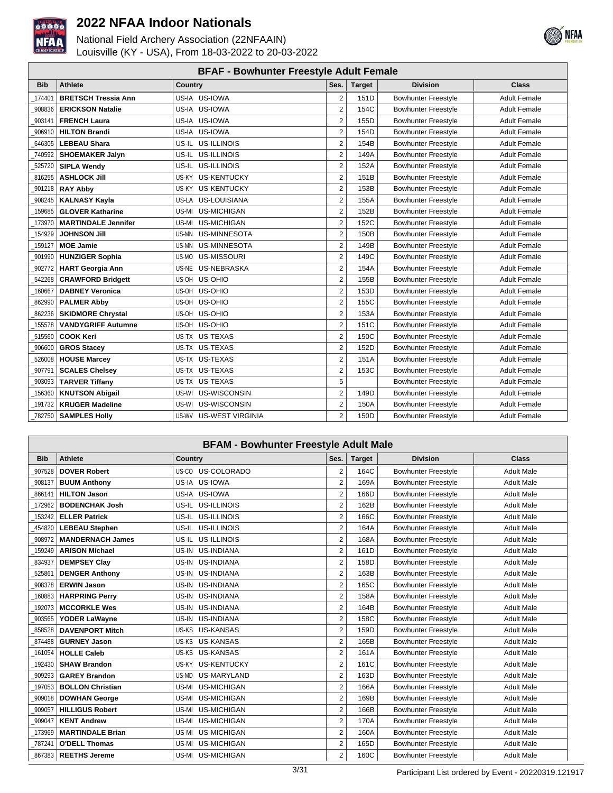



| <b>Bib</b> | <b>Athlete</b>             |                               |                         |               | <b>BFAF - Bowhunter Freestyle Adult Female</b> |                     |  |  |  |  |  |  |  |
|------------|----------------------------|-------------------------------|-------------------------|---------------|------------------------------------------------|---------------------|--|--|--|--|--|--|--|
|            |                            | Country                       | Ses.                    | <b>Target</b> | <b>Division</b>                                | <b>Class</b>        |  |  |  |  |  |  |  |
| 174401     | <b>BRETSCH Tressia Ann</b> | US-IA US-IOWA                 | 2                       | 151D          | <b>Bowhunter Freestyle</b>                     | Adult Female        |  |  |  |  |  |  |  |
| 908836     | <b>ERICKSON Natalie</b>    | US-IA US-IOWA                 | $\overline{2}$          | 154C          | <b>Bowhunter Freestyle</b>                     | <b>Adult Female</b> |  |  |  |  |  |  |  |
| 903141     | <b>FRENCH Laura</b>        | US-IA US-IOWA                 | 2                       | 155D          | <b>Bowhunter Freestyle</b>                     | <b>Adult Female</b> |  |  |  |  |  |  |  |
| 906910     | <b>HILTON Brandi</b>       | US-IA US-IOWA                 | $\overline{2}$          | 154D          | <b>Bowhunter Freestyle</b>                     | <b>Adult Female</b> |  |  |  |  |  |  |  |
| 646305     | <b>LEBEAU Shara</b>        | US-IL US-ILLINOIS             | $\overline{2}$          | 154B          | <b>Bowhunter Freestyle</b>                     | <b>Adult Female</b> |  |  |  |  |  |  |  |
| 740592     | <b>SHOEMAKER Jalyn</b>     | US-IL US-ILLINOIS             | $\overline{2}$          | 149A          | <b>Bowhunter Freestyle</b>                     | <b>Adult Female</b> |  |  |  |  |  |  |  |
| 525720     | <b>SIPLA Wendy</b>         | US-IL US-ILLINOIS             | $\overline{2}$          | 152A          | <b>Bowhunter Freestyle</b>                     | <b>Adult Female</b> |  |  |  |  |  |  |  |
| 816255     | <b>ASHLOCK Jill</b>        | US-KY<br><b>US-KENTUCKY</b>   | $\overline{2}$          | 151B          | <b>Bowhunter Freestyle</b>                     | <b>Adult Female</b> |  |  |  |  |  |  |  |
| 901218     | <b>RAY Abby</b>            | US-KY US-KENTUCKY             | $\overline{\mathbf{c}}$ | 153B          | <b>Bowhunter Freestyle</b>                     | <b>Adult Female</b> |  |  |  |  |  |  |  |
| 908245     | <b>KALNASY Kayla</b>       | US-LA US-LOUISIANA            | $\overline{2}$          | 155A          | <b>Bowhunter Freestvle</b>                     | <b>Adult Female</b> |  |  |  |  |  |  |  |
| 159685     | <b>GLOVER Katharine</b>    | <b>US-MICHIGAN</b><br>US-MI   | $\overline{2}$          | 152B          | <b>Bowhunter Freestyle</b>                     | <b>Adult Female</b> |  |  |  |  |  |  |  |
| 173970     | <b>MARTINDALE Jennifer</b> | US-MI US-MICHIGAN             | $\overline{2}$          | 152C          | <b>Bowhunter Freestyle</b>                     | <b>Adult Female</b> |  |  |  |  |  |  |  |
| 154929     | <b>JOHNSON JIII</b>        | <b>US-MINNESOTA</b><br>US-MN  | $\overline{2}$          | 150B          | <b>Bowhunter Freestyle</b>                     | <b>Adult Female</b> |  |  |  |  |  |  |  |
| 159127     | <b>MOE Jamie</b>           | <b>US-MINNESOTA</b><br>US-MN  | $\overline{2}$          | 149B          | <b>Bowhunter Freestyle</b>                     | <b>Adult Female</b> |  |  |  |  |  |  |  |
| 901990     | <b>HUNZIGER Sophia</b>     | <b>US-MISSOURI</b><br>US-MO   | $\overline{2}$          | 149C          | <b>Bowhunter Freestyle</b>                     | <b>Adult Female</b> |  |  |  |  |  |  |  |
| 902772     | <b>HART Georgia Ann</b>    | US-NE US-NEBRASKA             | $\overline{2}$          | 154A          | <b>Bowhunter Freestyle</b>                     | <b>Adult Female</b> |  |  |  |  |  |  |  |
| 542268     | <b>CRAWFORD Bridgett</b>   | US-OH US-OHIO                 | $\overline{2}$          | 155B          | <b>Bowhunter Freestyle</b>                     | <b>Adult Female</b> |  |  |  |  |  |  |  |
| 160667     | <b>DABNEY Veronica</b>     | US-OH US-OHIO                 | $\overline{2}$          | 153D          | <b>Bowhunter Freestyle</b>                     | <b>Adult Female</b> |  |  |  |  |  |  |  |
| 862990     | <b>PALMER Abby</b>         | US-OH US-OHIO                 | $\overline{2}$          | 155C          | <b>Bowhunter Freestvle</b>                     | <b>Adult Female</b> |  |  |  |  |  |  |  |
| 862236     | <b>SKIDMORE Chrystal</b>   | US-OH US-OHIO                 | $\overline{2}$          | 153A          | <b>Bowhunter Freestyle</b>                     | <b>Adult Female</b> |  |  |  |  |  |  |  |
| 155578     | <b>VANDYGRIFF Autumne</b>  | US-OH US-OHIO                 | 2                       | 151C          | <b>Bowhunter Freestyle</b>                     | <b>Adult Female</b> |  |  |  |  |  |  |  |
| 515560     | <b>COOK Keri</b>           | US-TX US-TEXAS                | $\overline{2}$          | 150C          | <b>Bowhunter Freestyle</b>                     | Adult Female        |  |  |  |  |  |  |  |
| 906600     | <b>GROS Stacey</b>         | US-TX US-TEXAS                | $\overline{2}$          | 152D          | <b>Bowhunter Freestyle</b>                     | <b>Adult Female</b> |  |  |  |  |  |  |  |
| 526008     | <b>HOUSE Marcey</b>        | US-TX US-TEXAS                | $\overline{2}$          | 151A          | <b>Bowhunter Freestyle</b>                     | <b>Adult Female</b> |  |  |  |  |  |  |  |
| 907791     | <b>SCALES Chelsey</b>      | US-TX US-TEXAS                | $\overline{2}$          | 153C          | <b>Bowhunter Freestyle</b>                     | <b>Adult Female</b> |  |  |  |  |  |  |  |
| 903093     | <b>TARVER Tiffany</b>      | US-TX US-TEXAS                | 5                       |               | <b>Bowhunter Freestyle</b>                     | <b>Adult Female</b> |  |  |  |  |  |  |  |
| 156360     | <b>KNUTSON Abigail</b>     | US-WI US-WISCONSIN            | $\overline{2}$          | 149D          | <b>Bowhunter Freestyle</b>                     | <b>Adult Female</b> |  |  |  |  |  |  |  |
| 191732     | <b>KRUGER Madeline</b>     | US-WI US-WISCONSIN            | $\overline{2}$          | 150A          | <b>Bowhunter Freestyle</b>                     | <b>Adult Female</b> |  |  |  |  |  |  |  |
| 782750     | <b>SAMPLES Holly</b>       | <b>US-WV US-WEST VIRGINIA</b> | $\overline{2}$          | 150D          | <b>Bowhunter Freestyle</b>                     | <b>Adult Female</b> |  |  |  |  |  |  |  |

|            | <b>BFAM - Bowhunter Freestyle Adult Male</b> |                             |                |               |                            |                   |  |  |
|------------|----------------------------------------------|-----------------------------|----------------|---------------|----------------------------|-------------------|--|--|
| <b>Bib</b> | <b>Athlete</b>                               | Country                     | Ses.           | <b>Target</b> | <b>Division</b>            | <b>Class</b>      |  |  |
| 907528     | <b>DOVER Robert</b>                          | US-CO US-COLORADO           | 2              | 164C          | <b>Bowhunter Freestyle</b> | <b>Adult Male</b> |  |  |
| 908137     | <b>BUUM Anthony</b>                          | US-IA US-IOWA               | $\overline{2}$ | 169A          | <b>Bowhunter Freestyle</b> | <b>Adult Male</b> |  |  |
| 866141     | <b>HILTON Jason</b>                          | US-IA US-IOWA               | $\overline{2}$ | 166D          | <b>Bowhunter Freestyle</b> | <b>Adult Male</b> |  |  |
| 172962     | <b>BODENCHAK Josh</b>                        | US-IL US-ILLINOIS           | $\overline{2}$ | 162B          | <b>Bowhunter Freestyle</b> | <b>Adult Male</b> |  |  |
| 153242     | <b>ELLER Patrick</b>                         | US-IL US-ILLINOIS           | $\overline{2}$ | 166C          | <b>Bowhunter Freestyle</b> | <b>Adult Male</b> |  |  |
| 454820     | <b>LEBEAU Stephen</b>                        | US-IL US-ILLINOIS           | $\overline{2}$ | 164A          | <b>Bowhunter Freestyle</b> | <b>Adult Male</b> |  |  |
| 908972     | <b>MANDERNACH James</b>                      | US-IL US-ILLINOIS           | $\overline{2}$ | 168A          | <b>Bowhunter Freestyle</b> | <b>Adult Male</b> |  |  |
| 159249     | <b>ARISON Michael</b>                        | US-IN US-INDIANA            | $\overline{2}$ | 161D          | <b>Bowhunter Freestyle</b> | <b>Adult Male</b> |  |  |
| 834937     | <b>DEMPSEY Clay</b>                          | US-IN US-INDIANA            | $\overline{2}$ | 158D          | <b>Bowhunter Freestyle</b> | <b>Adult Male</b> |  |  |
| 525861     | <b>DENGER Anthony</b>                        | US-IN US-INDIANA            | $\overline{2}$ | 163B          | <b>Bowhunter Freestyle</b> | <b>Adult Male</b> |  |  |
| 908378     | <b>ERWIN Jason</b>                           | US-IN US-INDIANA            | $\overline{2}$ | 165C          | <b>Bowhunter Freestyle</b> | <b>Adult Male</b> |  |  |
| 160883     | <b>HARPRING Perry</b>                        | US-IN US-INDIANA            | $\overline{2}$ | 158A          | <b>Bowhunter Freestyle</b> | <b>Adult Male</b> |  |  |
| 192073     | <b>MCCORKLE Wes</b>                          | US-IN US-INDIANA            | $\overline{2}$ | 164B          | <b>Bowhunter Freestyle</b> | <b>Adult Male</b> |  |  |
| 903565     | YODER LaWayne                                | US-IN US-INDIANA            | $\overline{2}$ | 158C          | <b>Bowhunter Freestyle</b> | <b>Adult Male</b> |  |  |
| 858528     | <b>DAVENPORT Mitch</b>                       | US-KS US-KANSAS             | $\overline{2}$ | 159D          | <b>Bowhunter Freestyle</b> | <b>Adult Male</b> |  |  |
| 874488     | <b>GURNEY Jason</b>                          | US-KS US-KANSAS             | $\overline{2}$ | 165B          | <b>Bowhunter Freestyle</b> | <b>Adult Male</b> |  |  |
| 161054     | <b>HOLLE Caleb</b>                           | US-KS US-KANSAS             | $\overline{2}$ | 161A          | <b>Bowhunter Freestyle</b> | <b>Adult Male</b> |  |  |
| 192430     | <b>SHAW Brandon</b>                          | <b>US-KENTUCKY</b><br>US-KY | 2              | 161C          | <b>Bowhunter Freestyle</b> | <b>Adult Male</b> |  |  |
| 909293     | <b>GAREY Brandon</b>                         | US-MD US-MARYLAND           | $\overline{2}$ | 163D          | <b>Bowhunter Freestyle</b> | <b>Adult Male</b> |  |  |
| 197053     | <b>BOLLON Christian</b>                      | <b>US-MICHIGAN</b><br>US-MI | $\overline{2}$ | 166A          | <b>Bowhunter Freestyle</b> | <b>Adult Male</b> |  |  |
| 909018     | <b>DOWHAN George</b>                         | <b>US-MICHIGAN</b><br>US-MI | 2              | 169B          | <b>Bowhunter Freestyle</b> | <b>Adult Male</b> |  |  |
| 909057     | <b>HILLIGUS Robert</b>                       | US-MI US-MICHIGAN           | $\overline{2}$ | 166B          | <b>Bowhunter Freestyle</b> | <b>Adult Male</b> |  |  |
| 909047     | <b>KENT Andrew</b>                           | US-MI US-MICHIGAN           | $\overline{2}$ | 170A          | <b>Bowhunter Freestyle</b> | <b>Adult Male</b> |  |  |
| 173969     | <b>MARTINDALE Brian</b>                      | <b>US-MICHIGAN</b><br>US-MI | $\overline{2}$ | 160A          | <b>Bowhunter Freestyle</b> | <b>Adult Male</b> |  |  |
| 787241     | <b>O'DELL Thomas</b>                         | US-MI US-MICHIGAN           | $\overline{2}$ | 165D          | <b>Bowhunter Freestyle</b> | <b>Adult Male</b> |  |  |
| 867383     | <b>REETHS Jereme</b>                         | US-MI US-MICHIGAN           | $\overline{2}$ | 160C          | <b>Bowhunter Freestyle</b> | <b>Adult Male</b> |  |  |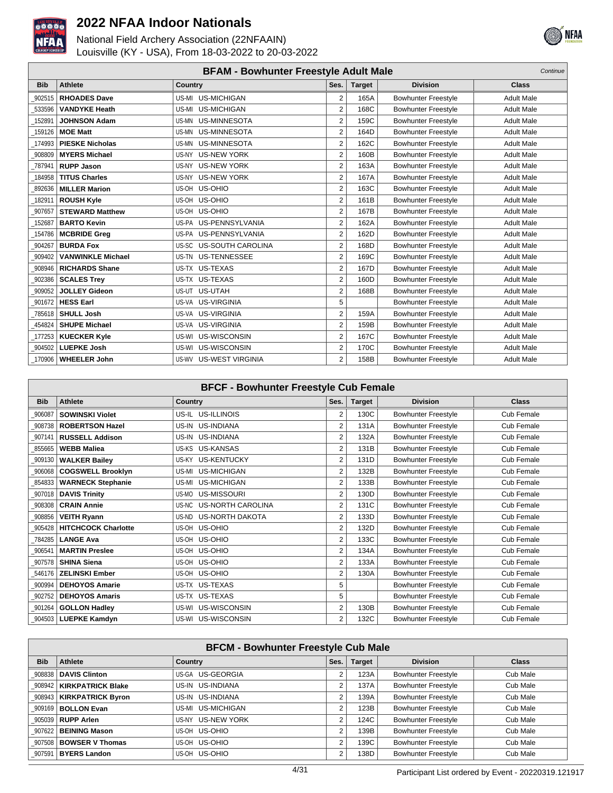



|            |                          | <b>BFAM - Bowhunter Freestyle Adult Male</b> |                |               |                            | Continue          |
|------------|--------------------------|----------------------------------------------|----------------|---------------|----------------------------|-------------------|
| <b>Bib</b> | <b>Athlete</b>           | Country                                      | Ses.           | <b>Target</b> | <b>Division</b>            | <b>Class</b>      |
| 902515     | <b>RHOADES Dave</b>      | US-MI US-MICHIGAN                            | 2              | 165A          | <b>Bowhunter Freestyle</b> | <b>Adult Male</b> |
| 533596     | <b>VANDYKE Heath</b>     | US-MI US-MICHIGAN                            | $\overline{2}$ | 168C          | <b>Bowhunter Freestyle</b> | <b>Adult Male</b> |
| 152891     | <b>JOHNSON Adam</b>      | US-MN US-MINNESOTA                           | 2              | 159C          | <b>Bowhunter Freestyle</b> | <b>Adult Male</b> |
| 159126     | <b>MOE Matt</b>          | US-MN US-MINNESOTA                           | $\overline{2}$ | 164D          | <b>Bowhunter Freestyle</b> | <b>Adult Male</b> |
| 174993     | <b>PIESKE Nicholas</b>   | US-MN US-MINNESOTA                           | $\overline{2}$ | 162C          | <b>Bowhunter Freestyle</b> | <b>Adult Male</b> |
| 908809     | <b>MYERS Michael</b>     | US-NY US-NEW YORK                            | $\overline{2}$ | 160B          | <b>Bowhunter Freestyle</b> | <b>Adult Male</b> |
| 787941     | <b>RUPP Jason</b>        | US-NY US-NEW YORK                            | 2              | 163A          | <b>Bowhunter Freestyle</b> | <b>Adult Male</b> |
| 184958     | <b>TITUS Charles</b>     | US-NY US-NEW YORK                            | $\overline{2}$ | 167A          | <b>Bowhunter Freestyle</b> | <b>Adult Male</b> |
| 892636     | <b>MILLER Marion</b>     | US-OH US-OHIO                                | $\overline{2}$ | 163C          | <b>Bowhunter Freestyle</b> | <b>Adult Male</b> |
| 182911     | <b>ROUSH Kyle</b>        | US-OH US-OHIO                                | $\overline{2}$ | 161B          | <b>Bowhunter Freestyle</b> | <b>Adult Male</b> |
| 907657     | <b>STEWARD Matthew</b>   | US-OH US-OHIO                                | $\overline{2}$ | 167B          | <b>Bowhunter Freestyle</b> | <b>Adult Male</b> |
| 152687     | <b>BARTO Kevin</b>       | US-PA US-PENNSYLVANIA                        | $\overline{2}$ | 162A          | <b>Bowhunter Freestyle</b> | <b>Adult Male</b> |
| 154786     | <b>MCBRIDE Greg</b>      | US-PA US-PENNSYLVANIA                        | $\overline{2}$ | 162D          | <b>Bowhunter Freestyle</b> | <b>Adult Male</b> |
| 904267     | <b>BURDA Fox</b>         | US-SC US-SOUTH CAROLINA                      | $\overline{2}$ | 168D          | <b>Bowhunter Freestyle</b> | <b>Adult Male</b> |
| 909402     | <b>VANWINKLE Michael</b> | US-TN US-TENNESSEE                           | $\overline{2}$ | 169C          | <b>Bowhunter Freestyle</b> | <b>Adult Male</b> |
| 908946     | <b>RICHARDS Shane</b>    | US-TX US-TEXAS                               | 2              | 167D          | <b>Bowhunter Freestyle</b> | <b>Adult Male</b> |
| 902386     | <b>SCALES Trev</b>       | US-TX US-TEXAS                               | $\overline{2}$ | 160D          | <b>Bowhunter Freestyle</b> | <b>Adult Male</b> |
| 909052     | <b>JOLLEY Gideon</b>     | US-UT US-UTAH                                | $\overline{2}$ | 168B          | <b>Bowhunter Freestvle</b> | <b>Adult Male</b> |
| 901672     | <b>HESS Earl</b>         | US-VA US-VIRGINIA                            | 5              |               | <b>Bowhunter Freestyle</b> | <b>Adult Male</b> |
| 785618     | <b>SHULL Josh</b>        | US-VA US-VIRGINIA                            | $\overline{2}$ | 159A          | <b>Bowhunter Freestyle</b> | <b>Adult Male</b> |
| 454824     | <b>SHUPE Michael</b>     | US-VA US-VIRGINIA                            | $\overline{2}$ | 159B          | <b>Bowhunter Freestyle</b> | <b>Adult Male</b> |
| 177253     | <b>KUECKER Kyle</b>      | US-WI US-WISCONSIN                           | $\overline{2}$ | 167C          | <b>Bowhunter Freestyle</b> | <b>Adult Male</b> |
| 904502     | <b>LUEPKE Josh</b>       | US-WI US-WISCONSIN                           | 2              | 170C          | <b>Bowhunter Freestyle</b> | <b>Adult Male</b> |
| 170906     | <b>WHEELER John</b>      | US-WV US-WEST VIRGINIA                       | $\overline{2}$ | 158B          | <b>Bowhunter Freestyle</b> | <b>Adult Male</b> |

| <b>BFCF - Bowhunter Freestyle Cub Female</b> |  |
|----------------------------------------------|--|
|----------------------------------------------|--|

| <b>Bib</b> | Athlete                    | <b>Country</b>          | Ses. | <b>Target</b> | <b>Division</b>            | <b>Class</b> |
|------------|----------------------------|-------------------------|------|---------------|----------------------------|--------------|
| 906087     | <b>SOWINSKI Violet</b>     | US-IL US-ILLINOIS       | 2    | 130C          | <b>Bowhunter Freestyle</b> | Cub Female   |
| 908738     | <b>ROBERTSON Hazel</b>     | US-IN US-INDIANA        | 2    | 131A          | <b>Bowhunter Freestyle</b> | Cub Female   |
| 907141     | <b>RUSSELL Addison</b>     | US-IN US-INDIANA        | 2    | 132A          | <b>Bowhunter Freestyle</b> | Cub Female   |
| 855665     | <b>WEBB Maliea</b>         | US-KS US-KANSAS         | 2    | 131B          | <b>Bowhunter Freestyle</b> | Cub Female   |
| 909130     | <b>WALKER Bailey</b>       | US-KY US-KENTUCKY       | 2    | 131D          | <b>Bowhunter Freestyle</b> | Cub Female   |
| 906068     | <b>COGSWELL Brooklyn</b>   | US-MI US-MICHIGAN       | 2    | 132B          | <b>Bowhunter Freestyle</b> | Cub Female   |
| 854833     | <b>WARNECK Stephanie</b>   | US-MI US-MICHIGAN       | 2    | 133B          | <b>Bowhunter Freestyle</b> | Cub Female   |
| 907018     | <b>DAVIS Trinity</b>       | US-MO US-MISSOURI       | 2    | 130D          | <b>Bowhunter Freestyle</b> | Cub Female   |
| 908308     | <b>CRAIN Annie</b>         | US-NC US-NORTH CAROLINA | 2    | 131C          | <b>Bowhunter Freestyle</b> | Cub Female   |
| 908856     | <b>VEITH Ryann</b>         | US-ND US-NORTH DAKOTA   | 2    | 133D          | <b>Bowhunter Freestyle</b> | Cub Female   |
| 905428     | <b>HITCHCOCK Charlotte</b> | US-OH US-OHIO           | 2    | 132D          | <b>Bowhunter Freestyle</b> | Cub Female   |
| 784285     | <b>LANGE Ava</b>           | US-OH US-OHIO           | 2    | 133C          | <b>Bowhunter Freestyle</b> | Cub Female   |
| 906541     | <b>MARTIN Preslee</b>      | US-OH US-OHIO           | 2    | 134A          | <b>Bowhunter Freestyle</b> | Cub Female   |
| 907578     | <b>SHINA Siena</b>         | US-OH US-OHIO           | 2    | 133A          | <b>Bowhunter Freestyle</b> | Cub Female   |
| 546176     | <b>ZELINSKI Ember</b>      | US-OH US-OHIO           | 2    | 130A          | <b>Bowhunter Freestyle</b> | Cub Female   |
| 900994     | <b>DEHOYOS Amarie</b>      | US-TX US-TEXAS          | 5    |               | <b>Bowhunter Freestyle</b> | Cub Female   |
| 902752     | <b>DEHOYOS Amaris</b>      | US-TX US-TEXAS          | 5    |               | <b>Bowhunter Freestyle</b> | Cub Female   |
| 901264     | <b>GOLLON Hadley</b>       | US-WI US-WISCONSIN      | 2    | 130B          | <b>Bowhunter Freestyle</b> | Cub Female   |
| 904503     | <b>LUEPKE Kamdvn</b>       | US-WI US-WISCONSIN      | 2    | 132C          | <b>Bowhunter Freestyle</b> | Cub Female   |

| <b>BFCM - Bowhunter Freestyle Cub Male</b> |                             |                   |        |               |                            |              |  |
|--------------------------------------------|-----------------------------|-------------------|--------|---------------|----------------------------|--------------|--|
| <b>Bib</b>                                 | Athlete                     | Country           | Ses.   | <b>Target</b> | <b>Division</b>            | <b>Class</b> |  |
|                                            | 908838   DAVIS Clinton      | US-GA US-GEORGIA  | ◠      | 123A          | <b>Bowhunter Freestyle</b> | Cub Male     |  |
|                                            | 908942   KIRKPATRICK Blake  | US-IN US-INDIANA  | 2      | 137A          | <b>Bowhunter Freestyle</b> | Cub Male     |  |
|                                            | 908943   KIRKPATRICK Byron  | US-IN US-INDIANA  | っ      | 139A          | <b>Bowhunter Freestyle</b> | Cub Male     |  |
|                                            | 909169   <b>BOLLON Evan</b> | US-MI US-MICHIGAN | 2      | 123B          | <b>Bowhunter Freestyle</b> | Cub Male     |  |
|                                            | 905039   RUPP Arlen         | US-NY US-NEW YORK | c      | 124C          | <b>Bowhunter Freestyle</b> | Cub Male     |  |
|                                            | 907622   BEINING Mason      | US-OH US-OHIO     | $\sim$ | 139B          | <b>Bowhunter Freestyle</b> | Cub Male     |  |
|                                            | 907508   BOWSER V Thomas    | US-OH US-OHIO     | $\sim$ | 139C          | <b>Bowhunter Freestyle</b> | Cub Male     |  |
| 907591                                     | <b>BYERS Landon</b>         | US-OH US-OHIO     | ◠      | 138D          | <b>Bowhunter Freestyle</b> | Cub Male     |  |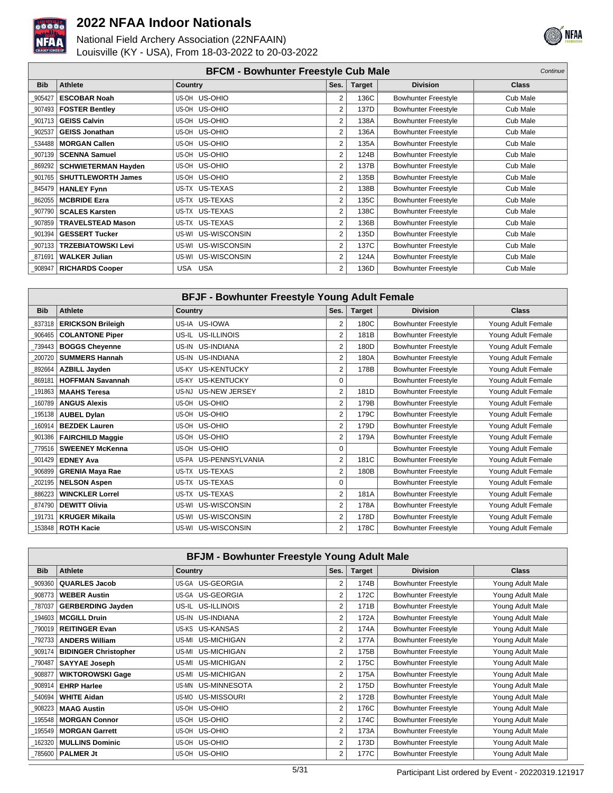



| <b>BFCM - Bowhunter Freestyle Cub Male</b><br>Continue |                            |                       |                |               |                            |              |
|--------------------------------------------------------|----------------------------|-----------------------|----------------|---------------|----------------------------|--------------|
| <b>Bib</b>                                             | Athlete                    | Country               | Ses.           | <b>Target</b> | <b>Division</b>            | <b>Class</b> |
| 905427                                                 | <b>ESCOBAR Noah</b>        | US-OH US-OHIO         | 2              | 136C          | <b>Bowhunter Freestyle</b> | Cub Male     |
| 907493                                                 | <b>FOSTER Bentley</b>      | US-OH US-OHIO         | 2              | 137D          | <b>Bowhunter Freestyle</b> | Cub Male     |
| 901713                                                 | <b>GEISS Calvin</b>        | US-OH US-OHIO         | 2              | 138A          | <b>Bowhunter Freestyle</b> | Cub Male     |
| 902537                                                 | <b>GEISS Jonathan</b>      | US-OH US-OHIO         | $\overline{2}$ | 136A          | <b>Bowhunter Freestyle</b> | Cub Male     |
| 534488                                                 | <b>MORGAN Callen</b>       | US-OH US-OHIO         | 2              | 135A          | <b>Bowhunter Freestyle</b> | Cub Male     |
| 907139                                                 | <b>SCENNA Samuel</b>       | US-OH US-OHIO         | 2              | 124B          | <b>Bowhunter Freestyle</b> | Cub Male     |
| 869292                                                 | <b>SCHWIETERMAN Hayden</b> | US-OH US-OHIO         | 2              | 137B          | <b>Bowhunter Freestyle</b> | Cub Male     |
| 901765                                                 | <b>SHUTTLEWORTH James</b>  | US-OH US-OHIO         | $\overline{2}$ | 135B          | <b>Bowhunter Freestyle</b> | Cub Male     |
| 845479                                                 | <b>HANLEY Fynn</b>         | US-TX US-TEXAS        | 2              | 138B          | <b>Bowhunter Freestyle</b> | Cub Male     |
| 862055                                                 | <b>MCBRIDE Ezra</b>        | US-TX US-TEXAS        | 2              | 135C          | <b>Bowhunter Freestyle</b> | Cub Male     |
| 907790                                                 | <b>SCALES Karsten</b>      | US-TX US-TEXAS        | $\overline{2}$ | 138C          | <b>Bowhunter Freestyle</b> | Cub Male     |
| 907859                                                 | <b>TRAVELSTEAD Mason</b>   | US-TX US-TEXAS        | $\overline{2}$ | 136B          | <b>Bowhunter Freestyle</b> | Cub Male     |
| 901394                                                 | <b>GESSERT Tucker</b>      | US-WI US-WISCONSIN    | $\overline{2}$ | 135D          | <b>Bowhunter Freestyle</b> | Cub Male     |
| 907133                                                 | <b>TRZEBIATOWSKI Levi</b>  | US-WISCONSIN<br>US-WI | $\overline{2}$ | 137C          | <b>Bowhunter Freestyle</b> | Cub Male     |
| 871691                                                 | <b>WALKER Julian</b>       | US-WISCONSIN<br>US-WI | $\overline{2}$ | 124A          | <b>Bowhunter Freestyle</b> | Cub Male     |
| 908947                                                 | <b>RICHARDS Cooper</b>     | USA USA               | 2              | 136D          | <b>Bowhunter Freestyle</b> | Cub Male     |

|            | <b>BFJF - Bowhunter Freestyle Young Adult Female</b> |                       |                |               |                            |                    |  |  |
|------------|------------------------------------------------------|-----------------------|----------------|---------------|----------------------------|--------------------|--|--|
| <b>Bib</b> | <b>Athlete</b>                                       | <b>Country</b>        | Ses.           | <b>Target</b> | <b>Division</b>            | Class              |  |  |
| 837318     | <b>ERICKSON Brileigh</b>                             | US-IA US-IOWA         | 2              | 180C          | <b>Bowhunter Freestyle</b> | Young Adult Female |  |  |
| 906465     | <b>COLANTONE Piper</b>                               | US-IL US-ILLINOIS     | 2              | 181B          | <b>Bowhunter Freestyle</b> | Young Adult Female |  |  |
| 739443     | <b>BOGGS Cheyenne</b>                                | US-IN US-INDIANA      | 2              | 180D          | <b>Bowhunter Freestyle</b> | Young Adult Female |  |  |
| 200720     | <b>SUMMERS Hannah</b>                                | US-IN US-INDIANA      | 2              | 180A          | <b>Bowhunter Freestyle</b> | Young Adult Female |  |  |
| 892664     | <b>AZBILL Jayden</b>                                 | US-KY US-KENTUCKY     | 2              | 178B          | <b>Bowhunter Freestyle</b> | Young Adult Female |  |  |
| 869181     | <b>HOFFMAN Savannah</b>                              | US-KY US-KENTUCKY     | 0              |               | <b>Bowhunter Freestyle</b> | Young Adult Female |  |  |
| 191863     | <b>MAAHS Teresa</b>                                  | US-NJ US-NEW JERSEY   | 2              | 181D          | <b>Bowhunter Freestyle</b> | Young Adult Female |  |  |
| 160789     | <b>ANGUS Alexis</b>                                  | US-OH US-OHIO         | 2              | 179B          | <b>Bowhunter Freestyle</b> | Young Adult Female |  |  |
| 195138     | <b>AUBEL Dylan</b>                                   | US-OH US-OHIO         | 2              | 179C          | <b>Bowhunter Freestyle</b> | Young Adult Female |  |  |
| 160914     | <b>BEZDEK Lauren</b>                                 | US-OH US-OHIO         | 2              | 179D          | <b>Bowhunter Freestyle</b> | Young Adult Female |  |  |
| 901386     | <b>FAIRCHILD Maggie</b>                              | US-OH US-OHIO         | 2              | 179A          | <b>Bowhunter Freestyle</b> | Young Adult Female |  |  |
| 779516     | <b>SWEENEY McKenna</b>                               | US-OH US-OHIO         | 0              |               | <b>Bowhunter Freestyle</b> | Young Adult Female |  |  |
| 901429     | <b>EDNEY Ava</b>                                     | US-PA US-PENNSYLVANIA | $\overline{2}$ | 181C          | <b>Bowhunter Freestyle</b> | Young Adult Female |  |  |
| 906899     | <b>GRENIA Maya Rae</b>                               | US-TX US-TEXAS        | 2              | 180B          | <b>Bowhunter Freestyle</b> | Young Adult Female |  |  |
| 202195     | <b>NELSON Aspen</b>                                  | US-TX US-TEXAS        | 0              |               | <b>Bowhunter Freestyle</b> | Young Adult Female |  |  |
| 886223     | <b>WINCKLER Lorrel</b>                               | US-TX US-TEXAS        | 2              | 181A          | <b>Bowhunter Freestyle</b> | Young Adult Female |  |  |
| 874790     | <b>DEWITT Olivia</b>                                 | US-WI US-WISCONSIN    | 2              | 178A          | <b>Bowhunter Freestyle</b> | Young Adult Female |  |  |
| 191731     | <b>KRUGER Mikaila</b>                                | US-WI US-WISCONSIN    | 2              | 178D          | <b>Bowhunter Freestyle</b> | Young Adult Female |  |  |
| 153848     | <b>ROTH Kacie</b>                                    | US-WISCONSIN<br>US-WI | 2              | 178C          | <b>Bowhunter Freestyle</b> | Young Adult Female |  |  |

| <b>BFJM - Bowhunter Freestyle Young Adult Male</b> |                             |                              |                |               |                            |                  |  |
|----------------------------------------------------|-----------------------------|------------------------------|----------------|---------------|----------------------------|------------------|--|
| <b>Bib</b>                                         | <b>Athlete</b>              | Country                      | Ses.           | <b>Target</b> | <b>Division</b>            | <b>Class</b>     |  |
| 909360                                             | <b>QUARLES Jacob</b>        | US-GA US-GEORGIA             | 2              | 174B          | <b>Bowhunter Freestyle</b> | Young Adult Male |  |
| 908773                                             | <b>WEBER Austin</b>         | US-GA US-GEORGIA             | 2              | 172C          | <b>Bowhunter Freestyle</b> | Young Adult Male |  |
| 787037                                             | <b>GERBERDING Jayden</b>    | US-IL US-ILLINOIS            | 2              | 171B          | <b>Bowhunter Freestyle</b> | Young Adult Male |  |
| 194603                                             | <b>MCGILL Druin</b>         | US-IN US-INDIANA             | 2              | 172A          | <b>Bowhunter Freestyle</b> | Young Adult Male |  |
| 790019                                             | <b>REITINGER Evan</b>       | US-KS US-KANSAS              | 2              | 174A          | <b>Bowhunter Freestyle</b> | Young Adult Male |  |
| 792733                                             | <b>ANDERS William</b>       | <b>US-MICHIGAN</b><br>US-MI  | 2              | 177A          | <b>Bowhunter Freestyle</b> | Young Adult Male |  |
| _909174                                            | <b>BIDINGER Christopher</b> | <b>US-MICHIGAN</b><br>US-MI  | 2              | 175B          | <b>Bowhunter Freestyle</b> | Young Adult Male |  |
| 790487                                             | <b>SAYYAE Joseph</b>        | <b>US-MICHIGAN</b><br>US-MI  | 2              | 175C          | <b>Bowhunter Freestyle</b> | Young Adult Male |  |
| 908877                                             | <b>WIKTOROWSKI Gage</b>     | US-MI<br>US-MICHIGAN         | 2              | 175A          | <b>Bowhunter Freestyle</b> | Young Adult Male |  |
| 908914                                             | <b>EHRP Harlee</b>          | <b>US-MINNESOTA</b><br>US-MN | 2              | 175D          | <b>Bowhunter Freestyle</b> | Young Adult Male |  |
| 540694                                             | <b>WHITE Aidan</b>          | US-MISSOURI<br>US-MO         | $\overline{2}$ | 172B          | <b>Bowhunter Freestyle</b> | Young Adult Male |  |
| 908223                                             | <b>MAAG Austin</b>          | US-OHIO<br>US-OH             | 2              | 176C          | <b>Bowhunter Freestyle</b> | Young Adult Male |  |
| 195548                                             | <b>MORGAN Connor</b>        | US-OHIO<br>US-OH             | $\overline{2}$ | 174C          | <b>Bowhunter Freestyle</b> | Young Adult Male |  |
| 195549                                             | <b>MORGAN Garrett</b>       | US-OHIO<br>US-OH             | $\overline{2}$ | 173A          | <b>Bowhunter Freestyle</b> | Young Adult Male |  |
| 162320                                             | <b>MULLINS Dominic</b>      | US-OHIO<br>US-OH             | 2              | 173D          | <b>Bowhunter Freestyle</b> | Young Adult Male |  |
| _785600                                            | <b>PALMER Jt</b>            | US-OHIO<br>US-OH             | 2              | 177C          | <b>Bowhunter Freestyle</b> | Young Adult Male |  |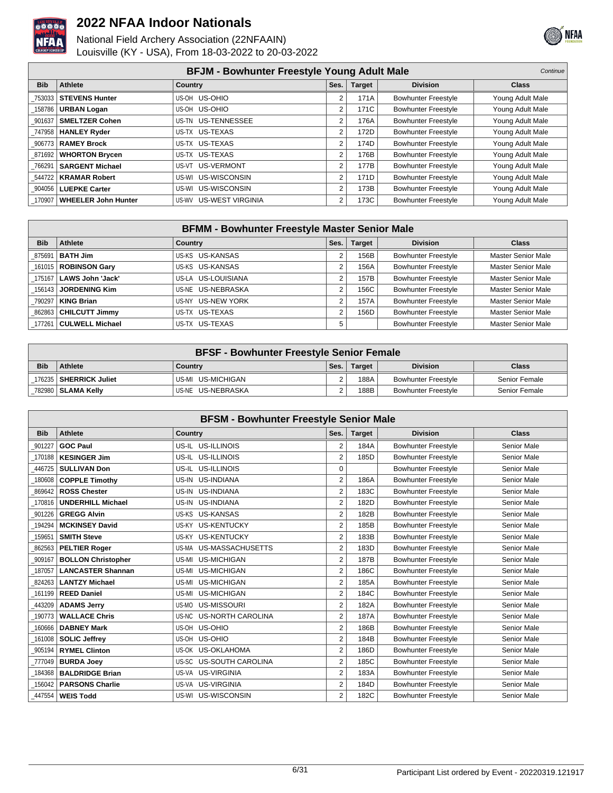



|            |                            | <b>BFJM - Bowhunter Freestyle Young Adult Male</b> |      |               |                            | Continue         |
|------------|----------------------------|----------------------------------------------------|------|---------------|----------------------------|------------------|
| <b>Bib</b> | Athlete                    | Country                                            | Ses. | <b>Target</b> | <b>Division</b>            | <b>Class</b>     |
| 753033 l   | <b>STEVENS Hunter</b>      | US-OH US-OHIO                                      | ∠    | 171A          | <b>Bowhunter Freestyle</b> | Young Adult Male |
| 158786     | <b>URBAN Logan</b>         | US-OH US-OHIO                                      | 2    | 171C          | <b>Bowhunter Freestyle</b> | Young Adult Male |
| 901637     | <b>SMELTZER Cohen</b>      | US-TN US-TENNESSEE                                 | 2    | 176A          | <b>Bowhunter Freestyle</b> | Young Adult Male |
|            | _747958   HANLEY Ryder     | US-TX US-TEXAS                                     | 2    | 172D          | <b>Bowhunter Freestyle</b> | Young Adult Male |
|            | 906773   RAMEY Brock       | US-TX US-TEXAS                                     | 2    | 174D          | <b>Bowhunter Freestyle</b> | Young Adult Male |
| 871692     | <b>WHORTON Brycen</b>      | US-TX US-TEXAS                                     | 2    | 176B          | <b>Bowhunter Freestyle</b> | Young Adult Male |
| 766291     | <b>SARGENT Michael</b>     | US-VT US-VERMONT                                   | 2    | 177B          | <b>Bowhunter Freestyle</b> | Young Adult Male |
| 544722     | <b>KRAMAR Robert</b>       | US-WI US-WISCONSIN                                 | 2    | 171D          | <b>Bowhunter Freestyle</b> | Young Adult Male |
|            | 904056   LUEPKE Carter     | US-WI US-WISCONSIN                                 | 2    | 173B          | <b>Bowhunter Freestyle</b> | Young Adult Male |
| 170907     | <b>WHEELER John Hunter</b> | US-WV US-WEST VIRGINIA                             | 2    | 173C          | <b>Bowhunter Freestyle</b> | Young Adult Male |

|            | <b>BFMM - Bowhunter Freestyle Master Senior Male</b>                           |                    |        |      |                            |                           |  |  |  |
|------------|--------------------------------------------------------------------------------|--------------------|--------|------|----------------------------|---------------------------|--|--|--|
| <b>Bib</b> | Country<br>Athlete<br><b>Target</b><br><b>Division</b><br>Ses.<br><b>Class</b> |                    |        |      |                            |                           |  |  |  |
|            | 875691   <b>BATH Jim</b>                                                       | US-KS US-KANSAS    |        | 156B | <b>Bowhunter Freestyle</b> | <b>Master Senior Male</b> |  |  |  |
|            | 161015   ROBINSON Gary                                                         | US-KS US-KANSAS    | 2      | 156A | <b>Bowhunter Freestyle</b> | Master Senior Male        |  |  |  |
|            | 175167   LAWS John 'Jack'                                                      | US-LA US-LOUISIANA | 2      | 157B | <b>Bowhunter Freestyle</b> | Master Senior Male        |  |  |  |
|            | 156143 JORDENING Kim                                                           | US-NE US-NEBRASKA  | $\sim$ | 156C | <b>Bowhunter Freestyle</b> | Master Senior Male        |  |  |  |
|            | 790297   KING Brian                                                            | US-NY US-NEW YORK  | 2      | 157A | <b>Bowhunter Freestyle</b> | Master Senior Male        |  |  |  |
|            | 862863   CHILCUTT Jimmy                                                        | US-TX US-TEXAS     |        | 156D | <b>Bowhunter Freestyle</b> | <b>Master Senior Male</b> |  |  |  |
|            | 177261   CULWELL Michael                                                       | US-TX US-TEXAS     | 5      |      | <b>Bowhunter Freestyle</b> | <b>Master Senior Male</b> |  |  |  |

| <b>BFSF - Bowhunter Freestyle Senior Female</b> |                          |                    |      |               |                            |               |  |
|-------------------------------------------------|--------------------------|--------------------|------|---------------|----------------------------|---------------|--|
| <b>Bib</b>                                      | <b>Athlete</b>           | Country            | Ses. | <b>Target</b> | <b>Division</b>            | Class         |  |
|                                                 | 176235   SHERRICK Juliet | IUS-MI US-MICHIGAN |      | 188A          | <b>Bowhunter Freestyle</b> | Senior Female |  |
|                                                 | 782980   SLAMA Kelly     | IUS-NE US-NEBRASKA |      | 188B          | <b>Bowhunter Freestyle</b> | Senior Female |  |

|            | <b>BFSM - Bowhunter Freestyle Senior Male</b> |                             |                |               |                            |                    |  |  |  |
|------------|-----------------------------------------------|-----------------------------|----------------|---------------|----------------------------|--------------------|--|--|--|
| <b>Bib</b> | <b>Athlete</b>                                | Country                     | Ses.           | <b>Target</b> | <b>Division</b>            | <b>Class</b>       |  |  |  |
| 901227     | <b>GOC Paul</b>                               | US-IL US-ILLINOIS           | $\overline{2}$ | 184A          | <b>Bowhunter Freestyle</b> | Senior Male        |  |  |  |
| 170188     | <b>KESINGER Jim</b>                           | US-IL US-ILLINOIS           | $\overline{2}$ | 185D          | <b>Bowhunter Freestyle</b> | Senior Male        |  |  |  |
| 446725     | <b>SULLIVAN Don</b>                           | US-IL US-ILLINOIS           | $\Omega$       |               | <b>Bowhunter Freestyle</b> | Senior Male        |  |  |  |
| 180608     | <b>COPPLE Timothy</b>                         | US-IN US-INDIANA            | $\overline{2}$ | 186A          | <b>Bowhunter Freestyle</b> | Senior Male        |  |  |  |
| 869642     | <b>ROSS Chester</b>                           | US-IN US-INDIANA            | $\overline{2}$ | 183C          | <b>Bowhunter Freestyle</b> | Senior Male        |  |  |  |
| 170816     | <b>UNDERHILL Michael</b>                      | US-IN US-INDIANA            | $\overline{2}$ | 182D          | <b>Bowhunter Freestyle</b> | Senior Male        |  |  |  |
| 901226     | <b>GREGG Alvin</b>                            | US-KS US-KANSAS             | $\overline{2}$ | 182B          | <b>Bowhunter Freestyle</b> | <b>Senior Male</b> |  |  |  |
| 194294     | <b>MCKINSEY David</b>                         | US-KY US-KENTUCKY           | $\overline{2}$ | 185B          | <b>Bowhunter Freestyle</b> | Senior Male        |  |  |  |
| 159651     | <b>SMITH Steve</b>                            | US-KY US-KENTUCKY           | $\overline{2}$ | 183B          | <b>Bowhunter Freestyle</b> | Senior Male        |  |  |  |
| 862563     | <b>PELTIER Roger</b>                          | US-MA US-MASSACHUSETTS      | $\overline{2}$ | 183D          | <b>Bowhunter Freestyle</b> | Senior Male        |  |  |  |
| 909167     | <b>BOLLON Christopher</b>                     | <b>US-MICHIGAN</b><br>US-MI | $\overline{2}$ | 187B          | <b>Bowhunter Freestyle</b> | Senior Male        |  |  |  |
| 187057     | <b>LANCASTER Shannan</b>                      | US-MI US-MICHIGAN           | $\overline{2}$ | 186C          | <b>Bowhunter Freestyle</b> | Senior Male        |  |  |  |
| 824263     | <b>LANTZY Michael</b>                         | US-MI US-MICHIGAN           | $\overline{2}$ | 185A          | <b>Bowhunter Freestyle</b> | Senior Male        |  |  |  |
| 161199     | <b>REED Daniel</b>                            | US-MI US-MICHIGAN           | $\overline{2}$ | 184C          | <b>Bowhunter Freestyle</b> | Senior Male        |  |  |  |
| 443209     | <b>ADAMS Jerry</b>                            | US-MO US-MISSOURI           | $\overline{2}$ | 182A          | <b>Bowhunter Freestyle</b> | Senior Male        |  |  |  |
| 190773     | <b>WALLACE Chris</b>                          | US-NC US-NORTH CAROLINA     | $\overline{2}$ | 187A          | <b>Bowhunter Freestyle</b> | Senior Male        |  |  |  |
| 160666     | <b>DABNEY Mark</b>                            | US-OH US-OHIO               | $\overline{2}$ | 186B          | <b>Bowhunter Freestyle</b> | Senior Male        |  |  |  |
| 161008     | <b>SOLIC Jeffrev</b>                          | US-OH US-OHIO               | $\overline{2}$ | 184B          | <b>Bowhunter Freestyle</b> | Senior Male        |  |  |  |
| 905194     | <b>RYMEL Clinton</b>                          | US-OK US-OKLAHOMA           | $\overline{2}$ | 186D          | <b>Bowhunter Freestyle</b> | Senior Male        |  |  |  |
| 777049     | <b>BURDA Joey</b>                             | US-SC US-SOUTH CAROLINA     | 2              | 185C          | <b>Bowhunter Freestyle</b> | Senior Male        |  |  |  |
| 184368     | <b>BALDRIDGE Brian</b>                        | US-VA US-VIRGINIA           | $\overline{2}$ | 183A          | <b>Bowhunter Freestyle</b> | Senior Male        |  |  |  |
| 156042     | <b>PARSONS Charlie</b>                        | US-VA US-VIRGINIA           | $\overline{2}$ | 184D          | <b>Bowhunter Freestyle</b> | Senior Male        |  |  |  |
|            | 447554   WEIS Todd                            | US-WI US-WISCONSIN          | $\overline{2}$ | 182C          | <b>Bowhunter Freestyle</b> | Senior Male        |  |  |  |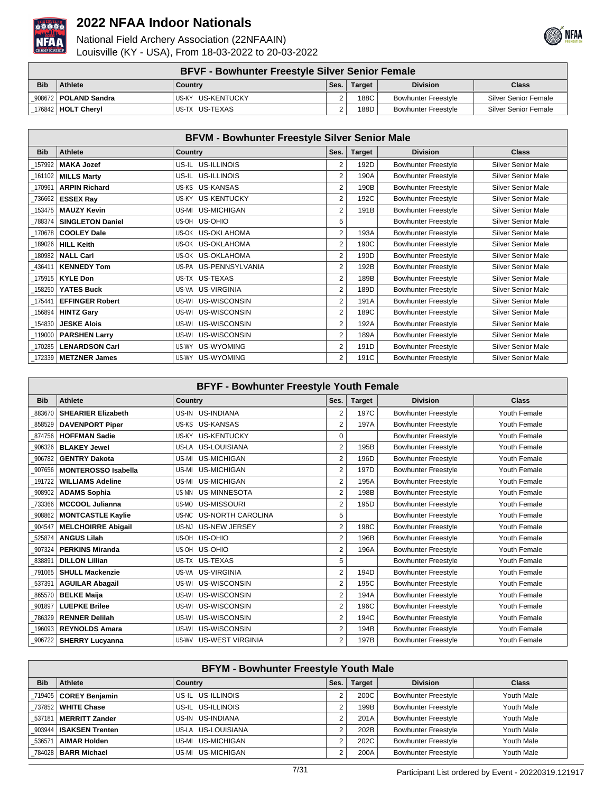



| <b>BFVF - Bowhunter Freestyle Silver Senior Female</b> |                        |                    |      |               |                            |                      |  |
|--------------------------------------------------------|------------------------|--------------------|------|---------------|----------------------------|----------------------|--|
| <b>Bib</b>                                             | Athlete                | Country            | Ses. | <b>Target</b> | <b>Division</b>            | <b>Class</b>         |  |
|                                                        | 908672   POLAND Sandra | IUS-KY US-KENTUCKY | ົ    | 188C          | <b>Bowhunter Freestyle</b> | Silver Senior Female |  |
|                                                        | 176842   HOLT Cheryl   | IUS-TX US-TEXAS    | C    | 188D          | <b>Bowhunter Freestyle</b> | Silver Senior Female |  |

|            | <b>BFVM - Bowhunter Freestyle Silver Senior Male</b> |                             |                |               |                            |                           |  |  |  |
|------------|------------------------------------------------------|-----------------------------|----------------|---------------|----------------------------|---------------------------|--|--|--|
| <b>Bib</b> | Athlete                                              | <b>Country</b>              | Ses.           | <b>Target</b> | <b>Division</b>            | Class                     |  |  |  |
| 157992     | <b>MAKA Jozef</b>                                    | US-IL US-ILLINOIS           | 2              | 192D          | <b>Bowhunter Freestyle</b> | <b>Silver Senior Male</b> |  |  |  |
| 161102     | <b>MILLS Marty</b>                                   | US-IL US-ILLINOIS           | $\overline{2}$ | 190A          | <b>Bowhunter Freestyle</b> | Silver Senior Male        |  |  |  |
| 170961     | <b>ARPIN Richard</b>                                 | US-KS US-KANSAS             | 2              | 190B          | <b>Bowhunter Freestyle</b> | Silver Senior Male        |  |  |  |
| 736662     | <b>ESSEX Ray</b>                                     | <b>US-KENTUCKY</b><br>US-KY | 2              | 192C          | <b>Bowhunter Freestyle</b> | Silver Senior Male        |  |  |  |
| 153475     | <b>MAUZY Kevin</b>                                   | <b>US-MICHIGAN</b><br>US-MI | $\overline{2}$ | 191B          | <b>Bowhunter Freestyle</b> | Silver Senior Male        |  |  |  |
| 788374     | <b>SINGLETON Daniel</b>                              | US-OH US-OHIO               | 5              |               | <b>Bowhunter Freestyle</b> | <b>Silver Senior Male</b> |  |  |  |
| 170678     | <b>COOLEY Dale</b>                                   | US-OK US-OKLAHOMA           | $\overline{2}$ | 193A          | <b>Bowhunter Freestyle</b> | <b>Silver Senior Male</b> |  |  |  |
| 189026     | <b>HILL Keith</b>                                    | US-OK US-OKLAHOMA           | $\overline{2}$ | 190C          | <b>Bowhunter Freestyle</b> | <b>Silver Senior Male</b> |  |  |  |
| 180982     | <b>NALL Carl</b>                                     | US-OK US-OKLAHOMA           | $\overline{2}$ | 190D          | <b>Bowhunter Freestyle</b> | Silver Senior Male        |  |  |  |
| 436411     | <b>KENNEDY Tom</b>                                   | US-PA US-PENNSYLVANIA       | $\overline{2}$ | 192B          | <b>Bowhunter Freestyle</b> | Silver Senior Male        |  |  |  |
| 175915     | <b>KYLE Don</b>                                      | US-TX US-TEXAS              | $\overline{2}$ | 189B          | <b>Bowhunter Freestyle</b> | <b>Silver Senior Male</b> |  |  |  |
| 158250     | <b>YATES Buck</b>                                    | US-VA US-VIRGINIA           | $\overline{2}$ | 189D          | <b>Bowhunter Freestyle</b> | Silver Senior Male        |  |  |  |
| 175441     | <b>EFFINGER Robert</b>                               | US-WISCONSIN<br>US-WI       | $\overline{2}$ | 191A          | <b>Bowhunter Freestyle</b> | <b>Silver Senior Male</b> |  |  |  |
| 156894     | <b>HINTZ Gary</b>                                    | US-WISCONSIN<br>US-WI       | 2              | 189C          | <b>Bowhunter Freestyle</b> | <b>Silver Senior Male</b> |  |  |  |
| 154830     | <b>JESKE Alois</b>                                   | US-WISCONSIN<br>US-WI       | $\overline{2}$ | 192A          | <b>Bowhunter Freestyle</b> | <b>Silver Senior Male</b> |  |  |  |
| 119000     | <b>PARSHEN Larry</b>                                 | US-WISCONSIN<br>US-WI       | $\overline{2}$ | 189A          | <b>Bowhunter Freestyle</b> | <b>Silver Senior Male</b> |  |  |  |
| 170285     | <b>LENARDSON Carl</b>                                | US-WYOMING<br>US-WY         | 2              | 191D          | <b>Bowhunter Freestyle</b> | <b>Silver Senior Male</b> |  |  |  |
|            | 172339   METZNER James                               | US-WY US-WYOMING            | $\overline{2}$ | 191C          | <b>Bowhunter Freestyle</b> | <b>Silver Senior Male</b> |  |  |  |

|            | <b>BFYF - Bowhunter Freestyle Youth Female</b> |                         |                |               |                            |              |  |  |  |
|------------|------------------------------------------------|-------------------------|----------------|---------------|----------------------------|--------------|--|--|--|
| <b>Bib</b> | <b>Athlete</b>                                 | Country                 | Ses.           | <b>Target</b> | <b>Division</b>            | <b>Class</b> |  |  |  |
| 883670     | <b>SHEARIER Elizabeth</b>                      | US-IN US-INDIANA        | 2              | 197C          | <b>Bowhunter Freestyle</b> | Youth Female |  |  |  |
| 858529     | <b>DAVENPORT Piper</b>                         | US-KS US-KANSAS         | $\overline{2}$ | 197A          | <b>Bowhunter Freestyle</b> | Youth Female |  |  |  |
| 874756     | <b>HOFFMAN Sadie</b>                           | US-KY US-KENTUCKY       | $\Omega$       |               | <b>Bowhunter Freestyle</b> | Youth Female |  |  |  |
| 906326     | <b>BLAKEY Jewel</b>                            | US-LA US-LOUISIANA      | $\overline{2}$ | 195B          | <b>Bowhunter Freestyle</b> | Youth Female |  |  |  |
| 906782     | <b>GENTRY Dakota</b>                           | US-MI US-MICHIGAN       | $\overline{2}$ | 196D          | <b>Bowhunter Freestyle</b> | Youth Female |  |  |  |
| 907656     | <b>MONTEROSSO Isabella</b>                     | US-MI US-MICHIGAN       | $\overline{2}$ | 197D          | <b>Bowhunter Freestyle</b> | Youth Female |  |  |  |
| 191722     | <b>WILLIAMS Adeline</b>                        | US-MI US-MICHIGAN       | $\overline{2}$ | 195A          | <b>Bowhunter Freestyle</b> | Youth Female |  |  |  |
| 908902     | <b>ADAMS Sophia</b>                            | US-MN US-MINNESOTA      | $\overline{2}$ | 198B          | <b>Bowhunter Freestyle</b> | Youth Female |  |  |  |
| 733366     | <b>MCCOOL Julianna</b>                         | US-MO US-MISSOURI       | $\overline{2}$ | 195D          | <b>Bowhunter Freestyle</b> | Youth Female |  |  |  |
| 908862     | <b>MONTCASTLE Kaylie</b>                       | US-NC US-NORTH CAROLINA | 5              |               | <b>Bowhunter Freestyle</b> | Youth Female |  |  |  |
| 904547     | <b>MELCHOIRRE Abigail</b>                      | US-NJ US-NEW JERSEY     | $\overline{2}$ | 198C          | <b>Bowhunter Freestyle</b> | Youth Female |  |  |  |
| 525874     | <b>ANGUS Lilah</b>                             | US-OH US-OHIO           | $\overline{2}$ | 196B          | <b>Bowhunter Freestyle</b> | Youth Female |  |  |  |
| 907324     | <b>PERKINS Miranda</b>                         | US-OH US-OHIO           | $\overline{2}$ | 196A          | <b>Bowhunter Freestyle</b> | Youth Female |  |  |  |
| 838891     | <b>DILLON Lillian</b>                          | US-TX US-TEXAS          | 5              |               | <b>Bowhunter Freestyle</b> | Youth Female |  |  |  |
| 791065     | <b>SHULL Mackenzie</b>                         | US-VA US-VIRGINIA       | $\overline{2}$ | 194D          | <b>Bowhunter Freestyle</b> | Youth Female |  |  |  |
| 537391     | <b>AGUILAR Abagail</b>                         | US-WI US-WISCONSIN      | $\overline{2}$ | 195C          | <b>Bowhunter Freestyle</b> | Youth Female |  |  |  |
| 865570     | <b>BELKE Maija</b>                             | US-WISCONSIN<br>US-WI   | $\overline{2}$ | 194A          | <b>Bowhunter Freestyle</b> | Youth Female |  |  |  |
| 901897     | <b>LUEPKE Brilee</b>                           | US-WI US-WISCONSIN      | $\overline{2}$ | 196C          | <b>Bowhunter Freestyle</b> | Youth Female |  |  |  |
| 786329     | <b>RENNER Delilah</b>                          | US-WI US-WISCONSIN      | $\overline{2}$ | 194C          | <b>Bowhunter Freestyle</b> | Youth Female |  |  |  |
| 196093     | <b>REYNOLDS Amara</b>                          | US-WISCONSIN<br>US-WI   | 2              | 194B          | <b>Bowhunter Freestyle</b> | Youth Female |  |  |  |
|            | 906722   SHERRY Lucyanna                       | US-WV US-WEST VIRGINIA  | $\overline{2}$ | 197B          | <b>Bowhunter Freestyle</b> | Youth Female |  |  |  |

|            | BFYM - Bowhunter Freestyle Youth Male |                    |            |               |                            |              |  |  |  |
|------------|---------------------------------------|--------------------|------------|---------------|----------------------------|--------------|--|--|--|
| <b>Bib</b> | Athlete                               | Country            | Ses.       | <b>Target</b> | <b>Division</b>            | <b>Class</b> |  |  |  |
|            | 719405   COREY Benjamin               | US-IL US-ILLINOIS  |            | 200C          | <b>Bowhunter Freestyle</b> | Youth Male   |  |  |  |
|            | 737852   WHITE Chase                  | US-IL US-ILLINOIS  |            | 199B          | <b>Bowhunter Freestyle</b> | Youth Male   |  |  |  |
|            | 537181   MERRITT Zander               | US-IN US-INDIANA   |            | 201A          | <b>Bowhunter Freestyle</b> | Youth Male   |  |  |  |
|            | 903944   ISAKSEN Trenten              | US-LA US-LOUISIANA |            | 202B          | <b>Bowhunter Freestyle</b> | Youth Male   |  |  |  |
| 536571     | <b>AIMAR Holden</b>                   | US-MI US-MICHIGAN  | $\sqrt{2}$ | 202C          | <b>Bowhunter Freestyle</b> | Youth Male   |  |  |  |
|            | 784028   BARR Michael                 | US-MI US-MICHIGAN  |            | 200A          | <b>Bowhunter Freestyle</b> | Youth Male   |  |  |  |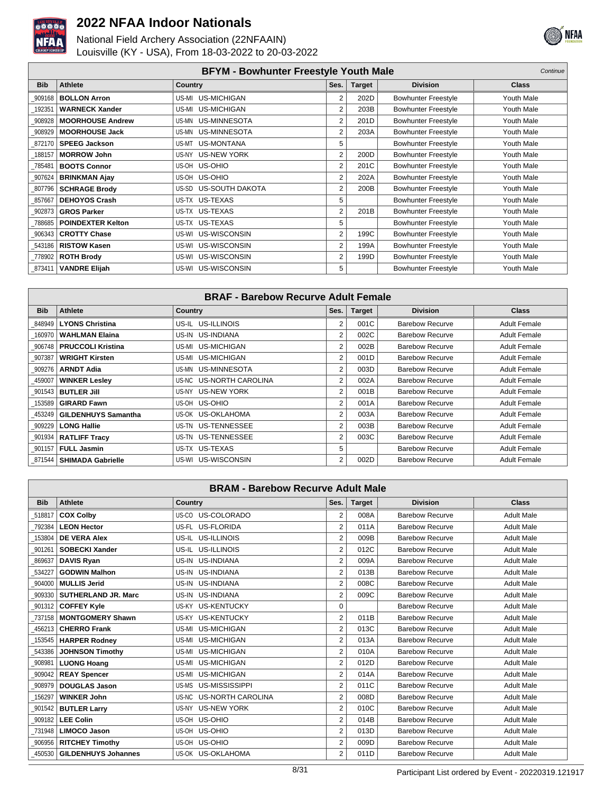



|            | <b>BFYM - Bowhunter Freestyle Youth Male</b> |                       |                |               |                            |              |  |
|------------|----------------------------------------------|-----------------------|----------------|---------------|----------------------------|--------------|--|
| <b>Bib</b> | Athlete                                      | Country               | Ses.           | <b>Target</b> | <b>Division</b>            | <b>Class</b> |  |
| 909168     | <b>BOLLON Arron</b>                          | US-MI US-MICHIGAN     |                | 202D          | <b>Bowhunter Freestyle</b> | Youth Male   |  |
| 192351     | <b>WARNECK Xander</b>                        | US-MI US-MICHIGAN     | 2              | 203B          | <b>Bowhunter Freestyle</b> | Youth Male   |  |
| 908928     | <b>MOORHOUSE Andrew</b>                      | US-MN US-MINNESOTA    | 2              | 201D          | <b>Bowhunter Freestyle</b> | Youth Male   |  |
| 908929     | <b>MOORHOUSE Jack</b>                        | US-MN US-MINNESOTA    | 2              | 203A          | <b>Bowhunter Freestyle</b> | Youth Male   |  |
| 872170     | <b>SPEEG Jackson</b>                         | US-MT US-MONTANA      | 5              |               | <b>Bowhunter Freestyle</b> | Youth Male   |  |
| 188157     | <b>MORROW John</b>                           | US-NY US-NEW YORK     | $\overline{2}$ | 200D          | <b>Bowhunter Freestyle</b> | Youth Male   |  |
| 785481     | <b>BOOTS Connor</b>                          | US-OH US-OHIO         | 2              | 201C          | <b>Bowhunter Freestyle</b> | Youth Male   |  |
| 907624     | <b>BRINKMAN Ajay</b>                         | US-OH US-OHIO         | 2              | 202A          | <b>Bowhunter Freestyle</b> | Youth Male   |  |
| 807796     | <b>SCHRAGE Brody</b>                         | US-SD US-SOUTH DAKOTA | 2              | 200B          | <b>Bowhunter Freestyle</b> | Youth Male   |  |
| 857667     | <b>DEHOYOS Crash</b>                         | US-TX US-TEXAS        | 5              |               | <b>Bowhunter Freestyle</b> | Youth Male   |  |
| 902873     | <b>GROS Parker</b>                           | US-TX US-TEXAS        | 2              | 201B          | <b>Bowhunter Freestyle</b> | Youth Male   |  |
| 788685     | <b>POINDEXTER Kelton</b>                     | US-TX US-TEXAS        | 5              |               | <b>Bowhunter Freestyle</b> | Youth Male   |  |
| 906343     | <b>CROTTY Chase</b>                          | US-WI US-WISCONSIN    | 2              | 199C          | <b>Bowhunter Freestyle</b> | Youth Male   |  |
| 543186     | <b>RISTOW Kasen</b>                          | US-WI US-WISCONSIN    | 2              | 199A          | <b>Bowhunter Freestyle</b> | Youth Male   |  |
| 778902     | <b>ROTH Brody</b>                            | US-WI US-WISCONSIN    | $\overline{2}$ | 199D          | <b>Bowhunter Freestyle</b> | Youth Male   |  |
| 873411     | <b>VANDRE Elijah</b>                         | US-WI US-WISCONSIN    | 5              |               | <b>Bowhunter Freestyle</b> | Youth Male   |  |

| <b>BRAF - Barebow Recurve Adult Female</b> |                             |                         |      |               |                        |                     |  |  |  |
|--------------------------------------------|-----------------------------|-------------------------|------|---------------|------------------------|---------------------|--|--|--|
| <b>Bib</b>                                 | <b>Athlete</b>              | Country                 | Ses. | <b>Target</b> | <b>Division</b>        | <b>Class</b>        |  |  |  |
| 848949                                     | <b>LYONS Christina</b>      | US-IL US-ILLINOIS       | 2    | 001C          | Barebow Recurve        | <b>Adult Female</b> |  |  |  |
| 160970                                     | <b>WAHLMAN Elaina</b>       | US-IN US-INDIANA        | 2    | 002C          | <b>Barebow Recurve</b> | <b>Adult Female</b> |  |  |  |
| 906748                                     | <b>PRUCCOLI Kristina</b>    | US-MI US-MICHIGAN       | 2    | 002B          | Barebow Recurve        | <b>Adult Female</b> |  |  |  |
| 907387                                     | <b>WRIGHT Kirsten</b>       | US-MI US-MICHIGAN       | 2    | 001D          | <b>Barebow Recurve</b> | <b>Adult Female</b> |  |  |  |
| 909276                                     | <b>ARNDT Adia</b>           | US-MN US-MINNESOTA      | 2    | 003D          | <b>Barebow Recurve</b> | <b>Adult Female</b> |  |  |  |
| 459007                                     | <b>WINKER Lesley</b>        | US-NC US-NORTH CAROLINA | 2    | 002A          | Barebow Recurve        | <b>Adult Female</b> |  |  |  |
|                                            | 901543   <b>BUTLER JIII</b> | US-NY US-NEW YORK       | 2    | 001B          | <b>Barebow Recurve</b> | <b>Adult Female</b> |  |  |  |
| 153589                                     | <b>GIRARD Fawn</b>          | US-OH US-OHIO           | 2    | 001A          | Barebow Recurve        | <b>Adult Female</b> |  |  |  |
| 453249                                     | <b>GILDENHUYS Samantha</b>  | US-OK US-OKLAHOMA       | 2    | 003A          | Barebow Recurve        | <b>Adult Female</b> |  |  |  |
| 909229                                     | <b>LONG Hallie</b>          | US-TN US-TENNESSEE      | 2    | 003B          | <b>Barebow Recurve</b> | <b>Adult Female</b> |  |  |  |
|                                            | 901934   RATLIFF Tracy      | US-TN US-TENNESSEE      | 2    | 003C          | Barebow Recurve        | <b>Adult Female</b> |  |  |  |
|                                            | 901157   FULL Jasmin        | US-TX US-TEXAS          | 5    |               | <b>Barebow Recurve</b> | <b>Adult Female</b> |  |  |  |
|                                            | 871544   SHIMADA Gabrielle  | US-WI US-WISCONSIN      | 2    | 002D          | <b>Barebow Recurve</b> | <b>Adult Female</b> |  |  |  |

|            | <b>BRAM - Barebow Recurve Adult Male</b> |                          |                |               |                        |                   |  |  |  |
|------------|------------------------------------------|--------------------------|----------------|---------------|------------------------|-------------------|--|--|--|
| <b>Bib</b> | <b>Athlete</b>                           | Country                  | Ses.           | <b>Target</b> | <b>Division</b>        | <b>Class</b>      |  |  |  |
| 518817     | <b>COX Colby</b>                         | US-CO US-COLORADO        | $\overline{2}$ | 008A          | Barebow Recurve        | <b>Adult Male</b> |  |  |  |
| 792384     | <b>LEON Hector</b>                       | US-FL US-FLORIDA         | $\overline{2}$ | 011A          | Barebow Recurve        | <b>Adult Male</b> |  |  |  |
| 153804     | <b>DE VERA Alex</b>                      | US-IL US-ILLINOIS        | $\overline{2}$ | 009B          | Barebow Recurve        | <b>Adult Male</b> |  |  |  |
| 901261     | <b>SOBECKI Xander</b>                    | US-IL US-ILLINOIS        | $\overline{2}$ | 012C          | Barebow Recurve        | <b>Adult Male</b> |  |  |  |
| 869637     | <b>DAVIS Ryan</b>                        | US-IN US-INDIANA         | $\overline{2}$ | 009A          | <b>Barebow Recurve</b> | <b>Adult Male</b> |  |  |  |
| 534227     | <b>GODWIN Malhon</b>                     | US-IN US-INDIANA         | $\overline{2}$ | 013B          | Barebow Recurve        | <b>Adult Male</b> |  |  |  |
| 904000     | <b>MULLIS Jerid</b>                      | US-IN US-INDIANA         | $\overline{2}$ | 008C          | Barebow Recurve        | <b>Adult Male</b> |  |  |  |
| 909330     | <b>SUTHERLAND JR. Marc</b>               | US-IN US-INDIANA         | $\overline{2}$ | 009C          | <b>Barebow Recurve</b> | <b>Adult Male</b> |  |  |  |
|            | 901312   COFFEY Kyle                     | US-KY US-KENTUCKY        | 0              |               | <b>Barebow Recurve</b> | <b>Adult Male</b> |  |  |  |
| 737158     | <b>MONTGOMERY Shawn</b>                  | <b>US-KY US-KENTUCKY</b> | $\overline{2}$ | 011B          | Barebow Recurve        | <b>Adult Male</b> |  |  |  |
|            | 456213   CHERRO Frank                    | US-MI US-MICHIGAN        | $\overline{2}$ | 013C          | Barebow Recurve        | <b>Adult Male</b> |  |  |  |
| 153545     | <b>HARPER Rodney</b>                     | US-MI US-MICHIGAN        | $\overline{2}$ | 013A          | Barebow Recurve        | <b>Adult Male</b> |  |  |  |
| 543386     | <b>JOHNSON Timothy</b>                   | US-MI US-MICHIGAN        | $\overline{2}$ | 010A          | Barebow Recurve        | <b>Adult Male</b> |  |  |  |
| 908981     | <b>LUONG Hoang</b>                       | US-MI US-MICHIGAN        | $\overline{2}$ | 012D          | <b>Barebow Recurve</b> | <b>Adult Male</b> |  |  |  |
| 909042     | <b>REAY Spencer</b>                      | US-MI US-MICHIGAN        | $\overline{2}$ | 014A          | <b>Barebow Recurve</b> | <b>Adult Male</b> |  |  |  |
| 908979     | <b>DOUGLAS Jason</b>                     | US-MS US-MISSISSIPPI     | $\overline{2}$ | 011C          | <b>Barebow Recurve</b> | <b>Adult Male</b> |  |  |  |
| 156297     | <b>WINKER John</b>                       | US-NC US-NORTH CAROLINA  | $\overline{2}$ | 008D          | <b>Barebow Recurve</b> | <b>Adult Male</b> |  |  |  |
| 901542     | <b>BUTLER Larry</b>                      | US-NY US-NEW YORK        | 2              | 010C          | Barebow Recurve        | <b>Adult Male</b> |  |  |  |
| 909182     | LEE Colin                                | US-OH US-OHIO            | $\overline{2}$ | 014B          | Barebow Recurve        | <b>Adult Male</b> |  |  |  |
| 731948     | <b>LIMOCO Jason</b>                      | US-OH US-OHIO            | $\overline{2}$ | 013D          | <b>Barebow Recurve</b> | <b>Adult Male</b> |  |  |  |
|            | 906956   RITCHEY Timothy                 | US-OH US-OHIO            | 2              | 009D          | <b>Barebow Recurve</b> | <b>Adult Male</b> |  |  |  |
| 450530     | <b>GILDENHUYS Johannes</b>               | US-OK US-OKLAHOMA        | 2              | 011D          | <b>Barebow Recurve</b> | <b>Adult Male</b> |  |  |  |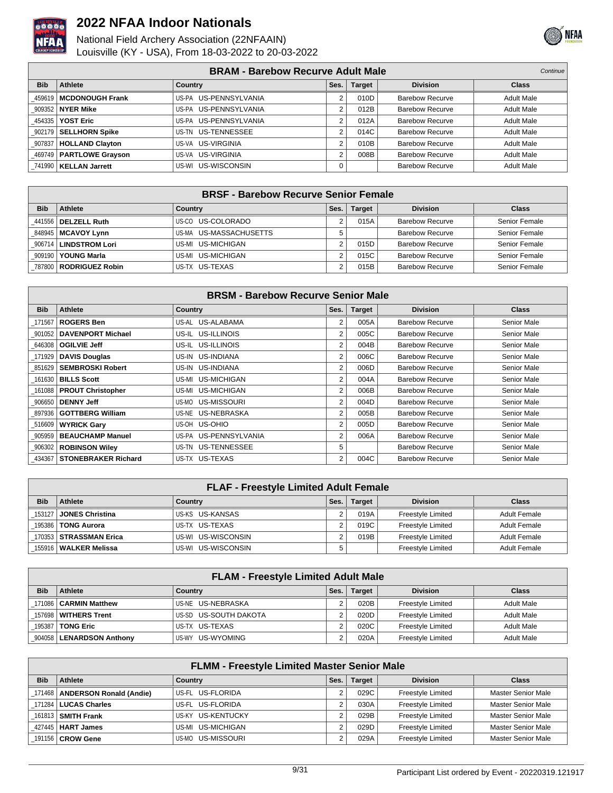



|            | <b>BRAM - Barebow Recurve Adult Male</b><br>Continue <sup>1</sup> |                       |                |               |                        |                   |  |  |  |
|------------|-------------------------------------------------------------------|-----------------------|----------------|---------------|------------------------|-------------------|--|--|--|
| <b>Bib</b> | Athlete                                                           | <b>Country</b>        | Ses.           | <b>Target</b> | <b>Division</b>        | <b>Class</b>      |  |  |  |
|            | 459619   MCDONOUGH Frank                                          | US-PA US-PENNSYLVANIA | 2              | 010D          | <b>Barebow Recurve</b> | <b>Adult Male</b> |  |  |  |
|            | 909352   NYER Mike                                                | US-PA US-PENNSYLVANIA | $\overline{2}$ | 012B          | Barebow Recurve        | <b>Adult Male</b> |  |  |  |
|            | 454335   YOST Eric                                                | US-PA US-PENNSYLVANIA | 2              | 012A          | Barebow Recurve        | <b>Adult Male</b> |  |  |  |
|            | _902179 SELLHORN Spike                                            | US-TN US-TENNESSEE    | $\overline{2}$ | 014C          | Barebow Recurve        | <b>Adult Male</b> |  |  |  |
|            | 907837   HOLLAND Clayton                                          | US-VA US-VIRGINIA     | 2              | 010B          | Barebow Recurve        | <b>Adult Male</b> |  |  |  |
|            | 469749   PARTLOWE Grayson                                         | US-VA US-VIRGINIA     | $\overline{2}$ | 008B          | Barebow Recurve        | <b>Adult Male</b> |  |  |  |
|            | 741990   KELLAN Jarrett                                           | US-WI US-WISCONSIN    | 0              |               | <b>Barebow Recurve</b> | <b>Adult Male</b> |  |  |  |

|            | <b>BRSF - Barebow Recurve Senior Female</b> |                        |      |               |                        |               |  |  |  |
|------------|---------------------------------------------|------------------------|------|---------------|------------------------|---------------|--|--|--|
| <b>Bib</b> | Athlete                                     | Country                | Ses. | <b>Target</b> | <b>Division</b>        | <b>Class</b>  |  |  |  |
|            | 441556   DELZELL Ruth                       | US-CO US-COLORADO      |      | 015A          | Barebow Recurve        | Senior Female |  |  |  |
|            | 848945   MCAVOY Lynn                        | US-MA US-MASSACHUSETTS |      |               | Barebow Recurve        | Senior Female |  |  |  |
| 906714     | ∣ LINDSTROM Lori                            | US-MI US-MICHIGAN      |      | 015D          | Barebow Recurve        | Senior Female |  |  |  |
|            | 909190   YOUNG Marla                        | US-MI US-MICHIGAN      |      | 015C          | Barebow Recurve        | Senior Female |  |  |  |
|            | 787800   RODRIGUEZ Robin                    | US-TX US-TEXAS         |      | 015B          | <b>Barebow Recurve</b> | Senior Female |  |  |  |

| <b>BRSM - Barebow Recurve Senior Male</b> |                              |                       |      |               |                        |              |  |  |  |
|-------------------------------------------|------------------------------|-----------------------|------|---------------|------------------------|--------------|--|--|--|
| <b>Bib</b>                                | <b>Athlete</b>               | Country               | Ses. | <b>Target</b> | <b>Division</b>        | <b>Class</b> |  |  |  |
|                                           | 171567   ROGERS Ben          | US-AL US-ALABAMA      | 2    | 005A          | <b>Barebow Recurve</b> | Senior Male  |  |  |  |
|                                           | 901052   DAVENPORT Michael   | US-IL US-ILLINOIS     | 2    | 005C          | <b>Barebow Recurve</b> | Senior Male  |  |  |  |
| 646308                                    | <b>OGILVIE Jeff</b>          | US-IL US-ILLINOIS     | 2    | 004B          | Barebow Recurve        | Senior Male  |  |  |  |
| 171929                                    | <b>DAVIS Douglas</b>         | US-IN US-INDIANA      | 2    | 006C          | <b>Barebow Recurve</b> | Senior Male  |  |  |  |
| 851629                                    | <b>SEMBROSKI Robert</b>      | US-IN US-INDIANA      | 2    | 006D          | Barebow Recurve        | Senior Male  |  |  |  |
|                                           | 161630   BILLS Scott         | US-MI US-MICHIGAN     | 2    | 004A          | Barebow Recurve        | Senior Male  |  |  |  |
|                                           | 161088   PROUT Christopher   | US-MI US-MICHIGAN     | 2    | 006B          | <b>Barebow Recurve</b> | Senior Male  |  |  |  |
| 906650                                    | <b>DENNY Jeff</b>            | US-MO US-MISSOURI     | 2    | 004D          | <b>Barebow Recurve</b> | Senior Male  |  |  |  |
| 897936                                    | <b>GOTTBERG William</b>      | US-NE US-NEBRASKA     | 2    | 005B          | <b>Barebow Recurve</b> | Senior Male  |  |  |  |
| 516609                                    | <b>WYRICK Gary</b>           | US-OH US-OHIO         | 2    | 005D          | Barebow Recurve        | Senior Male  |  |  |  |
| 905959                                    | <b>BEAUCHAMP Manuel</b>      | US-PA US-PENNSYLVANIA | 2    | 006A          | <b>Barebow Recurve</b> | Senior Male  |  |  |  |
| 906302                                    | <b>ROBINSON Wiley</b>        | US-TN US-TENNESSEE    | 5    |               | <b>Barebow Recurve</b> | Senior Male  |  |  |  |
|                                           | 434367   STONEBRAKER Richard | US-TX US-TEXAS        | 2    | 004C          | <b>Barebow Recurve</b> | Senior Male  |  |  |  |

|            | <b>FLAF - Freestyle Limited Adult Female</b> |                    |      |               |                   |                     |  |  |
|------------|----------------------------------------------|--------------------|------|---------------|-------------------|---------------------|--|--|
| <b>Bib</b> | Athlete                                      | Country            | Ses. | <b>Target</b> | <b>Division</b>   | Class               |  |  |
|            | 153127 JONES Christina                       | US-KS US-KANSAS    |      | 019A          | Freestyle Limited | <b>Adult Female</b> |  |  |
|            | 195386   TONG Aurora                         | US-TX US-TEXAS     |      | 019C          | Freestyle Limited | <b>Adult Female</b> |  |  |
|            | 170353   STRASSMAN Erica                     | US-WI US-WISCONSIN |      | 019B          | Freestyle Limited | <b>Adult Female</b> |  |  |
|            | 155916   WALKER Melissa                      | US-WI US-WISCONSIN | 5    |               | Freestyle Limited | <b>Adult Female</b> |  |  |

|            | <b>FLAM - Freestyle Limited Adult Male</b> |                       |      |               |                   |                   |  |  |  |
|------------|--------------------------------------------|-----------------------|------|---------------|-------------------|-------------------|--|--|--|
| <b>Bib</b> | Athlete                                    | Country               | Ses. | <b>Target</b> | <b>Division</b>   | <b>Class</b>      |  |  |  |
|            | 171086   CARMIN Matthew                    | US-NE US-NEBRASKA     |      | 020B          | Freestyle Limited | <b>Adult Male</b> |  |  |  |
|            | 157698 WITHERS Trent                       | US-SD US-SOUTH DAKOTA |      | 020D          | Freestyle Limited | <b>Adult Male</b> |  |  |  |
|            | 195387 <b>  TONG Eric</b>                  | US-TX US-TEXAS        |      | 020C          | Freestyle Limited | <b>Adult Male</b> |  |  |  |
|            | 904058   LENARDSON Anthony                 | US-WY US-WYOMING      |      | 020A          | Freestyle Limited | <b>Adult Male</b> |  |  |  |

| <b>FLMM - Freestyle Limited Master Senior Male</b> |                                  |                   |      |               |                          |                           |  |  |
|----------------------------------------------------|----------------------------------|-------------------|------|---------------|--------------------------|---------------------------|--|--|
| <b>Bib</b>                                         | Athlete                          | Country           | Ses. | <b>Target</b> | <b>Division</b>          | <b>Class</b>              |  |  |
|                                                    | 171468   ANDERSON Ronald (Andie) | US-FL US-FLORIDA  |      | 029C          | <b>Freestyle Limited</b> | <b>Master Senior Male</b> |  |  |
|                                                    | 171284   LUCAS Charles           | US-FL US-FLORIDA  |      | 030A          | <b>Freestyle Limited</b> | Master Senior Male        |  |  |
|                                                    | 161813   SMITH Frank             | US-KY US-KENTUCKY |      | 029B          | <b>Freestyle Limited</b> | <b>Master Senior Male</b> |  |  |
|                                                    | 427445   <b>HART James</b>       | US-MI US-MICHIGAN |      | 029D          | Freestyle Limited        | <b>Master Senior Male</b> |  |  |
|                                                    | 191156   CROW Gene               | US-MO US-MISSOURI |      | 029A          | <b>Freestyle Limited</b> | <b>Master Senior Male</b> |  |  |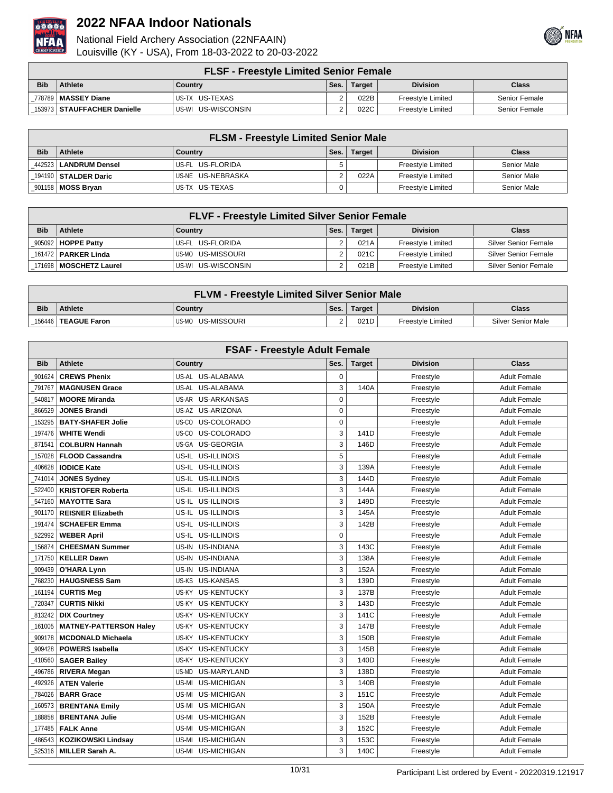



|            | <b>FLSF - Freestyle Limited Senior Female</b> |                    |      |               |                   |               |  |  |
|------------|-----------------------------------------------|--------------------|------|---------------|-------------------|---------------|--|--|
| <b>Bib</b> | Athlete                                       | Country            | Ses. | <b>Target</b> | <b>Division</b>   | <b>Class</b>  |  |  |
|            | 778789   MASSEY Diane                         | US-TX US-TEXAS     |      | 022B          | Freestyle Limited | Senior Female |  |  |
|            | 153973   STAUFFACHER Danielle                 | US-WI US-WISCONSIN |      | 022C          | Freestyle Limited | Senior Female |  |  |

| <b>FLSM - Freestyle Limited Senior Male</b> |                         |                   |      |               |                   |             |  |
|---------------------------------------------|-------------------------|-------------------|------|---------------|-------------------|-------------|--|
| <b>Bib</b>                                  | Athlete                 | Country           | Ses. | <b>Target</b> | <b>Division</b>   | Class       |  |
|                                             | 442523   LANDRUM Densel | US-FL US-FLORIDA  | 5    |               | Freestyle Limited | Senior Male |  |
|                                             | 194190   STALDER Daric  | US-NE US-NEBRASKA |      | 022A          | Freestyle Limited | Senior Male |  |
|                                             | 901158   MOSS Bryan     | US-TX US-TEXAS    |      |               | Freestyle Limited | Senior Male |  |

|            | <b>FLVF - Freestyle Limited Silver Senior Female</b> |                    |      |               |                   |                             |  |  |
|------------|------------------------------------------------------|--------------------|------|---------------|-------------------|-----------------------------|--|--|
| <b>Bib</b> | Athlete                                              | Country            | Ses. | <b>Target</b> | <b>Division</b>   | <b>Class</b>                |  |  |
|            | 905092   HOPPE Patty                                 | US-FL US-FLORIDA   |      | 021A          | Freestyle Limited | Silver Senior Female        |  |  |
|            | 161472   PARKER Linda                                | US-MO US-MISSOURI  |      | 021C          | Freestyle Limited | <b>Silver Senior Female</b> |  |  |
|            | 171698   MOSCHETZ Laurel                             | US-WI US-WISCONSIN |      | 021B          | Freestyle Limited | <b>Silver Senior Female</b> |  |  |

|            | <b>FLVM - Freestyle Limited Silver Senior Male</b> |                    |      |        |                   |                           |  |  |
|------------|----------------------------------------------------|--------------------|------|--------|-------------------|---------------------------|--|--|
| <b>Bib</b> | <b>Athlete</b>                                     | <b>Country</b>     | Ses. | Target | <b>Division</b>   | <b>Class</b>              |  |  |
|            | 156446   TEAGUE Faron                              | IUS-MO US-MISSOURI | C    | 021D   | Freestyle Limited | <b>Silver Senior Male</b> |  |  |

|            | <b>FSAF - Freestyle Adult Female</b> |                             |             |               |                 |                     |  |  |  |
|------------|--------------------------------------|-----------------------------|-------------|---------------|-----------------|---------------------|--|--|--|
| <b>Bib</b> | <b>Athlete</b>                       | <b>Country</b>              | Ses.        | <b>Target</b> | <b>Division</b> | <b>Class</b>        |  |  |  |
| 901624     | <b>CREWS Phenix</b>                  | US-AL US-ALABAMA            | 0           |               | Freestyle       | <b>Adult Female</b> |  |  |  |
| 791767     | <b>MAGNUSEN Grace</b>                | US-AL US-ALABAMA            | 3           | 140A          | Freestyle       | <b>Adult Female</b> |  |  |  |
| 540817     | <b>MOORE Miranda</b>                 | US-ARKANSAS<br>US-AR        | $\Omega$    |               | Freestyle       | <b>Adult Female</b> |  |  |  |
| 866529     | <b>JONES Brandi</b>                  | US-AZ US-ARIZONA            | $\Omega$    |               | Freestyle       | <b>Adult Female</b> |  |  |  |
| 153295     | <b>BATY-SHAFER Jolie</b>             | US-COLORADO<br>US-CO        | $\mathbf 0$ |               | Freestyle       | <b>Adult Female</b> |  |  |  |
| 197476     | <b>WHITE Wendi</b>                   | US-COLORADO<br>US-CO        | 3           | 141D          | Freestyle       | <b>Adult Female</b> |  |  |  |
| 871541     | <b>COLBURN Hannah</b>                | US-GA<br><b>US-GEORGIA</b>  | 3           | 146D          | Freestyle       | <b>Adult Female</b> |  |  |  |
| 157028     | <b>FLOOD Cassandra</b>               | US-ILLINOIS<br>US-IL        | 5           |               | Freestyle       | <b>Adult Female</b> |  |  |  |
| 406628     | <b>IODICE Kate</b>                   | US-ILLINOIS<br>US-IL        | 3           | 139A          | Freestyle       | <b>Adult Female</b> |  |  |  |
| 741014     | <b>JONES Sydney</b>                  | US-IL US-ILLINOIS           | 3           | 144D          | Freestyle       | <b>Adult Female</b> |  |  |  |
| 522400     | <b>KRISTOFER Roberta</b>             | US-IL US-ILLINOIS           | 3           | 144A          | Freestyle       | <b>Adult Female</b> |  |  |  |
| 547160     | <b>MAYOTTE Sara</b>                  | US-IL US-ILLINOIS           | 3           | 149D          | Freestyle       | <b>Adult Female</b> |  |  |  |
| 901170     | <b>REISNER Elizabeth</b>             | US-IL US-ILLINOIS           | 3           | 145A          | Freestyle       | <b>Adult Female</b> |  |  |  |
| 191474     | <b>SCHAEFER Emma</b>                 | US-IL US-ILLINOIS           | 3           | 142B          | Freestyle       | <b>Adult Female</b> |  |  |  |
| 522992     | <b>WEBER April</b>                   | US-IL US-ILLINOIS           | $\Omega$    |               | Freestyle       | <b>Adult Female</b> |  |  |  |
| 156874     | <b>CHEESMAN Summer</b>               | US-IN US-INDIANA            | 3           | 143C          | Freestyle       | <b>Adult Female</b> |  |  |  |
| 171750     | <b>KELLER Dawn</b>                   | US-IN US-INDIANA            | 3           | 138A          | Freestyle       | <b>Adult Female</b> |  |  |  |
| 909439     | O'HARA Lynn                          | US-IN US-INDIANA            | 3           | 152A          | Freestyle       | <b>Adult Female</b> |  |  |  |
| 768230     | <b>HAUGSNESS Sam</b>                 | US-KS US-KANSAS             | 3           | 139D          | Freestyle       | <b>Adult Female</b> |  |  |  |
| 161194     | <b>CURTIS Meg</b>                    | US-KY US-KENTUCKY           | 3           | 137B          | Freestyle       | <b>Adult Female</b> |  |  |  |
| 720347     | <b>CURTIS Nikki</b>                  | US-KY US-KENTUCKY           | 3           | 143D          | Freestyle       | <b>Adult Female</b> |  |  |  |
| 813242     | <b>DIX Courtney</b>                  | US-KY<br><b>US-KENTUCKY</b> | 3           | 141C          | Freestyle       | <b>Adult Female</b> |  |  |  |
| 161005     | <b>MATNEY-PATTERSON Haley</b>        | US-KY<br><b>US-KENTUCKY</b> | 3           | 147B          | Freestyle       | <b>Adult Female</b> |  |  |  |
| 909178     | <b>MCDONALD Michaela</b>             | US-KY<br><b>US-KENTUCKY</b> | 3           | 150B          | Freestyle       | <b>Adult Female</b> |  |  |  |
| 909428     | <b>POWERS Isabella</b>               | US-KY<br><b>US-KENTUCKY</b> | 3           | 145B          | Freestyle       | <b>Adult Female</b> |  |  |  |
| 410560     | <b>SAGER Bailey</b>                  | <b>US-KENTUCKY</b><br>US-KY | 3           | 140D          | Freestyle       | <b>Adult Female</b> |  |  |  |
| 496786     | <b>RIVERA Megan</b>                  | US-MARYLAND<br>US-MD        | 3           | 138D          | Freestyle       | <b>Adult Female</b> |  |  |  |
| 492926     | <b>ATEN Valerie</b>                  | US-MI<br>US-MICHIGAN        | 3           | 140B          | Freestyle       | <b>Adult Female</b> |  |  |  |
| 784026     | <b>BARR Grace</b>                    | US-MI<br>US-MICHIGAN        | 3           | 151C          | Freestyle       | <b>Adult Female</b> |  |  |  |
| 160573     | <b>BRENTANA Emily</b>                | <b>US-MICHIGAN</b><br>US-MI | 3           | 150A          | Freestyle       | <b>Adult Female</b> |  |  |  |
| 188858     | <b>BRENTANA Julie</b>                | <b>US-MICHIGAN</b><br>US-MI | 3           | 152B          | Freestyle       | <b>Adult Female</b> |  |  |  |
| 177485     | <b>FALK Anne</b>                     | US-MI<br><b>US-MICHIGAN</b> | 3           | 152C          | Freestyle       | <b>Adult Female</b> |  |  |  |
| 486543     | <b>KOZIKOWSKI Lindsay</b>            | US-MI<br><b>US-MICHIGAN</b> | 3           | 153C          | Freestyle       | <b>Adult Female</b> |  |  |  |
|            | 525316   MILLER Sarah A.             | US-MI US-MICHIGAN           | 3           | 140C          | Freestyle       | <b>Adult Female</b> |  |  |  |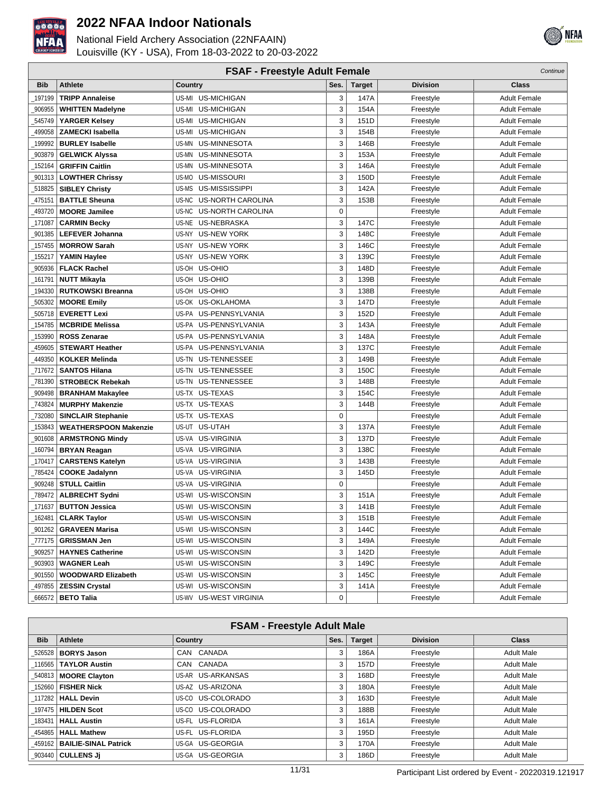



|            | <b>FSAF - Freestyle Adult Female</b><br>Continue |                             |             |               |                 |                     |  |  |  |
|------------|--------------------------------------------------|-----------------------------|-------------|---------------|-----------------|---------------------|--|--|--|
| <b>Bib</b> | <b>Athlete</b>                                   | Country                     | Ses.        | <b>Target</b> | <b>Division</b> | Class               |  |  |  |
| 197199     | <b>TRIPP Annaleise</b>                           | US-MI US-MICHIGAN           | 3           | 147A          | Freestyle       | <b>Adult Female</b> |  |  |  |
| 906955     | <b>WHITTEN Madelyne</b>                          | US-MI US-MICHIGAN           | 3           | 154A          | Freestyle       | Adult Female        |  |  |  |
| 545749     | <b>YARGER Kelsey</b>                             | US-MI US-MICHIGAN           | 3           | 151D          | Freestyle       | <b>Adult Female</b> |  |  |  |
| 499058     | <b>ZAMECKI Isabella</b>                          | US-MI<br>US-MICHIGAN        | 3           | 154B          | Freestyle       | <b>Adult Female</b> |  |  |  |
| 199992     | <b>BURLEY Isabelle</b>                           | US-MN<br>US-MINNESOTA       | 3           | 146B          | Freestyle       | <b>Adult Female</b> |  |  |  |
| 903879     | <b>GELWICK Alyssa</b>                            | US-MN<br>US-MINNESOTA       | 3           | 153A          | Freestyle       | <b>Adult Female</b> |  |  |  |
| 152164     | <b>GRIFFIN Caitlin</b>                           | US-MN<br>US-MINNESOTA       | 3           | 146A          | Freestyle       | <b>Adult Female</b> |  |  |  |
| 901313     | <b>LOWTHER Chrissy</b>                           | US-MO US-MISSOURI           | 3           | 150D          | Freestyle       | <b>Adult Female</b> |  |  |  |
| 518825     | <b>SIBLEY Christy</b>                            | US-MS US-MISSISSIPPI        | 3           | 142A          | Freestyle       | <b>Adult Female</b> |  |  |  |
| 475151     | <b>BATTLE Sheuna</b>                             | US-NC US-NORTH CAROLINA     | 3           | 153B          | Freestyle       | <b>Adult Female</b> |  |  |  |
| 493720     | <b>MOORE Jamilee</b>                             | US-NC US-NORTH CAROLINA     | $\mathbf 0$ |               | Freestyle       | <b>Adult Female</b> |  |  |  |
| 171087     | <b>CARMIN Becky</b>                              | US-NE US-NEBRASKA           | 3           | 147C          | Freestyle       | <b>Adult Female</b> |  |  |  |
| 901385     | <b>LEFEVER Johanna</b>                           | US-NY US-NEW YORK           | 3           | 148C          | Freestyle       | <b>Adult Female</b> |  |  |  |
| 157455     | <b>MORROW Sarah</b>                              | <b>US-NEW YORK</b><br>US-NY | 3           | 146C          | Freestyle       | <b>Adult Female</b> |  |  |  |
| 155217     | <b>YAMIN Haylee</b>                              | US-NY<br><b>US-NEW YORK</b> | 3           | 139C          | Freestyle       | <b>Adult Female</b> |  |  |  |
| 905936     | <b>FLACK Rachel</b>                              | US-OH US-OHIO               | 3           | 148D          | Freestyle       | <b>Adult Female</b> |  |  |  |
| 161791     | <b>NUTT Mikayla</b>                              | US-OH US-OHIO               | 3           | 139B          | Freestyle       | <b>Adult Female</b> |  |  |  |
| 194330     | <b>RUTKOWSKI Breanna</b>                         | US-OH US-OHIO               | 3           | 138B          | Freestyle       | <b>Adult Female</b> |  |  |  |
| 505302     | <b>MOORE Emily</b>                               | US-OK US-OKLAHOMA           | 3           | 147D          | Freestyle       | <b>Adult Female</b> |  |  |  |
| 505718     | <b>EVERETT Lexi</b>                              | US-PA US-PENNSYLVANIA       | 3           | 152D          | Freestyle       | <b>Adult Female</b> |  |  |  |
| 154785     | <b>MCBRIDE Melissa</b>                           | US-PA US-PENNSYLVANIA       | 3           | 143A          | Freestyle       | <b>Adult Female</b> |  |  |  |
| 153990     | <b>ROSS Zenarae</b>                              | US-PA US-PENNSYLVANIA       | 3           | 148A          | Freestyle       | <b>Adult Female</b> |  |  |  |
| 459605     | <b>STEWART Heather</b>                           | US-PA US-PENNSYLVANIA       | 3           | 137C          | Freestyle       | <b>Adult Female</b> |  |  |  |
| 449350     | <b>KOLKER Melinda</b>                            | US-TENNESSEE<br>US-TN       | 3           | 149B          | Freestyle       | <b>Adult Female</b> |  |  |  |
| 717672     | <b>SANTOS Hilana</b>                             | US-TN US-TENNESSEE          | 3           | 150C          | Freestyle       | <b>Adult Female</b> |  |  |  |
| 781390     | <b>STROBECK Rebekah</b>                          | US-TN US-TENNESSEE          | 3           | 148B          | Freestyle       | <b>Adult Female</b> |  |  |  |
| 909498     | <b>BRANHAM Makaylee</b>                          | US-TX US-TEXAS              | 3           | 154C          | Freestyle       | <b>Adult Female</b> |  |  |  |
| 743824     | <b>MURPHY Makenzie</b>                           | US-TX US-TEXAS              | 3           | 144B          | Freestyle       | <b>Adult Female</b> |  |  |  |
| 732080     | <b>SINCLAIR Stephanie</b>                        | US-TX US-TEXAS              | $\mathbf 0$ |               | Freestyle       | <b>Adult Female</b> |  |  |  |
| 153843     | <b>WEATHERSPOON Makenzie</b>                     | US-UT US-UTAH               | 3           | 137A          | Freestyle       | <b>Adult Female</b> |  |  |  |
| 901608     | <b>ARMSTRONG Mindy</b>                           | US-VA US-VIRGINIA           | 3           | 137D          | Freestyle       | <b>Adult Female</b> |  |  |  |
| 160794     | <b>BRYAN Reagan</b>                              | US-VA US-VIRGINIA           | 3           | 138C          | Freestyle       | <b>Adult Female</b> |  |  |  |
| 170417     | <b>CARSTENS Katelyn</b>                          | US-VA<br><b>US-VIRGINIA</b> | 3           | 143B          | Freestyle       | <b>Adult Female</b> |  |  |  |
| 785424     | <b>COOKE Jadalynn</b>                            | US-VA US-VIRGINIA           | 3           | 145D          | Freestyle       | <b>Adult Female</b> |  |  |  |
| 909248     | <b>STULL Caitlin</b>                             | US-VA US-VIRGINIA           | 0           |               | Freestyle       | <b>Adult Female</b> |  |  |  |
| 789472     | <b>ALBRECHT Sydni</b>                            | US-WI US-WISCONSIN          | 3           | 151A          | Freestyle       | <b>Adult Female</b> |  |  |  |
|            | 171637   BUTTON Jessica                          | US-WI US-WISCONSIN          | 3           | 141B          | Freestyle       | <b>Adult Female</b> |  |  |  |
| 162481     | <b>CLARK Taylor</b>                              | US-WI US-WISCONSIN          | 3           | 151B          | Freestyle       | <b>Adult Female</b> |  |  |  |
| 901262     | <b>GRAVEEN Marisa</b>                            | US-WI US-WISCONSIN          | 3           | 144C          | Freestyle       | <b>Adult Female</b> |  |  |  |
| 777175     | <b>GRISSMAN Jen</b>                              | US-WI US-WISCONSIN          | 3           | 149A          | Freestyle       | <b>Adult Female</b> |  |  |  |
| 909257     | <b>HAYNES Catherine</b>                          | US-WI US-WISCONSIN          | 3           | 142D          | Freestyle       | <b>Adult Female</b> |  |  |  |
| 903903     | <b>WAGNER Leah</b>                               | US-WI<br>US-WISCONSIN       | 3           | 149C          | Freestyle       | <b>Adult Female</b> |  |  |  |
| 901550     | <b>WOODWARD Elizabeth</b>                        | US-WI<br>US-WISCONSIN       | 3           | 145C          | Freestyle       | <b>Adult Female</b> |  |  |  |
|            | 497855   ZESSIN Crystal                          | US-WI US-WISCONSIN          | 3           | 141A          | Freestyle       | <b>Adult Female</b> |  |  |  |
| 666572     | <b>BETO Talia</b>                                | US-WV US-WEST VIRGINIA      | 0           |               | Freestyle       | <b>Adult Female</b> |  |  |  |

|            | <b>FSAM - Freestyle Adult Male</b> |                     |      |               |                 |                   |  |  |  |
|------------|------------------------------------|---------------------|------|---------------|-----------------|-------------------|--|--|--|
| <b>Bib</b> | Athlete                            | <b>Country</b>      | Ses. | <b>Target</b> | <b>Division</b> | <b>Class</b>      |  |  |  |
| 526528     | <b>BORYS Jason</b>                 | CANADA<br>CAN       | 3    | 186A          | Freestyle       | <b>Adult Male</b> |  |  |  |
| 116565     | <b>TAYLOR Austin</b>               | CANADA<br>CAN       | 3    | 157D          | Freestyle       | <b>Adult Male</b> |  |  |  |
|            | 540813   MOORE Clayton             | US-AR US-ARKANSAS   | 3    | 168D          | Freestyle       | <b>Adult Male</b> |  |  |  |
|            | 152660   FISHER Nick               | US-AZ US-ARIZONA    | 3    | 180A          | Freestyle       | <b>Adult Male</b> |  |  |  |
|            | 117282   HALL Devin                | US-CO US-COLORADO   | 3    | 163D          | Freestyle       | <b>Adult Male</b> |  |  |  |
|            | 197475   HILDEN Scot               | US-CO US-COLORADO   | 3    | 188B          | Freestyle       | <b>Adult Male</b> |  |  |  |
| 183431     | <b>HALL Austin</b>                 | US-FL US-FLORIDA    | 3    | 161A          | Freestyle       | <b>Adult Male</b> |  |  |  |
|            | 454865   HALL Mathew               | US-FL US-FLORIDA    | 3    | 195D          | Freestyle       | <b>Adult Male</b> |  |  |  |
|            | 459162   BAILIE-SINAL Patrick      | US-GA US-GEORGIA    | 3    | 170A          | Freestyle       | <b>Adult Male</b> |  |  |  |
|            | 903440   CULLENS Ji                | US-GEORGIA<br>US-GA | 3    | 186D          | Freestyle       | <b>Adult Male</b> |  |  |  |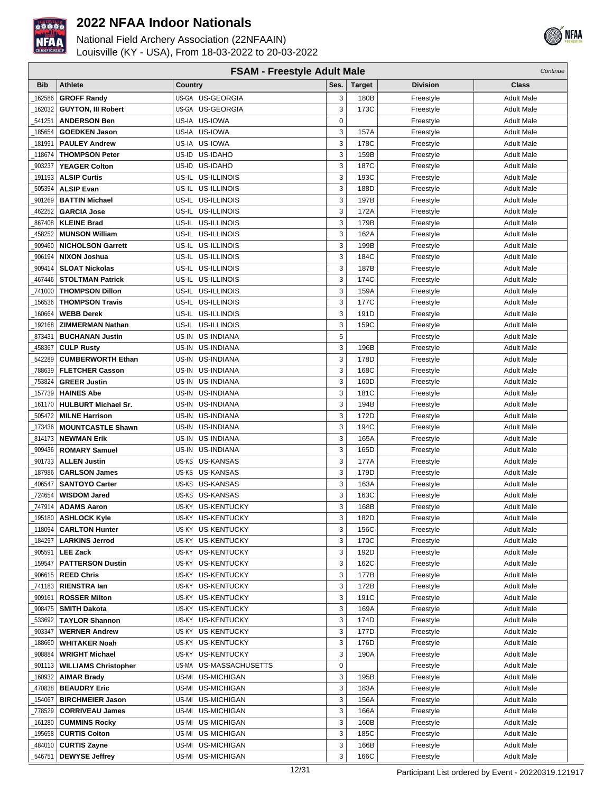



|                  | <b>FSAM - Freestyle Adult Male</b><br>Continue |                                            |             |               |                        |                                        |  |  |
|------------------|------------------------------------------------|--------------------------------------------|-------------|---------------|------------------------|----------------------------------------|--|--|
| <b>Bib</b>       | <b>Athlete</b>                                 | Country                                    | Ses.        | <b>Target</b> | <b>Division</b>        | Class                                  |  |  |
| 162586           | <b>GROFF Randy</b>                             | US-GA US-GEORGIA                           | 3           | 180B          | Freestyle              | <b>Adult Male</b>                      |  |  |
| 162032           | <b>GUYTON, III Robert</b>                      | US-GA US-GEORGIA                           | 3           | 173C          | Freestyle              | <b>Adult Male</b>                      |  |  |
| 541251           | <b>ANDERSON Ben</b>                            | US-IA US-IOWA                              | $\mathbf 0$ |               | Freestyle              | <b>Adult Male</b>                      |  |  |
| 185654           | <b>GOEDKEN Jason</b>                           | US-IA US-IOWA                              | 3           | 157A          | Freestyle              | <b>Adult Male</b>                      |  |  |
| 181991           | <b>PAULEY Andrew</b>                           | US-IA US-IOWA                              | 3           | 178C          | Freestyle              | <b>Adult Male</b>                      |  |  |
| 118674           | <b>THOMPSON Peter</b>                          | US-ID US-IDAHO                             | 3           | 159B          | Freestyle              | <b>Adult Male</b>                      |  |  |
| 903237           | <b>YEAGER Colton</b>                           | US-ID US-IDAHO                             | 3           | 187C          | Freestyle              | <b>Adult Male</b>                      |  |  |
| 191193           | <b>ALSIP Curtis</b>                            | US-IL US-ILLINOIS                          | 3           | 193C          | Freestyle              | <b>Adult Male</b>                      |  |  |
| 505394           | <b>ALSIP Evan</b>                              | US-IL US-ILLINOIS                          | 3           | 188D          | Freestyle              | <b>Adult Male</b>                      |  |  |
| 901269           | <b>BATTIN Michael</b>                          | US-IL US-ILLINOIS                          | 3           | 197B          | Freestyle              | <b>Adult Male</b>                      |  |  |
| 462252           | <b>GARCIA Jose</b>                             | US-IL US-ILLINOIS                          | 3           | 172A          | Freestyle              | <b>Adult Male</b>                      |  |  |
| 867408           | <b>KLEINE Brad</b>                             | US-IL US-ILLINOIS                          | 3           | 179B          | Freestyle              | <b>Adult Male</b>                      |  |  |
| 458252           | <b>MUNSON William</b>                          | US-ILLINOIS<br>US-IL                       | 3           | 162A          | Freestyle              | <b>Adult Male</b>                      |  |  |
| 909460           | <b>NICHOLSON Garrett</b>                       | US-IL US-ILLINOIS                          | 3           | 199B          | Freestyle              | <b>Adult Male</b>                      |  |  |
| 906194           | <b>NIXON Joshua</b>                            | US-IL US-ILLINOIS                          | 3           | 184C          | Freestyle              | <b>Adult Male</b>                      |  |  |
| 909414           | <b>SLOAT Nickolas</b>                          | US-IL US-ILLINOIS                          | 3           | 187B          | Freestyle              | <b>Adult Male</b>                      |  |  |
| 467446           | <b>STOLTMAN Patrick</b>                        | US-IL US-ILLINOIS                          | 3           | 174C          | Freestyle              | <b>Adult Male</b>                      |  |  |
| 741000           | <b>THOMPSON Dillon</b>                         | US-IL US-ILLINOIS                          | 3           | 159A          | Freestyle              | <b>Adult Male</b>                      |  |  |
| 156536           | <b>THOMPSON Travis</b>                         | US-IL US-ILLINOIS                          | 3           | 177C          | Freestyle              | <b>Adult Male</b>                      |  |  |
| 160664           | <b>WEBB Derek</b>                              | US-IL US-ILLINOIS                          | 3           | 191D          | Freestyle              | <b>Adult Male</b>                      |  |  |
| 192168           | <b>ZIMMERMAN Nathan</b>                        | US-IL US-ILLINOIS                          | 3           | 159C          | Freestyle              | <b>Adult Male</b>                      |  |  |
| 873431           | <b>BUCHANAN Justin</b>                         | US-INDIANA<br>US-IN                        | 5           |               | Freestyle              | <b>Adult Male</b>                      |  |  |
| 458367           | <b>CULP Rusty</b>                              | US-IN US-INDIANA                           | 3           | 196B          | Freestyle              | <b>Adult Male</b>                      |  |  |
| 542289           | <b>CUMBERWORTH Ethan</b>                       | US-IN US-INDIANA                           | 3           | 178D          | Freestyle              | <b>Adult Male</b>                      |  |  |
| 788639           | <b>FLETCHER Casson</b>                         | US-IN US-INDIANA                           | 3           | 168C          | Freestyle              | <b>Adult Male</b>                      |  |  |
| 753824           | <b>GREER Justin</b>                            | US-IN US-INDIANA                           | 3           | 160D          | Freestyle              | <b>Adult Male</b>                      |  |  |
| 157739           | <b>HAINES Abe</b>                              | US-IN US-INDIANA                           | 3           | 181C          | Freestyle              | <b>Adult Male</b>                      |  |  |
| 161170           | <b>HULBURT Michael Sr.</b>                     | US-IN US-INDIANA                           | 3           | 194B          | Freestyle              | <b>Adult Male</b>                      |  |  |
| 505472           | <b>MILNE Harrison</b>                          | US-IN US-INDIANA                           | 3           | 172D          | Freestyle              | <b>Adult Male</b>                      |  |  |
| 173436           | <b>MOUNTCASTLE Shawn</b><br><b>NEWMAN Erik</b> | US-INDIANA<br>US-IN<br>US-IN<br>US-INDIANA | 3<br>3      | 194C<br>165A  | Freestyle              | <b>Adult Male</b><br><b>Adult Male</b> |  |  |
| 814173<br>909436 | <b>ROMARY Samuel</b>                           | US-INDIANA<br>US-IN                        | 3           | 165D          | Freestyle<br>Freestyle | <b>Adult Male</b>                      |  |  |
| 901733           | <b>ALLEN Justin</b>                            | US-KS US-KANSAS                            | 3           | 177A          | Freestyle              | <b>Adult Male</b>                      |  |  |
| 187986           | <b>CARLSON James</b>                           | US-KS US-KANSAS                            | 3           | 179D          | Freestyle              | <b>Adult Male</b>                      |  |  |
| 406547           | <b>SANTOYO Carter</b>                          | US-KS US-KANSAS                            | 3           | 163A          | Freestyle              | <b>Adult Male</b>                      |  |  |
| 724654           | <b>WISDOM Jared</b>                            | US-KS US-KANSAS                            | 3           | 163C          | Freestyle              | <b>Adult Male</b>                      |  |  |
| 747914           | <b>ADAMS Aaron</b>                             | US-KY US-KENTUCKY                          | 3           | 168B          | Freestyle              | <b>Adult Male</b>                      |  |  |
|                  | 195180   ASHLOCK Kyle                          | US-KY US-KENTUCKY                          | 3           | 182D          | Freestyle              | <b>Adult Male</b>                      |  |  |
| 118094           | <b>CARLTON Hunter</b>                          | US-KY US-KENTUCKY                          | 3           | 156C          | Freestyle              | <b>Adult Male</b>                      |  |  |
| 184297           | <b>LARKINS Jerrod</b>                          | US-KY US-KENTUCKY                          | 3           | 170C          | Freestyle              | <b>Adult Male</b>                      |  |  |
| 905591           | <b>LEE Zack</b>                                | US-KY US-KENTUCKY                          | 3           | 192D          | Freestyle              | <b>Adult Male</b>                      |  |  |
| 159547           | <b>PATTERSON Dustin</b>                        | US-KY US-KENTUCKY                          | 3           | 162C          | Freestyle              | <b>Adult Male</b>                      |  |  |
| 906615           | <b>REED Chris</b>                              | US-KY US-KENTUCKY                          | 3           | 177B          | Freestyle              | <b>Adult Male</b>                      |  |  |
| 741183           | <b>RIENSTRA lan</b>                            | US-KY US-KENTUCKY                          | 3           | 172B          | Freestyle              | <b>Adult Male</b>                      |  |  |
| 909161           | <b>ROSSER Milton</b>                           | US-KY US-KENTUCKY                          | 3           | 191C          | Freestyle              | <b>Adult Male</b>                      |  |  |
| 908475           | <b>SMITH Dakota</b>                            | US-KY US-KENTUCKY                          | 3           | 169A          | Freestyle              | <b>Adult Male</b>                      |  |  |
| 533692           | <b>TAYLOR Shannon</b>                          | US-KY US-KENTUCKY                          | 3           | 174D          | Freestyle              | <b>Adult Male</b>                      |  |  |
| 903347           | <b>WERNER Andrew</b>                           | US-KY US-KENTUCKY                          | 3           | 177D          | Freestyle              | <b>Adult Male</b>                      |  |  |
| 188660           | <b>WHITAKER Noah</b>                           | US-KY US-KENTUCKY                          | 3           | 176D          | Freestyle              | <b>Adult Male</b>                      |  |  |
| 908884           | <b>WRIGHT Michael</b>                          | US-KY US-KENTUCKY                          | 3           | 190A          | Freestyle              | <b>Adult Male</b>                      |  |  |
| _901113          | <b>WILLIAMS Christopher</b>                    | US-MA US-MASSACHUSETTS                     | 0           |               | Freestyle              | <b>Adult Male</b>                      |  |  |
| 160932           | <b>AIMAR Brady</b>                             | US-MI US-MICHIGAN                          | 3           | 195B          | Freestyle              | <b>Adult Male</b>                      |  |  |
| 470838           | <b>BEAUDRY Eric</b>                            | US-MI US-MICHIGAN                          | 3           | 183A          | Freestyle              | <b>Adult Male</b>                      |  |  |
| 154067           | <b>BIRCHMEIER Jason</b>                        | US-MI US-MICHIGAN                          | 3           | 156A          | Freestyle              | <b>Adult Male</b>                      |  |  |
| 778529           | <b>CORRIVEAU James</b>                         | US-MI US-MICHIGAN                          | 3           | 166A          | Freestyle              | <b>Adult Male</b>                      |  |  |
| 161280           | <b>CUMMINS Rocky</b>                           | US-MI US-MICHIGAN                          | 3           | 160B          | Freestyle              | <b>Adult Male</b>                      |  |  |
| 195658           | <b>CURTIS Colton</b>                           | US-MI US-MICHIGAN                          | 3           | 185C          | Freestyle              | <b>Adult Male</b>                      |  |  |
| 484010           | <b>CURTIS Zayne</b>                            | US-MI US-MICHIGAN                          | 3           | 166B          | Freestyle              | <b>Adult Male</b>                      |  |  |
| 546751           | <b>DEWYSE Jeffrey</b>                          | US-MI US-MICHIGAN                          | 3           | 166C          | Freestyle              | <b>Adult Male</b>                      |  |  |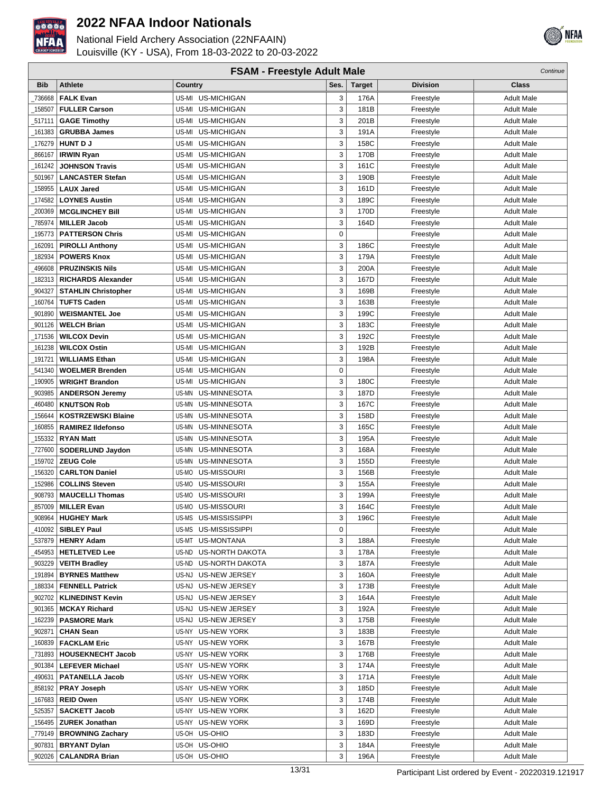



|                  | <b>FSAM - Freestyle Adult Male</b><br>Continue |                                |        |               |                        |                                        |  |  |
|------------------|------------------------------------------------|--------------------------------|--------|---------------|------------------------|----------------------------------------|--|--|
| <b>Bib</b>       | <b>Athlete</b>                                 | Country                        | Ses.   | <b>Target</b> | <b>Division</b>        | Class                                  |  |  |
| 736668           | <b>FALK Evan</b>                               | US-MI US-MICHIGAN              | 3      | 176A          | Freestyle              | <b>Adult Male</b>                      |  |  |
| 158507           | <b>FULLER Carson</b>                           | US-MI US-MICHIGAN              | 3      | 181B          | Freestyle              | <b>Adult Male</b>                      |  |  |
| 517111           | <b>GAGE Timothy</b>                            | US-MI<br><b>US-MICHIGAN</b>    | 3      | 201B          | Freestyle              | <b>Adult Male</b>                      |  |  |
| 161383           | <b>GRUBBA James</b>                            | US-MI<br>US-MICHIGAN           | 3      | 191A          | Freestyle              | <b>Adult Male</b>                      |  |  |
| 176279           | <b>HUNT DJ</b>                                 | <b>US-MICHIGAN</b><br>US-MI    | 3      | 158C          | Freestyle              | <b>Adult Male</b>                      |  |  |
| 866167           | <b>IRWIN Ryan</b>                              | <b>US-MICHIGAN</b><br>US-MI    | 3      | 170B          | Freestyle              | <b>Adult Male</b>                      |  |  |
| 161242           | <b>JOHNSON Travis</b>                          | <b>US-MICHIGAN</b><br>US-MI    | 3      | 161C          | Freestyle              | <b>Adult Male</b>                      |  |  |
| 501967           | <b>LANCASTER Stefan</b>                        | US-MICHIGAN<br>US-MI           | 3      | 190B          | Freestyle              | <b>Adult Male</b>                      |  |  |
| 158955           | <b>LAUX Jared</b>                              | US-MI US-MICHIGAN              | 3      | 161D          | Freestyle              | <b>Adult Male</b>                      |  |  |
| 174582           | <b>LOYNES Austin</b>                           | US-MI US-MICHIGAN              | 3      | 189C          | Freestyle              | <b>Adult Male</b>                      |  |  |
| 200369           | <b>MCGLINCHEY Bill</b>                         | US-MI US-MICHIGAN              | 3      | 170D          | Freestyle              | <b>Adult Male</b>                      |  |  |
| 785974           | <b>MILLER Jacob</b>                            | US-MI<br>US-MICHIGAN           | 3      | 164D          | Freestyle              | <b>Adult Male</b>                      |  |  |
| 195773           | <b>PATTERSON Chris</b>                         | US-MI<br>US-MICHIGAN           | 0      |               | Freestyle              | <b>Adult Male</b>                      |  |  |
| 162091           | <b>PIROLLI Anthony</b>                         | <b>US-MICHIGAN</b><br>US-MI    | 3      | 186C          | Freestyle              | <b>Adult Male</b>                      |  |  |
| 182934           | <b>POWERS Knox</b>                             | <b>US-MICHIGAN</b><br>US-MI    | 3      | 179A          | Freestyle              | <b>Adult Male</b>                      |  |  |
| 496608           | <b>PRUZINSKIS Nils</b>                         | <b>US-MICHIGAN</b><br>US-MI    | 3      | 200A          | Freestyle              | <b>Adult Male</b>                      |  |  |
| 182313           | <b>RICHARDS Alexander</b>                      | US-MICHIGAN<br>US-MI           | 3      | 167D          | Freestyle              | <b>Adult Male</b>                      |  |  |
| 904327           | <b>STAHLIN Christopher</b>                     | US-MICHIGAN<br>US-MI           | 3      | 169B          | Freestyle              | <b>Adult Male</b>                      |  |  |
| 160764           | <b>TUFTS Caden</b>                             | US-MI US-MICHIGAN              | 3      | 163B          | Freestyle              | <b>Adult Male</b>                      |  |  |
| 901890           | <b>WEISMANTEL Joe</b>                          | US-MI US-MICHIGAN              | 3      | 199C          | Freestyle              | <b>Adult Male</b>                      |  |  |
| 901126           | <b>WELCH Brian</b>                             | US-MI<br><b>US-MICHIGAN</b>    | 3      | 183C          | Freestyle              | <b>Adult Male</b>                      |  |  |
| 171536           | <b>WILCOX Devin</b>                            | US-MI<br>US-MICHIGAN           | 3      | 192C          | Freestyle              | <b>Adult Male</b>                      |  |  |
| 161238           | <b>WILCOX Ostin</b>                            | <b>US-MICHIGAN</b><br>US-MI    | 3      | 192B          | Freestyle              | <b>Adult Male</b>                      |  |  |
| 191721           | <b>WILLIAMS Ethan</b>                          | <b>US-MICHIGAN</b><br>US-MI    | 3      | 198A          | Freestyle              | <b>Adult Male</b>                      |  |  |
| 541340           | <b>WOELMER Brenden</b>                         | <b>US-MICHIGAN</b><br>US-MI    | 0      |               | Freestyle              | <b>Adult Male</b>                      |  |  |
| 190905           | <b>WRIGHT Brandon</b>                          | US-MICHIGAN<br>US-MI           | 3      | 180C          | Freestyle              | <b>Adult Male</b>                      |  |  |
| 903985           | <b>ANDERSON Jeremy</b>                         | US-MN<br>US-MINNESOTA          | 3      | 187D          | Freestyle              | Adult Male                             |  |  |
| 460480           | <b>KNUTSON Rob</b>                             | US-MN US-MINNESOTA             | 3      | 167C          | Freestyle              | <b>Adult Male</b>                      |  |  |
| 156644           | <b>KOSTRZEWSKI Blaine</b>                      | US-MN<br>US-MINNESOTA          | 3      | 158D          | Freestyle              | <b>Adult Male</b>                      |  |  |
| 160855           | <b>RAMIREZ Ildefonso</b>                       | US-MINNESOTA<br>US-MN          | 3      | 165C          | Freestyle              | <b>Adult Male</b>                      |  |  |
| 155332           | <b>RYAN Matt</b>                               | US-MN<br>US-MINNESOTA          | 3      | 195A          | Freestyle              | <b>Adult Male</b>                      |  |  |
| 727600           | SODERLUND Jaydon                               | <b>US-MINNESOTA</b><br>US-MN   | 3      | 168A          | Freestyle              | <b>Adult Male</b>                      |  |  |
| 159702           | <b>ZEUG Cole</b>                               | US-MN<br><b>US-MINNESOTA</b>   | 3      | 155D          | Freestyle              | <b>Adult Male</b>                      |  |  |
| 156320           | <b>CARLTON Daniel</b>                          | US-MISSOURI<br>US-MO           | 3      | 156B          | Freestyle              | <b>Adult Male</b>                      |  |  |
| 152986           | <b>COLLINS Steven</b>                          | US-MISSOURI<br>US-MO           | 3      | 155A          | Freestyle              | <b>Adult Male</b>                      |  |  |
| 908793           | <b>MAUCELLI Thomas</b>                         | US-MISSOURI<br>US-MO           | 3      | 199A          | Freestyle              | Adult Male                             |  |  |
| 857009           | <b>MILLER Evan</b>                             | US-MO US-MISSOURI              | 3      | 164C          | Freestyle              | <b>Adult Male</b>                      |  |  |
|                  | 908964   HUGHEY Mark                           | US-MS US-MISSISSIPPI           | 3      | 196C          | Freestyle              | <b>Adult Male</b>                      |  |  |
| 410092           | <b>SIBLEY Paul</b>                             | US-MS US-MISSISSIPPI           | 0      |               | Freestyle              | <b>Adult Male</b>                      |  |  |
|                  | 537879   HENRY Adam                            | US-MT US-MONTANA               | 3      | 188A          | Freestyle              | <b>Adult Male</b>                      |  |  |
| 454953           | <b>HETLETVED Lee</b>                           | US-ND US-NORTH DAKOTA          | 3      | 178A          | Freestyle              | <b>Adult Male</b>                      |  |  |
| 903229           | <b>VEITH Bradley</b>                           | US-ND US-NORTH DAKOTA          | 3      | 187A          | Freestyle              | <b>Adult Male</b>                      |  |  |
| 191894           | <b>BYRNES Matthew</b>                          | US-NJ US-NEW JERSEY            | 3      | 160A          | Freestyle              | Adult Male                             |  |  |
| 188334           | <b>FENNELL Patrick</b>                         | US-NJ US-NEW JERSEY            | 3      | 173B          | Freestyle              | <b>Adult Male</b>                      |  |  |
| 902702           | <b>KLINEDINST Kevin</b>                        | US-NJ US-NEW JERSEY            | 3      | 164A          | Freestyle              | Adult Male                             |  |  |
| 901365           | <b>MCKAY Richard</b>                           | US-NJ US-NEW JERSEY            | 3      | 192A          | Freestyle              | <b>Adult Male</b>                      |  |  |
| 162239           | <b>PASMORE Mark</b>                            | US-NJ US-NEW JERSEY            | 3      | 175B          | Freestyle              | <b>Adult Male</b>                      |  |  |
| 902871           | <b>CHAN Sean</b>                               | US-NY US-NEW YORK              | 3      | 183B          | Freestyle              | <b>Adult Male</b>                      |  |  |
| 160839           | <b>FACKLAM Eric</b>                            | US-NY US-NEW YORK              | 3      | 167B          | Freestyle              | Adult Male                             |  |  |
| 731893           | <b>HOUSEKNECHT Jacob</b>                       | US-NY US-NEW YORK              | 3      | 176B          | Freestyle              | <b>Adult Male</b>                      |  |  |
| 901384           | <b>LEFEVER Michael</b>                         | US-NY US-NEW YORK              | 3      | 174A          | Freestyle              | <b>Adult Male</b>                      |  |  |
| 490631           | <b>PATANELLA Jacob</b>                         | US-NY US-NEW YORK              | 3      | 171A          | Freestyle              | <b>Adult Male</b>                      |  |  |
| 858192           | <b>PRAY Joseph</b>                             | US-NY US-NEW YORK              | 3      | 185D          | Freestyle              | <b>Adult Male</b>                      |  |  |
| 167683           | <b>REID Owen</b>                               | US-NY US-NEW YORK              | 3      | 174B          | Freestyle              | Adult Male                             |  |  |
| 525357           | <b>SACKETT Jacob</b>                           | US-NY US-NEW YORK              | 3      | 162D          | Freestyle              | <b>Adult Male</b>                      |  |  |
|                  | 156495   ZUREK Jonathan                        | US-NY US-NEW YORK              | 3      | 169D          | Freestyle              | <b>Adult Male</b>                      |  |  |
| 779149           | <b>BROWNING Zachary</b>                        | US-OH US-OHIO<br>US-OH US-OHIO | 3<br>3 | 183D          | Freestyle              | <b>Adult Male</b>                      |  |  |
| 907831<br>902026 | <b>BRYANT Dylan</b><br><b>CALANDRA Brian</b>   | US-OH US-OHIO                  | 3      | 184A<br>196A  | Freestyle<br>Freestyle | <b>Adult Male</b><br><b>Adult Male</b> |  |  |
|                  |                                                |                                |        |               |                        |                                        |  |  |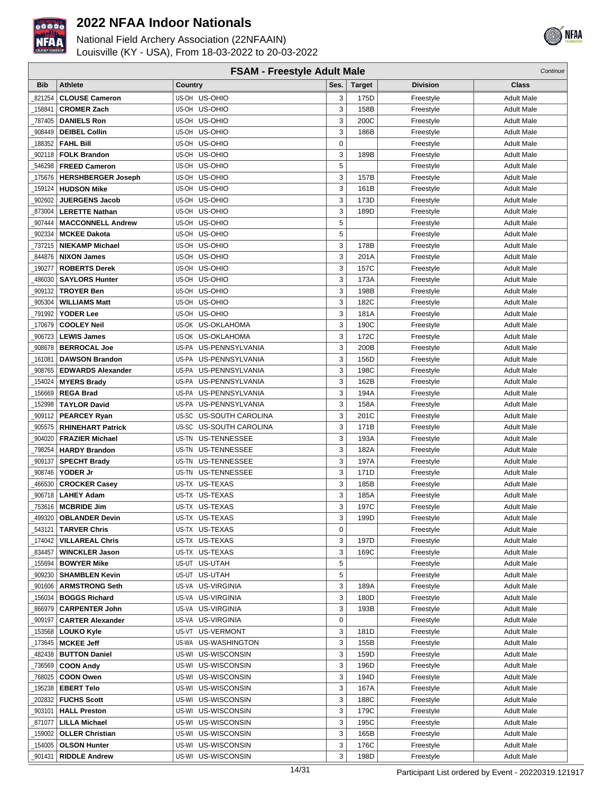



| <b>FSAM - Freestyle Adult Male</b><br>Continue |                                 |                                                    |             |               |                        |                                        |  |
|------------------------------------------------|---------------------------------|----------------------------------------------------|-------------|---------------|------------------------|----------------------------------------|--|
| <b>Bib</b>                                     | <b>Athlete</b>                  | Country                                            | Ses.        | <b>Target</b> | <b>Division</b>        | Class                                  |  |
| 821254                                         | <b>CLOUSE Cameron</b>           | US-OH US-OHIO                                      | 3           | 175D          | Freestyle              | <b>Adult Male</b>                      |  |
| 158841                                         | <b>CROMER Zach</b>              | US-OH US-OHIO                                      | 3           | 158B          | Freestyle              | <b>Adult Male</b>                      |  |
| 787405                                         | <b>DANIELS Ron</b>              | US-OH US-OHIO                                      | 3           | 200C          | Freestyle              | <b>Adult Male</b>                      |  |
| 908449                                         | <b>DEIBEL Collin</b>            | US-OHIO<br>US-OH                                   | 3           | 186B          | Freestyle              | <b>Adult Male</b>                      |  |
| 188352                                         | <b>FAHL Bill</b>                | US-OHIO<br>US-OH                                   | $\mathbf 0$ |               | Freestyle              | <b>Adult Male</b>                      |  |
| 902118                                         | <b>FOLK Brandon</b>             | US-OH US-OHIO                                      | 3           | 189B          | Freestyle              | <b>Adult Male</b>                      |  |
| 546298                                         | <b>FREED Cameron</b>            | US-OH US-OHIO                                      | 5           |               | Freestyle              | <b>Adult Male</b>                      |  |
| 175676                                         | <b>HERSHBERGER Joseph</b>       | US-OH US-OHIO                                      | 3           | 157B          | Freestyle              | <b>Adult Male</b>                      |  |
| 159124                                         | <b>HUDSON Mike</b>              | US-OH US-OHIO                                      | 3           | 161B          | Freestyle              | <b>Adult Male</b>                      |  |
| 902602                                         | <b>JUERGENS Jacob</b>           | US-OH US-OHIO                                      | 3           | 173D          | Freestyle              | <b>Adult Male</b>                      |  |
| 873004                                         | <b>LERETTE Nathan</b>           | US-OH US-OHIO                                      | 3           | 189D          | Freestyle              | <b>Adult Male</b>                      |  |
| 907444                                         | <b>MACCONNELL Andrew</b>        | US-OH<br>US-OHIO                                   | 5           |               | Freestyle              | <b>Adult Male</b>                      |  |
| 902334                                         | <b>MCKEE Dakota</b>             | US-OHIO<br>US-OH                                   | 5           |               | Freestyle              | <b>Adult Male</b>                      |  |
| 737215                                         | <b>NIEKAMP Michael</b>          | US-OH<br>US-OHIO                                   | 3           | 178B          | Freestyle              | <b>Adult Male</b>                      |  |
| 844876                                         | <b>NIXON James</b>              | US-OH US-OHIO                                      | 3           | 201A          | Freestyle              | <b>Adult Male</b>                      |  |
| 190277                                         | <b>ROBERTS Derek</b>            | US-OH US-OHIO                                      | 3           | 157C          | Freestyle              | <b>Adult Male</b>                      |  |
| 486030                                         | <b>SAYLORS Hunter</b>           | US-OH US-OHIO                                      | 3           | 173A          | Freestyle              | <b>Adult Male</b>                      |  |
| 909132                                         | <b>TROYER Ben</b>               | US-OH US-OHIO                                      | 3           | 198B          | Freestyle              | <b>Adult Male</b>                      |  |
| 905304                                         | <b>WILLIAMS Matt</b>            | US-OH US-OHIO                                      | 3           | 182C          | Freestyle              | <b>Adult Male</b>                      |  |
| 791992                                         | <b>YODER Lee</b>                | US-OH US-OHIO                                      | 3           | 181A          | Freestyle              | <b>Adult Male</b>                      |  |
| 170679                                         | <b>COOLEY Neil</b>              | US-OK<br>US-OKLAHOMA                               | 3           | 190C          | Freestyle              | <b>Adult Male</b>                      |  |
| 906723                                         | <b>LEWIS James</b>              | US-OK<br>US-OKLAHOMA                               | 3           | 172C          | Freestyle              | <b>Adult Male</b>                      |  |
| 908678                                         | <b>BERROCAL Joe</b>             | US-PA<br>US-PENNSYLVANIA                           | 3           | 200B          | Freestyle              | <b>Adult Male</b>                      |  |
| 161081                                         | <b>DAWSON Brandon</b>           | US-PA US-PENNSYLVANIA                              | 3           | 156D          | Freestyle              | <b>Adult Male</b>                      |  |
| 908765                                         | <b>EDWARDS Alexander</b>        | US-PA US-PENNSYLVANIA                              | 3           | 198C          | Freestyle              | <b>Adult Male</b>                      |  |
| 154024                                         | <b>MYERS Brady</b>              | US-PA US-PENNSYLVANIA                              | 3           | 162B          | Freestyle              | <b>Adult Male</b>                      |  |
| 156669                                         | <b>REGA Brad</b>                | US-PA US-PENNSYLVANIA                              | 3           | 194A          | Freestyle              | <b>Adult Male</b>                      |  |
| 152998                                         | <b>TAYLOR David</b>             | US-PA US-PENNSYLVANIA                              | 3           | 158A          | Freestyle              | <b>Adult Male</b>                      |  |
| 909112                                         | <b>PEARCEY Ryan</b>             | US-SC US-SOUTH CAROLINA                            | 3           | 201C          | Freestyle              | <b>Adult Male</b>                      |  |
| 905575                                         | <b>RHINEHART Patrick</b>        | US-SC<br>US-SOUTH CAROLINA                         | 3           | 171B          | Freestyle              | <b>Adult Male</b>                      |  |
| 904020                                         | <b>FRAZIER Michael</b>          | US-TN<br>US-TENNESSEE                              | 3           | 193A          | Freestyle              | <b>Adult Male</b>                      |  |
| 798254                                         | <b>HARDY Brandon</b>            | <b>US-TENNESSEE</b><br>US-TN<br>US-TN US-TENNESSEE | 3<br>3      | 182A          | Freestyle              | <b>Adult Male</b>                      |  |
| 909137<br>908746                               | <b>SPECHT Brady</b><br>YODER Jr | US-TN US-TENNESSEE                                 | 3           | 197A<br>171D  | Freestyle              | <b>Adult Male</b><br><b>Adult Male</b> |  |
| 466530                                         | <b>CROCKER Casey</b>            | US-TX US-TEXAS                                     | 3           | 185B          | Freestyle              |                                        |  |
| 906718                                         | <b>LAHEY Adam</b>               | US-TX US-TEXAS                                     | 3           | 185A          | Freestyle<br>Freestyle | <b>Adult Male</b><br><b>Adult Male</b> |  |
|                                                | 753616   MCBRIDE Jim            | US-TX US-TEXAS                                     | 3           | 197C          | Freestyle              | <b>Adult Male</b>                      |  |
| 499320                                         | <b>OBLANDER Devin</b>           | US-TX US-TEXAS                                     | 3           | 199D          | Freestyle              | <b>Adult Male</b>                      |  |
| 543121                                         | <b>TARVER Chris</b>             | US-TX US-TEXAS                                     | $\mathbf 0$ |               | Freestyle              | <b>Adult Male</b>                      |  |
| 174042                                         | <b>VILLAREAL Chris</b>          | US-TX US-TEXAS                                     | 3           | 197D          | Freestyle              | <b>Adult Male</b>                      |  |
| 834457                                         | <b>WINCKLER Jason</b>           | US-TX US-TEXAS                                     | 3           | 169C          | Freestyle              | <b>Adult Male</b>                      |  |
| 155694                                         | <b>BOWYER Mike</b>              | US-UT US-UTAH                                      | 5           |               | Freestyle              | <b>Adult Male</b>                      |  |
| 909230                                         | <b>SHAMBLEN Kevin</b>           | US-UT US-UTAH                                      | 5           |               | Freestyle              | <b>Adult Male</b>                      |  |
| 901606                                         | <b>ARMSTRONG Seth</b>           | US-VA US-VIRGINIA                                  | 3           | 189A          | Freestyle              | <b>Adult Male</b>                      |  |
| 156034                                         | <b>BOGGS Richard</b>            | US-VA US-VIRGINIA                                  | 3           | 180D          | Freestyle              | <b>Adult Male</b>                      |  |
| 866979                                         | <b>CARPENTER John</b>           | US-VA US-VIRGINIA                                  | 3           | 193B          | Freestyle              | <b>Adult Male</b>                      |  |
| 909197                                         | <b>CARTER Alexander</b>         | US-VA US-VIRGINIA                                  | $\pmb{0}$   |               | Freestyle              | <b>Adult Male</b>                      |  |
| 153568                                         | <b>LOUKO Kyle</b>               | US-VT US-VERMONT                                   | 3           | 181D          | Freestyle              | <b>Adult Male</b>                      |  |
| 173645                                         | <b>MCKEE Jeff</b>               | US-WA US-WASHINGTON                                | 3           | 155B          | Freestyle              | <b>Adult Male</b>                      |  |
| 482438                                         | <b>BUTTON Daniel</b>            | US-WI US-WISCONSIN                                 | 3           | 159D          | Freestyle              | <b>Adult Male</b>                      |  |
| 736569                                         | <b>COON Andy</b>                | US-WI US-WISCONSIN                                 | 3           | 196D          | Freestyle              | <b>Adult Male</b>                      |  |
| 768025                                         | <b>COON Owen</b>                | US-WI US-WISCONSIN                                 | 3           | 194D          | Freestyle              | <b>Adult Male</b>                      |  |
| 195238                                         | <b>EBERT Telo</b>               | US-WI US-WISCONSIN                                 | 3           | 167A          | Freestyle              | <b>Adult Male</b>                      |  |
| 202832                                         | <b>FUCHS Scott</b>              | US-WI US-WISCONSIN                                 | 3           | 188C          | Freestyle              | <b>Adult Male</b>                      |  |
| 903101                                         | <b>HALL Preston</b>             | US-WI US-WISCONSIN                                 | 3           | 179C          | Freestyle              | <b>Adult Male</b>                      |  |
| 871077                                         | <b>LILLA Michael</b>            | US-WI US-WISCONSIN                                 | 3           | 195C          | Freestyle              | <b>Adult Male</b>                      |  |
| 159002                                         | <b>OLLER Christian</b>          | US-WI US-WISCONSIN                                 | 3           | 165B          | Freestyle              | <b>Adult Male</b>                      |  |
| 154005                                         | <b>OLSON Hunter</b>             | US-WI US-WISCONSIN                                 | 3           | 176C          | Freestyle              | <b>Adult Male</b>                      |  |
| 901431                                         | <b>RIDDLE Andrew</b>            | US-WI US-WISCONSIN                                 | 3           | 198D          | Freestyle              | <b>Adult Male</b>                      |  |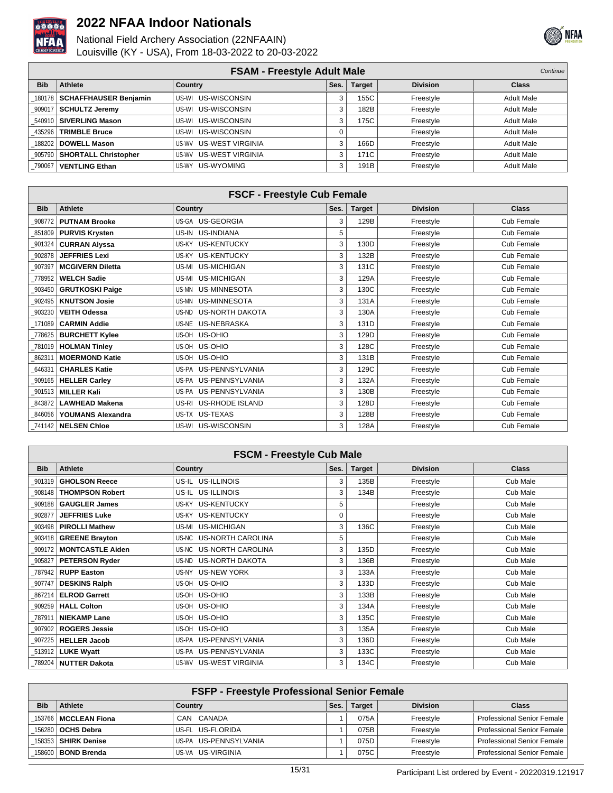



|            | <b>FSAM - Freestyle Adult Male</b><br>Continue |                                  |      |               |                 |                   |  |  |
|------------|------------------------------------------------|----------------------------------|------|---------------|-----------------|-------------------|--|--|
| <b>Bib</b> | Athlete                                        | Country                          | Ses. | <b>Target</b> | <b>Division</b> | <b>Class</b>      |  |  |
|            | 180178   SCHAFFHAUSER Benjamin                 | US-WI US-WISCONSIN               | 3    | 155C          | Freestyle       | <b>Adult Male</b> |  |  |
|            | 909017   SCHULTZ Jeremy                        | US-WISCONSIN<br>US-WI            | 3    | 182B          | Freestyle       | <b>Adult Male</b> |  |  |
|            | 540910   SIVERLING Mason                       | US-WISCONSIN<br>US-WI            | 3    | 175C          | Freestyle       | <b>Adult Male</b> |  |  |
| 435296     | <b>TRIMBLE Bruce</b>                           | US-WISCONSIN<br>US-WI            |      |               | Freestyle       | <b>Adult Male</b> |  |  |
|            | 188202   DOWELL Mason                          | <b>US-WEST VIRGINIA</b><br>US-WV | 3    | 166D          | Freestyle       | <b>Adult Male</b> |  |  |
|            | 905790   SHORTALL Christopher                  | <b>US-WEST VIRGINIA</b><br>US-WV | 3    | 171C          | Freestyle       | <b>Adult Male</b> |  |  |
| 790067 L   | VENTLING Ethan                                 | US-WYOMING<br>US-WY              | 3    | 191B          | Freestyle       | <b>Adult Male</b> |  |  |

| <b>FSCF - Freestyle Cub Female</b> |                          |                       |      |               |                 |            |  |  |
|------------------------------------|--------------------------|-----------------------|------|---------------|-----------------|------------|--|--|
| <b>Bib</b>                         | <b>Athlete</b>           | <b>Country</b>        | Ses. | <b>Target</b> | <b>Division</b> | Class      |  |  |
| 908772                             | <b>PUTNAM Brooke</b>     | US-GA US-GEORGIA      | 3    | 129B          | Freestyle       | Cub Female |  |  |
| 851809                             | <b>PURVIS Krysten</b>    | US-IN US-INDIANA      | 5    |               | Freestyle       | Cub Female |  |  |
| 901324                             | <b>CURRAN Alyssa</b>     | US-KY US-KENTUCKY     | 3    | 130D          | Freestyle       | Cub Female |  |  |
| 902878                             | <b>JEFFRIES Lexi</b>     | US-KY US-KENTUCKY     | 3    | 132B          | Freestyle       | Cub Female |  |  |
| 907397                             | <b>MCGIVERN Diletta</b>  | US-MI US-MICHIGAN     | 3    | 131C          | Freestyle       | Cub Female |  |  |
| 778952                             | <b>WELCH Sadie</b>       | US-MI US-MICHIGAN     | 3    | 129A          | Freestyle       | Cub Female |  |  |
| 903450                             | <b>GRUTKOSKI Paige</b>   | US-MN US-MINNESOTA    | 3    | 130C          | Freestyle       | Cub Female |  |  |
| 902495                             | <b>KNUTSON Josie</b>     | US-MN US-MINNESOTA    | 3    | 131A          | Freestyle       | Cub Female |  |  |
| 903230                             | <b>VEITH Odessa</b>      | US-ND US-NORTH DAKOTA | 3    | 130A          | Freestyle       | Cub Female |  |  |
| 171089                             | <b>CARMIN Addie</b>      | US-NE US-NEBRASKA     | 3    | 131D          | Freestyle       | Cub Female |  |  |
| 778625                             | <b>BURCHETT Kylee</b>    | US-OH US-OHIO         | 3    | 129D          | Freestyle       | Cub Female |  |  |
| 781019                             | <b>HOLMAN Tinley</b>     | US-OH US-OHIO         | 3    | 128C          | Freestyle       | Cub Female |  |  |
| 862311                             | <b>MOERMOND Katie</b>    | US-OH US-OHIO         | 3    | 131B          | Freestyle       | Cub Female |  |  |
| 646331                             | <b>CHARLES Katie</b>     | US-PA US-PENNSYLVANIA | 3    | 129C          | Freestyle       | Cub Female |  |  |
| 909165                             | <b>HELLER Carley</b>     | US-PA US-PENNSYLVANIA | 3    | 132A          | Freestyle       | Cub Female |  |  |
| 901513                             | <b>MILLER Kali</b>       | US-PA US-PENNSYLVANIA | 3    | 130B          | Freestyle       | Cub Female |  |  |
| 843872                             | <b>LAWHEAD Makena</b>    | US-RI US-RHODE ISLAND | 3    | 128D          | Freestyle       | Cub Female |  |  |
| 846056                             | <b>YOUMANS Alexandra</b> | US-TX US-TEXAS        | 3    | 128B          | Freestyle       | Cub Female |  |  |
| 741142                             | <b>NELSEN Chloe</b>      | US-WI US-WISCONSIN    | 3    | 128A          | Freestyle       | Cub Female |  |  |

| <b>FSCM - Freestyle Cub Male</b> |                         |                         |      |               |                 |          |  |  |
|----------------------------------|-------------------------|-------------------------|------|---------------|-----------------|----------|--|--|
| <b>Bib</b>                       | <b>Athlete</b>          | <b>Country</b>          | Ses. | <b>Target</b> | <b>Division</b> | Class    |  |  |
| 901319                           | <b>GHOLSON Reece</b>    | US-IL US-ILLINOIS       | 3    | 135B          | Freestyle       | Cub Male |  |  |
| 908148                           | <b>THOMPSON Robert</b>  | US-IL US-ILLINOIS       | 3    | 134B          | Freestyle       | Cub Male |  |  |
| 909188                           | <b>GAUGLER James</b>    | US-KY US-KENTUCKY       | 5    |               | Freestyle       | Cub Male |  |  |
| 902877                           | <b>JEFFRIES Luke</b>    | US-KY US-KENTUCKY       | 0    |               | Freestyle       | Cub Male |  |  |
| 903498                           | <b>PIROLLI Mathew</b>   | US-MI US-MICHIGAN       | 3    | 136C          | Freestyle       | Cub Male |  |  |
| 903418                           | <b>GREENE Brayton</b>   | US-NC US-NORTH CAROLINA | 5    |               | Freestyle       | Cub Male |  |  |
| 909172                           | <b>MONTCASTLE Aiden</b> | US-NC US-NORTH CAROLINA | 3    | 135D          | Freestyle       | Cub Male |  |  |
| 905827                           | <b>PETERSON Ryder</b>   | US-ND US-NORTH DAKOTA   | 3    | 136B          | Freestyle       | Cub Male |  |  |
| 787942                           | <b>RUPP Easton</b>      | US-NY US-NEW YORK       | 3    | 133A          | Freestyle       | Cub Male |  |  |
| 907747                           | <b>DESKINS Ralph</b>    | US-OH US-OHIO           | 3    | 133D          | Freestyle       | Cub Male |  |  |
| 867214                           | <b>ELROD Garrett</b>    | US-OH US-OHIO           | 3    | 133B          | Freestyle       | Cub Male |  |  |
| 909259                           | <b>HALL Colton</b>      | US-OH US-OHIO           | 3    | 134A          | Freestyle       | Cub Male |  |  |
| 787911                           | <b>NIEKAMP Lane</b>     | US-OH US-OHIO           | 3    | 135C          | Freestyle       | Cub Male |  |  |
| 907902                           | <b>ROGERS Jessie</b>    | US-OH US-OHIO           | 3    | 135A          | Freestyle       | Cub Male |  |  |
| 907225                           | <b>HELLER Jacob</b>     | US-PA US-PENNSYLVANIA   | 3    | 136D          | Freestyle       | Cub Male |  |  |
| 513912                           | <b>LUKE Wyatt</b>       | US-PA US-PENNSYLVANIA   | 3    | 133C          | Freestyle       | Cub Male |  |  |
| 789204                           | <b>NUTTER Dakota</b>    | US-WV US-WEST VIRGINIA  | 3    | 134C          | Freestyle       | Cub Male |  |  |

|            | <b>FSFP - Freestyle Professional Senior Female</b> |                       |      |               |                 |                                   |  |  |  |
|------------|----------------------------------------------------|-----------------------|------|---------------|-----------------|-----------------------------------|--|--|--|
| <b>Bib</b> | Athlete                                            | Country               | Ses. | <b>Target</b> | <b>Division</b> | <b>Class</b>                      |  |  |  |
|            | 153766   MCCLEAN Fiona                             | CAN CANADA            |      | 075A          | Freestyle       | <b>Professional Senior Female</b> |  |  |  |
|            | 156280   OCHS Debra                                | US-FL US-FLORIDA      |      | 075B          | Freestyle       | <b>Professional Senior Female</b> |  |  |  |
|            | 158353   SHIRK Denise                              | US-PA US-PENNSYLVANIA |      | 075D          | Freestyle       | <b>Professional Senior Female</b> |  |  |  |
|            | 158600   <b>BOND Brenda</b>                        | US-VA US-VIRGINIA     |      | 075C          | Freestyle       | Professional Senior Female        |  |  |  |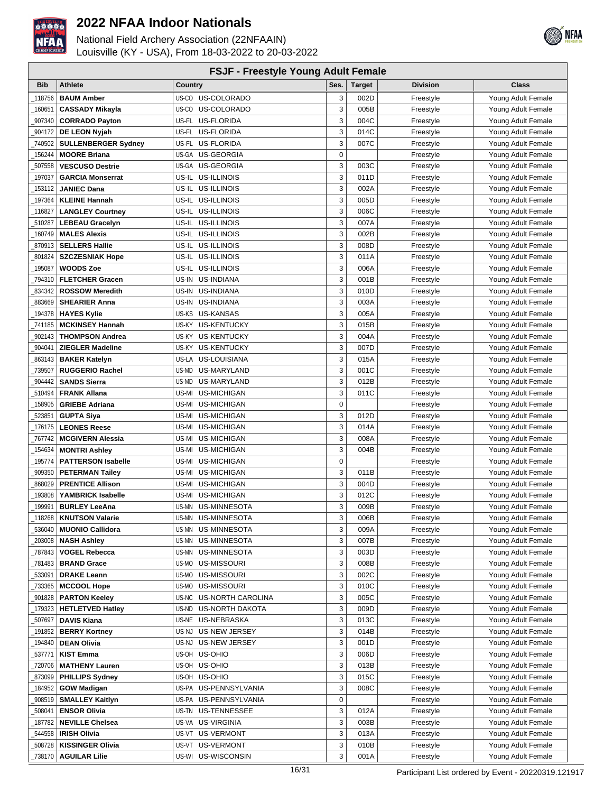



| FSJF - Freestyle Young Adult Female |                            |                         |           |               |                 |                    |  |
|-------------------------------------|----------------------------|-------------------------|-----------|---------------|-----------------|--------------------|--|
| <b>Bib</b>                          | Athlete                    | <b>Country</b>          | Ses.      | <b>Target</b> | <b>Division</b> | <b>Class</b>       |  |
| 118756                              | <b>BAUM Amber</b>          | US-CO US-COLORADO       | 3         | 002D          | Freestyle       | Young Adult Female |  |
| 160651                              | <b>CASSADY Mikayla</b>     | US-CO US-COLORADO       | 3         | 005B          | Freestyle       | Young Adult Female |  |
| 907340                              | <b>CORRADO Payton</b>      | US-FL US-FLORIDA        | 3         | 004C          | Freestyle       | Young Adult Female |  |
| 904172                              |                            | US-FL US-FLORIDA        | 3         | 014C          | Freestyle       |                    |  |
|                                     | DE LEON Nyjah              |                         |           |               |                 | Young Adult Female |  |
| 740502                              | <b>SULLENBERGER Sydney</b> | US-FL US-FLORIDA        | 3         | 007C          | Freestyle       | Young Adult Female |  |
| 156244                              | <b>MOORE Briana</b>        | US-GA US-GEORGIA        | $\pmb{0}$ |               | Freestyle       | Young Adult Female |  |
| 507558                              | <b>VESCUSO Destrie</b>     | US-GA US-GEORGIA        | 3         | 003C          | Freestyle       | Young Adult Female |  |
| 197037                              | <b>GARCIA Monserrat</b>    | US-IL US-ILLINOIS       | 3         | 011D          | Freestyle       | Young Adult Female |  |
| 153112                              | <b>JANIEC Dana</b>         | US-IL US-ILLINOIS       | 3         | 002A          | Freestyle       | Young Adult Female |  |
| 197364                              | <b>KLEINE Hannah</b>       | US-IL US-ILLINOIS       | 3         | 005D          | Freestyle       | Young Adult Female |  |
| 116827_                             | <b>LANGLEY Courtney</b>    | US-IL US-ILLINOIS       | 3         | 006C          | Freestyle       | Young Adult Female |  |
| 510287                              | <b>LEBEAU Gracelyn</b>     | US-IL US-ILLINOIS       | 3         | 007A          | Freestyle       | Young Adult Female |  |
| 160749                              | <b>MALES Alexis</b>        | US-IL US-ILLINOIS       | 3         | 002B          | Freestyle       | Young Adult Female |  |
| 870913                              | <b>SELLERS Hallie</b>      | US-IL US-ILLINOIS       | 3         | 008D          | Freestyle       | Young Adult Female |  |
| 801824                              | <b>SZCZESNIAK Hope</b>     | US-IL<br>US-ILLINOIS    | 3         | 011A          | Freestyle       | Young Adult Female |  |
| 195087                              | <b>WOODS Zoe</b>           | US-IL<br>US-ILLINOIS    | 3         | 006A          | Freestyle       | Young Adult Female |  |
| 794310                              | <b>FLETCHER Gracen</b>     | US-IN US-INDIANA        | 3         | 001B          | Freestyle       | Young Adult Female |  |
| 834342                              | <b>ROSSOW Meredith</b>     | US-IN US-INDIANA        | 3         | 010D          | Freestyle       | Young Adult Female |  |
| 883669                              | <b>SHEARIER Anna</b>       | US-IN US-INDIANA        | 3         | 003A          | Freestyle       | Young Adult Female |  |
| 194378                              | <b>HAYES Kylie</b>         | US-KS US-KANSAS         | 3         | 005A          | Freestyle       | Young Adult Female |  |
| 741185                              | <b>MCKINSEY Hannah</b>     | US-KY US-KENTUCKY       | 3         | 015B          | Freestyle       | Young Adult Female |  |
| 902143                              | <b>THOMPSON Andrea</b>     | US-KY US-KENTUCKY       | 3         | 004A          | Freestyle       | Young Adult Female |  |
| 904041                              | <b>ZIEGLER Madeline</b>    | US-KY US-KENTUCKY       | 3         | 007D          | Freestyle       | Young Adult Female |  |
| 863143                              | <b>BAKER Katelyn</b>       | US-LA US-LOUISIANA      | 3         | 015A          | Freestyle       | Young Adult Female |  |
| 739507                              | <b>RUGGERIO Rachel</b>     | US-MD<br>US-MARYLAND    | 3         | 001C          | Freestyle       | Young Adult Female |  |
| 904442                              | <b>SANDS Sierra</b>        | US-MARYLAND<br>US-MD    | 3         | 012B          | Freestyle       | Young Adult Female |  |
| 510494                              | <b>FRANK Allana</b>        | US-MI<br>US-MICHIGAN    | 3         | 011C          | Freestyle       | Young Adult Female |  |
| 158905                              | <b>GRIEBE Adriana</b>      | US-MI<br>US-MICHIGAN    | 0         |               | Freestyle       | Young Adult Female |  |
| 523851                              | <b>GUPTA Siya</b>          | US-MI US-MICHIGAN       | 3         | 012D          | Freestyle       | Young Adult Female |  |
| 176175                              | <b>LEONES Reese</b>        | US-MI US-MICHIGAN       | 3         | 014A          | Freestyle       | Young Adult Female |  |
| 767742                              | <b>MCGIVERN Alessia</b>    | US-MI US-MICHIGAN       | 3         | 008A          | Freestyle       | Young Adult Female |  |
| 154634                              | <b>MONTRI Ashley</b>       | US-MI US-MICHIGAN       | 3         | 004B          | Freestyle       | Young Adult Female |  |
| _195774                             | <b>PATTERSON Isabelle</b>  | US-MI<br>US-MICHIGAN    | $\pmb{0}$ |               | Freestyle       | Young Adult Female |  |
| 909350                              | <b>PETERMAN Tailey</b>     | US-MI<br>US-MICHIGAN    | 3         | 011B          | Freestyle       | Young Adult Female |  |
| 868029                              | <b>PRENTICE Allison</b>    | US-MI<br>US-MICHIGAN    | 3         | 004D          | Freestyle       | Young Adult Female |  |
| 193808                              | YAMBRICK Isabelle          | US-MI<br>US-MICHIGAN    | 3         | 012C          | Freestyle       | Young Adult Female |  |
| 199991                              | <b>BURLEY LeeAna</b>       | US-MN US-MINNESOTA      | 3         | 009B          | Freestyle       | Young Adult Female |  |
| 118268_                             | <b>KNUTSON Valarie</b>     | US-MN US-MINNESOTA      | 3         | 006B          | Freestyle       | Young Adult Female |  |
| _536040                             | <b>MUONIO Callidora</b>    | US-MN US-MINNESOTA      | 3         | 009A          | Freestyle       | Young Adult Female |  |
| 203008                              | <b>NASH Ashley</b>         | US-MN US-MINNESOTA      | 3         | 007B          | Freestyle       | Young Adult Female |  |
| 787843                              | <b>VOGEL Rebecca</b>       | US-MN US-MINNESOTA      | 3         | 003D          | Freestyle       | Young Adult Female |  |
| _781483                             | <b>BRAND Grace</b>         | US-MO<br>US-MISSOURI    | 3         | 008B          | Freestyle       | Young Adult Female |  |
| 533091                              | <b>DRAKE Leann</b>         | US-MO<br>US-MISSOURI    | 3         | 002C          | Freestyle       | Young Adult Female |  |
| 733365                              | <b>MCCOOL Hope</b>         | US-MISSOURI<br>US-MO    | 3         | 010C          | Freestyle       | Young Adult Female |  |
| 901828                              | <b>PARTON Keeley</b>       | US-NC US-NORTH CAROLINA | 3         | 005C          | Freestyle       | Young Adult Female |  |
| 179323                              | <b>HETLETVED Hatley</b>    | US-ND US-NORTH DAKOTA   | 3         | 009D          | Freestyle       | Young Adult Female |  |
| 507697                              | <b>DAVIS Kiana</b>         | US-NE US-NEBRASKA       | 3         | 013C          | Freestyle       | Young Adult Female |  |
| 191852                              |                            | US-NJ US-NEW JERSEY     | 3         | 014B          |                 | Young Adult Female |  |
|                                     | <b>BERRY Kortney</b>       | US-NJ US-NEW JERSEY     | 3         | 001D          | Freestyle       |                    |  |
| 194840                              | <b>DEAN Olivia</b>         |                         |           |               | Freestyle       | Young Adult Female |  |
| 537771                              | <b>KIST Emma</b>           | US-OH US-OHIO           | 3         | 006D          | Freestyle       | Young Adult Female |  |
| 720706                              | <b>MATHENY Lauren</b>      | US-OH US-OHIO           | 3         | 013B          | Freestyle       | Young Adult Female |  |
| 873099                              | <b>PHILLIPS Sydney</b>     | US-OH US-OHIO           | 3         | 015C          | Freestyle       | Young Adult Female |  |
| 184952                              | <b>GOW Madigan</b>         | US-PA US-PENNSYLVANIA   | 3         | 008C          | Freestyle       | Young Adult Female |  |
| 908519                              | <b>SMALLEY Kaitlyn</b>     | US-PA US-PENNSYLVANIA   | $\pmb{0}$ |               | Freestyle       | Young Adult Female |  |
| 508041                              | <b>ENSOR Olivia</b>        | US-TN US-TENNESSEE      | 3         | 012A          | Freestyle       | Young Adult Female |  |
| 187782                              | <b>NEVILLE Chelsea</b>     | US-VA US-VIRGINIA       | 3         | 003B          | Freestyle       | Young Adult Female |  |
| 544558                              | <b>IRISH Olivia</b>        | US-VT US-VERMONT        | 3         | 013A          | Freestyle       | Young Adult Female |  |
| 508728                              | <b>KISSINGER Olivia</b>    | US-VT US-VERMONT        | 3         | 010B          | Freestyle       | Young Adult Female |  |
| 738170                              | <b>AGUILAR Lilie</b>       | US-WI US-WISCONSIN      | 3         | 001A          | Freestyle       | Young Adult Female |  |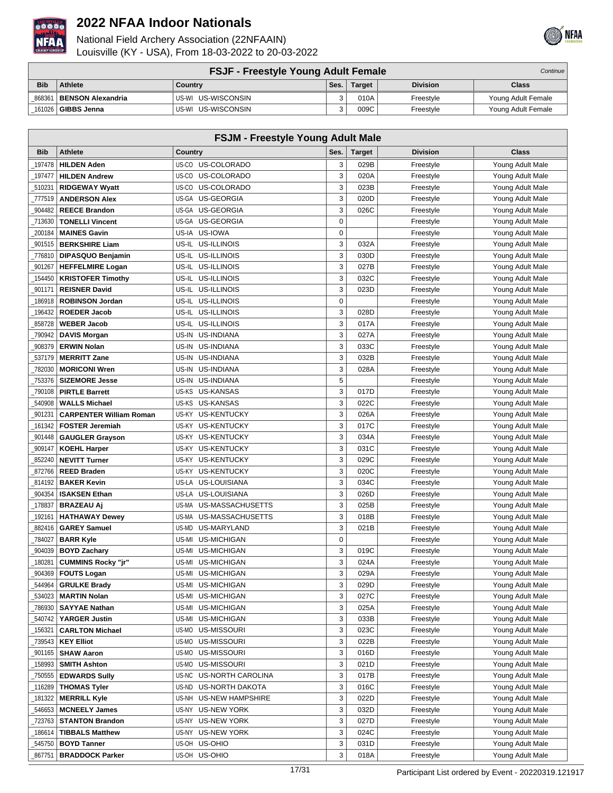



|            | <b>FSJF - Freestyle Young Adult Female</b><br>Continue |                     |            |               |                 |                    |  |  |
|------------|--------------------------------------------------------|---------------------|------------|---------------|-----------------|--------------------|--|--|
| <b>Bib</b> | Athlete                                                | Country             | Ses.       | <b>Target</b> | <b>Division</b> | <b>Class</b>       |  |  |
|            | 868361   BENSON Alexandria                             | lus-wi us-wisconsin | o          | 010A          | Freestvle       | Young Adult Female |  |  |
|            | 161026   GIBBS Jenna                                   | US-WI US-WISCONSIN  | $\sqrt{2}$ | 009C          | Freestvle       | Young Adult Female |  |  |

| <b>FSJM - Freestyle Young Adult Male</b> |                                              |                                                            |             |               |                        |                                      |  |
|------------------------------------------|----------------------------------------------|------------------------------------------------------------|-------------|---------------|------------------------|--------------------------------------|--|
| <b>Bib</b>                               | Athlete                                      | Country                                                    | Ses.        | <b>Target</b> | <b>Division</b>        | <b>Class</b>                         |  |
| 197478                                   | <b>HILDEN Aden</b>                           | US-CO US-COLORADO                                          | 3           | 029B          | Freestyle              | Young Adult Male                     |  |
| 197477_                                  | <b>HILDEN Andrew</b>                         | US-CO<br>US-COLORADO                                       | 3           | 020A          | Freestyle              | Young Adult Male                     |  |
| 510231                                   | <b>RIDGEWAY Wyatt</b>                        | US-CO<br>US-COLORADO                                       | 3           | 023B          | Freestyle              | Young Adult Male                     |  |
| 777519                                   | <b>ANDERSON Alex</b>                         | US-GA<br>US-GEORGIA                                        | 3           | 020D          | Freestyle              | Young Adult Male                     |  |
| 904482                                   | <b>REECE Brandon</b>                         | <b>US-GEORGIA</b><br>US-GA                                 | 3           | 026C          | Freestyle              | Young Adult Male                     |  |
| 713630                                   | <b>TONELLI Vincent</b>                       | <b>US-GEORGIA</b><br>US-GA                                 | 0           |               | Freestyle              | Young Adult Male                     |  |
| 200184                                   | <b>MAINES Gavin</b>                          | US-IA US-IOWA                                              | $\mathbf 0$ |               | Freestyle              | Young Adult Male                     |  |
| 901515                                   | <b>BERKSHIRE Liam</b>                        | US-IL US-ILLINOIS                                          | 3           | 032A          | Freestyle              | Young Adult Male                     |  |
| 776810                                   | DIPASQUO Benjamin                            | US-IL US-ILLINOIS                                          | 3           | 030D          | Freestyle              | Young Adult Male                     |  |
| 901267                                   | <b>HEFFELMIRE Logan</b>                      | US-IL<br>US-ILLINOIS                                       | 3           | 027B          | Freestyle              | Young Adult Male                     |  |
| 154450                                   | <b>KRISTOFER Timothy</b>                     | US-IL<br>US-ILLINOIS                                       | 3           | 032C          | Freestyle              | Young Adult Male                     |  |
| _901171                                  | <b>REISNER David</b>                         | US-IL<br>US-ILLINOIS                                       | 3           | 023D          | Freestyle              | Young Adult Male                     |  |
| 186918                                   | <b>ROBINSON Jordan</b>                       | US-IL<br>US-ILLINOIS                                       | 0           |               | Freestyle              | Young Adult Male                     |  |
| 196432                                   | <b>ROEDER Jacob</b>                          | US-IL<br>US-ILLINOIS                                       | 3           | 028D          | Freestyle              | Young Adult Male                     |  |
| 858728                                   | <b>WEBER Jacob</b>                           | US-IL<br>US-ILLINOIS                                       | 3           | 017A          | Freestyle              | Young Adult Male                     |  |
| 790942                                   | <b>DAVIS Morgan</b>                          | US-INDIANA<br>US-IN                                        | 3           | 027A          | Freestyle              | Young Adult Male                     |  |
| 908379                                   | <b>ERWIN Nolan</b>                           | US-INDIANA<br>US-IN                                        | 3           | 033C          | Freestyle              | Young Adult Male                     |  |
| 537179                                   | <b>MERRITT Zane</b>                          | US-IN<br><b>US-INDIANA</b>                                 | 3           | 032B          | Freestyle              | Young Adult Male                     |  |
| 782030                                   | <b>MORICONI Wren</b>                         | US-IN<br><b>US-INDIANA</b>                                 | 3           | 028A          | Freestyle              | Young Adult Male                     |  |
| 753376                                   | <b>SIZEMORE Jesse</b>                        | US-IN<br>US-INDIANA                                        | 5           |               | Freestyle              | Young Adult Male                     |  |
| 790108                                   | <b>PIRTLE Barrett</b>                        | US-KS<br>US-KANSAS                                         | 3           | 017D          | Freestyle              | Young Adult Male                     |  |
| 540908                                   | <b>WALLS Michael</b>                         | US-KS<br><b>US-KANSAS</b>                                  | 3           | 022C          | Freestyle              | Young Adult Male                     |  |
| 901231                                   | <b>CARPENTER William Roman</b>               | US-KY<br><b>US-KENTUCKY</b>                                | 3           | 026A          | Freestyle              | Young Adult Male                     |  |
| 161342                                   | <b>FOSTER Jeremiah</b>                       | US-KY<br><b>US-KENTUCKY</b>                                | 3           | 017C          | Freestyle              | Young Adult Male                     |  |
| 901448_                                  | <b>GAUGLER Grayson</b>                       | <b>US-KENTUCKY</b><br>US-KY                                | 3           | 034A          | Freestyle              | Young Adult Male                     |  |
| 909147                                   | <b>KOEHL Harper</b>                          | <b>US-KENTUCKY</b><br>US-KY                                | 3           | 031C          | Freestyle              | Young Adult Male                     |  |
| 852240                                   | <b>NEVITT Turner</b>                         | US-KY<br><b>US-KENTUCKY</b>                                | 3           | 029C          | Freestyle              | Young Adult Male                     |  |
| 872766                                   | <b>REED Braden</b>                           | US-KY<br><b>US-KENTUCKY</b>                                | 3           | 020C          | Freestyle              | Young Adult Male                     |  |
| 814192                                   | <b>BAKER Kevin</b>                           | US-LA<br>US-LOUISIANA                                      | 3           | 034C          | Freestyle              | Young Adult Male                     |  |
| 904354                                   | <b>ISAKSEN Ethan</b>                         | US-LA<br>US-LOUISIANA                                      | 3           | 026D          | Freestyle              | Young Adult Male                     |  |
| 178837                                   | <b>BRAZEAU Aj</b>                            | US-MASSACHUSETTS<br>US-MA                                  | 3           | 025B          | Freestyle              | Young Adult Male                     |  |
| 192161                                   | <b>HATHAWAY Dewey</b>                        | US-MA<br>US-MASSACHUSETTS                                  | 3           | 018B          | Freestyle              | Young Adult Male                     |  |
| 882416                                   | <b>GAREY Samuel</b>                          | US-MD<br>US-MARYLAND                                       | 3           | 021B          | Freestyle              | Young Adult Male                     |  |
| 784027                                   | <b>BARR Kyle</b>                             | US-MICHIGAN<br>US-MI                                       | $\pmb{0}$   |               | Freestyle              | Young Adult Male                     |  |
| 904039                                   | <b>BOYD Zachary</b>                          | <b>US-MICHIGAN</b><br>US-MI                                | 3           | 019C          | Freestyle              | Young Adult Male                     |  |
| 180281                                   | <b>CUMMINS Rocky "ir"</b>                    | US-MICHIGAN<br>US-MI                                       | 3           | 024A          | Freestyle              | Young Adult Male                     |  |
| 904369                                   | <b>FOUTS Logan</b>                           | US-MI US-MICHIGAN                                          | 3           | 029A          | Freestyle              | Young Adult Male                     |  |
| 544964                                   | <b>GRULKE Brady</b>                          | US-MI US-MICHIGAN                                          | 3           | 029D          | Freestyle              | Young Adult Male                     |  |
| 534023                                   | <b>MARTIN Nolan</b>                          | US-MI<br><b>US-MICHIGAN</b><br><b>US-MICHIGAN</b><br>US-MI | 3<br>3      | 027C          | Freestyle              | Young Adult Male                     |  |
| 786930<br>540742                         | <b>SAYYAE Nathan</b><br><b>YARGER Justin</b> | US-MICHIGAN<br>US-MI                                       | 3           | 025A<br>033B  | Freestyle              | Young Adult Male<br>Young Adult Male |  |
| 156321                                   | <b>CARLTON Michael</b>                       | US-MO<br>US-MISSOURI                                       | 3           | 023C          | Freestyle<br>Freestyle | Young Adult Male                     |  |
|                                          |                                              |                                                            | 3           |               |                        |                                      |  |
| 739543<br>901165                         | <b>KEY Elliot</b><br><b>SHAW Aaron</b>       | US-MO<br>US-MISSOURI<br>US-MISSOURI<br>US-MO               | 3           | 022B<br>016D  | Freestyle<br>Freestyle | Young Adult Male<br>Young Adult Male |  |
| 158993                                   | <b>SMITH Ashton</b>                          | US-MO<br>US-MISSOURI                                       | 3           | 021D          | Freestyle              | Young Adult Male                     |  |
| 750555                                   | <b>EDWARDS Sully</b>                         | US-NC<br>US-NORTH CAROLINA                                 | 3           | 017B          | Freestyle              | Young Adult Male                     |  |
| 116289                                   | <b>THOMAS Tyler</b>                          | US-ND<br>US-NORTH DAKOTA                                   | 3           | 016C          | Freestyle              | Young Adult Male                     |  |
| 181322_                                  | <b>MERRILL Kyle</b>                          | US-NH<br><b>US-NEW HAMPSHIRE</b>                           | 3           | 022D          | Freestyle              | Young Adult Male                     |  |
| 546653                                   | <b>MCNEELY James</b>                         | US-NY<br>US-NEW YORK                                       | 3           | 032D          | Freestyle              | Young Adult Male                     |  |
| 723763                                   | <b>STANTON Brandon</b>                       | <b>US-NEW YORK</b><br>US-NY                                | 3           | 027D          | Freestyle              | Young Adult Male                     |  |
| 186614                                   | <b>TIBBALS Matthew</b>                       | <b>US-NEW YORK</b><br>US-NY                                | 3           | 024C          | Freestyle              | Young Adult Male                     |  |
| 545750                                   | <b>BOYD Tanner</b>                           | US-OH US-OHIO                                              | 3           | 031D          | Freestyle              | Young Adult Male                     |  |
| 867751                                   | <b>BRADDOCK Parker</b>                       | US-OH US-OHIO                                              | 3           | 018A          | Freestyle              | Young Adult Male                     |  |
|                                          |                                              |                                                            |             |               |                        |                                      |  |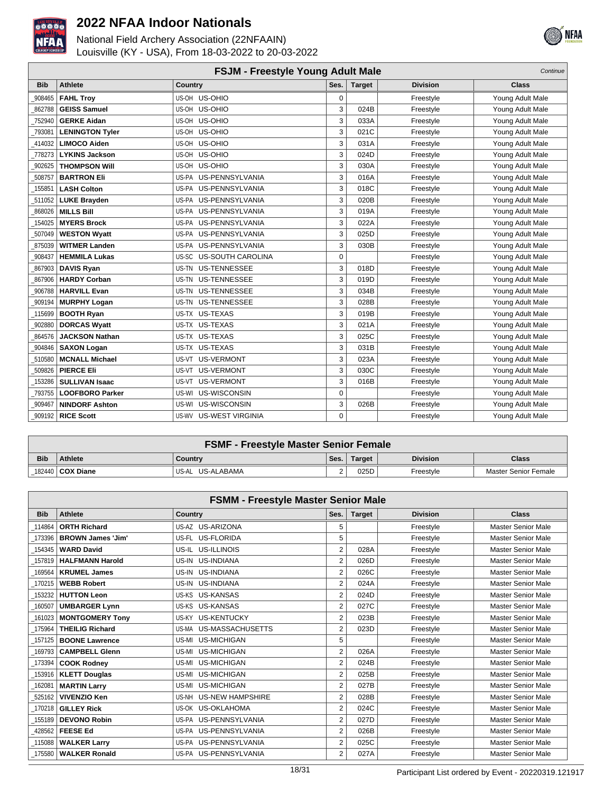



|            | <b>FSJM - Freestyle Young Adult Male</b> |                            |             |               |                 |                  |  |  |
|------------|------------------------------------------|----------------------------|-------------|---------------|-----------------|------------------|--|--|
| <b>Bib</b> | Athlete                                  | Country                    | Ses.        | <b>Target</b> | <b>Division</b> | <b>Class</b>     |  |  |
| 908465     | <b>FAHL Troy</b>                         | US-OH US-OHIO              | $\mathbf 0$ |               | Freestyle       | Young Adult Male |  |  |
| 862788     | <b>GEISS Samuel</b>                      | US-OH US-OHIO              | 3           | 024B          | Freestyle       | Young Adult Male |  |  |
| 752940     | <b>GERKE Aidan</b>                       | US-OH US-OHIO              | 3           | 033A          | Freestyle       | Young Adult Male |  |  |
| 793081     | <b>LENINGTON Tyler</b>                   | US-OH US-OHIO              | 3           | 021C          | Freestyle       | Young Adult Male |  |  |
| 414032     | <b>LIMOCO Aiden</b>                      | US-OH US-OHIO              | 3           | 031A          | Freestyle       | Young Adult Male |  |  |
| 778273     | <b>LYKINS Jackson</b>                    | US-OH US-OHIO              | 3           | 024D          | Freestyle       | Young Adult Male |  |  |
| 902625     | <b>THOMPSON WIII</b>                     | US-OH US-OHIO              | 3           | 030A          | Freestyle       | Young Adult Male |  |  |
| 508757     | <b>BARTRON Eli</b>                       | US-PA US-PENNSYLVANIA      | 3           | 016A          | Freestyle       | Young Adult Male |  |  |
| 155851     | <b>LASH Colton</b>                       | US-PA US-PENNSYLVANIA      | 3           | 018C          | Freestvle       | Young Adult Male |  |  |
| 511052     | <b>LUKE Brayden</b>                      | US-PA US-PENNSYLVANIA      | 3           | 020B          | Freestyle       | Young Adult Male |  |  |
| 868026     | <b>MILLS Bill</b>                        | US-PA US-PENNSYLVANIA      | 3           | 019A          | Freestyle       | Young Adult Male |  |  |
| 154025     | <b>MYERS Brock</b>                       | US-PA US-PENNSYLVANIA      | 3           | 022A          | Freestyle       | Young Adult Male |  |  |
| 507049     | <b>WESTON Wyatt</b>                      | US-PA US-PENNSYLVANIA      | 3           | 025D          | Freestyle       | Young Adult Male |  |  |
| 875039     | <b>WITMER Landen</b>                     | US-PA US-PENNSYLVANIA      | 3           | 030B          | Freestvle       | Young Adult Male |  |  |
| 908437     | <b>HEMMILA Lukas</b>                     | US-SOUTH CAROLINA<br>US-SC | $\mathbf 0$ |               | Freestyle       | Young Adult Male |  |  |
| 867903     | <b>DAVIS Ryan</b>                        | US-TN US-TENNESSEE         | 3           | 018D          | Freestyle       | Young Adult Male |  |  |
| 867906     | <b>HARDY Corban</b>                      | US-TN US-TENNESSEE         | 3           | 019D          | Freestvle       | Young Adult Male |  |  |
| 906788     | <b>HARVILL Evan</b>                      | US-TN US-TENNESSEE         | 3           | 034B          | Freestyle       | Young Adult Male |  |  |
| 909194     | <b>MURPHY Logan</b>                      | US-TN US-TENNESSEE         | 3           | 028B          | Freestyle       | Young Adult Male |  |  |
| 115699     | <b>BOOTH Ryan</b>                        | US-TX US-TEXAS             | 3           | 019B          | Freestyle       | Young Adult Male |  |  |
| 902880     | <b>DORCAS Wyatt</b>                      | US-TX US-TEXAS             | 3           | 021A          | Freestyle       | Young Adult Male |  |  |
| 864576     | <b>JACKSON Nathan</b>                    | US-TX US-TEXAS             | 3           | 025C          | Freestyle       | Young Adult Male |  |  |
| 904846     | <b>SAXON Logan</b>                       | US-TX US-TEXAS             | 3           | 031B          | Freestyle       | Young Adult Male |  |  |
| 510580     | <b>MCNALL Michael</b>                    | <b>US-VERMONT</b><br>US-VT | 3           | 023A          | Freestyle       | Young Adult Male |  |  |
| 509826     | <b>PIERCE Eli</b>                        | <b>US-VERMONT</b><br>US-VT | 3           | 030C          | Freestyle       | Young Adult Male |  |  |
| 153286     | <b>SULLIVAN Isaac</b>                    | US-VT<br><b>US-VERMONT</b> | 3           | 016B          | Freestyle       | Young Adult Male |  |  |
| 793755     | <b>LOOFBORO Parker</b>                   | US-WISCONSIN<br>US-WI      | 0           |               | Freestyle       | Young Adult Male |  |  |
| 909467     | <b>NINDORF Ashton</b>                    | US-WISCONSIN<br>US-WI      | 3           | 026B          | Freestyle       | Young Adult Male |  |  |
| 909192     | <b>RICE Scott</b>                        | US-WV US-WEST VIRGINIA     | 0           |               | Freestyle       | Young Adult Male |  |  |

| <b>FSMF - Freestyle Master Senior Female</b> |                         |                  |      |        |                 |                      |
|----------------------------------------------|-------------------------|------------------|------|--------|-----------------|----------------------|
| <b>Bib</b>                                   | <b>Athlete</b>          | Country          | Ses. | Target | <b>Division</b> | Class                |
|                                              | 182440 <b>COX Diane</b> | US-AL US-ALABAMA | C    | 025D   | Freestvle       | Master Senior Female |

| <b>FSMM - Freestyle Master Senior Male</b> |                          |                                  |                |               |                 |                           |  |  |
|--------------------------------------------|--------------------------|----------------------------------|----------------|---------------|-----------------|---------------------------|--|--|
| <b>Bib</b>                                 | <b>Athlete</b>           | <b>Country</b>                   | Ses.           | <b>Target</b> | <b>Division</b> | <b>Class</b>              |  |  |
| 114864                                     | <b>ORTH Richard</b>      | US-AZ US-ARIZONA                 | 5              |               | Freestyle       | <b>Master Senior Male</b> |  |  |
| 173396                                     | <b>BROWN James 'Jim'</b> | US-FL US-FLORIDA                 | 5              |               | Freestyle       | <b>Master Senior Male</b> |  |  |
| 154345                                     | <b>WARD David</b>        | US-IL US-ILLINOIS                | $\overline{2}$ | 028A          | Freestyle       | <b>Master Senior Male</b> |  |  |
| 157819                                     | <b>HALFMANN Harold</b>   | US-IN US-INDIANA                 | 2              | 026D          | Freestyle       | <b>Master Senior Male</b> |  |  |
| 169564                                     | <b>KRUMEL James</b>      | US-IN US-INDIANA                 | $\overline{2}$ | 026C          | Freestyle       | <b>Master Senior Male</b> |  |  |
| 170215                                     | <b>WEBB Robert</b>       | US-IN US-INDIANA                 | 2              | 024A          | Freestyle       | <b>Master Senior Male</b> |  |  |
| 153232                                     | <b>HUTTON Leon</b>       | US-KS US-KANSAS                  | $\overline{2}$ | 024D          | Freestyle       | Master Senior Male        |  |  |
| 160507                                     | <b>UMBARGER Lynn</b>     | US-KS US-KANSAS                  | $\overline{2}$ | 027C          | Freestyle       | <b>Master Senior Male</b> |  |  |
| 161023                                     | <b>MONTGOMERY Tony</b>   | <b>US-KENTUCKY</b><br>US-KY      | $\overline{2}$ | 023B          | Freestyle       | Master Senior Male        |  |  |
| 175964                                     | <b>THEILIG Richard</b>   | US-MA US-MASSACHUSETTS           | $\overline{2}$ | 023D          | Freestyle       | <b>Master Senior Male</b> |  |  |
| 157125                                     | <b>BOONE Lawrence</b>    | US-MI US-MICHIGAN                | 5              |               | Freestyle       | <b>Master Senior Male</b> |  |  |
| 169793                                     | <b>CAMPBELL Glenn</b>    | US-MI US-MICHIGAN                | $\overline{2}$ | 026A          | Freestyle       | Master Senior Male        |  |  |
| 173394                                     | <b>COOK Rodney</b>       | US-MI US-MICHIGAN                | $\overline{2}$ | 024B          | Freestyle       | Master Senior Male        |  |  |
| 153916                                     | <b>KLETT Douglas</b>     | US-MI US-MICHIGAN                | 2              | 025B          | Freestyle       | Master Senior Male        |  |  |
| 162081                                     | <b>MARTIN Larry</b>      | US-MI US-MICHIGAN                | $\overline{2}$ | 027B          | Freestyle       | <b>Master Senior Male</b> |  |  |
| 525162                                     | <b>VIVENZIO Ken</b>      | <b>US-NEW HAMPSHIRE</b><br>US-NH | $\overline{2}$ | 028B          | Freestyle       | <b>Master Senior Male</b> |  |  |
| 170218                                     | <b>GILLEY Rick</b>       | US-OK US-OKLAHOMA                | 2              | 024C          | Freestyle       | Master Senior Male        |  |  |
| 155189                                     | <b>DEVONO Robin</b>      | US-PA US-PENNSYLVANIA            | $\overline{2}$ | 027D          | Freestyle       | Master Senior Male        |  |  |
| 428562                                     | <b>FEESE Ed</b>          | US-PA US-PENNSYLVANIA            | $\overline{2}$ | 026B          | Freestyle       | Master Senior Male        |  |  |
| 115088                                     | <b>WALKER Larry</b>      | US-PA US-PENNSYLVANIA            | $\overline{2}$ | 025C          | Freestyle       | <b>Master Senior Male</b> |  |  |
| 175580                                     | <b>WALKER Ronald</b>     | US-PA US-PENNSYLVANIA            | $\overline{2}$ | 027A          | Freestyle       | <b>Master Senior Male</b> |  |  |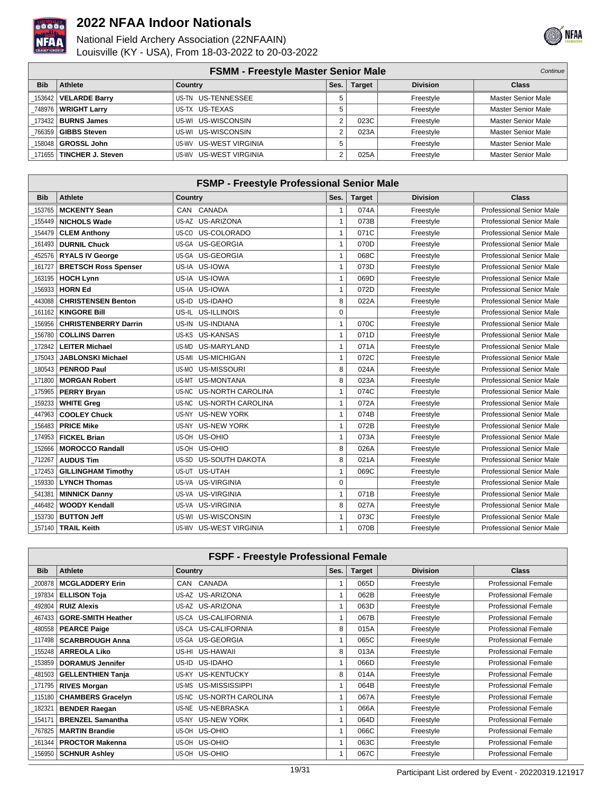



|            | <b>FSMM - Freestyle Master Senior Male</b> |                        |      |               |                 |                           |  |
|------------|--------------------------------------------|------------------------|------|---------------|-----------------|---------------------------|--|
| <b>Bib</b> | Athlete                                    | Country                | Ses. | <b>Target</b> | <b>Division</b> | <b>Class</b>              |  |
|            | 153642   VELARDE Barry                     | US-TN US-TENNESSEE     | 5.   |               | Freestyle       | Master Senior Male        |  |
|            | 748976   WRIGHT Larry                      | US-TX US-TEXAS         | 5    |               | Freestyle       | <b>Master Senior Male</b> |  |
|            | 173432   <b>BURNS James</b>                | US-WI US-WISCONSIN     |      | 023C          | Freestyle       | <b>Master Senior Male</b> |  |
|            | 766359   GIBBS Steven                      | US-WI US-WISCONSIN     | C    | 023A          | Freestyle       | <b>Master Senior Male</b> |  |
|            | 158048   GROSSL John                       | US-WV US-WEST VIRGINIA |      |               | Freestyle       | Master Senior Male        |  |
|            | 171655   TINCHER J. Steven                 | US-WV US-WEST VIRGINIA |      | 025A          | Freestyle       | <b>Master Senior Male</b> |  |

| <b>FSMP - Freestyle Professional Senior Male</b> |                             |                                   |              |               |                 |                                 |  |  |
|--------------------------------------------------|-----------------------------|-----------------------------------|--------------|---------------|-----------------|---------------------------------|--|--|
| <b>Bib</b>                                       | <b>Athlete</b>              | Country                           | Ses.         | <b>Target</b> | <b>Division</b> | Class                           |  |  |
| 153765                                           | <b>MCKENTY Sean</b>         | CAN CANADA                        | 1            | 074A          | Freestyle       | Professional Senior Male        |  |  |
| 155449                                           | <b>NICHOLS Wade</b>         | US-AZ US-ARIZONA                  | $\mathbf{1}$ | 073B          | Freestyle       | Professional Senior Male        |  |  |
| 154479                                           | <b>CLEM Anthony</b>         | US-CO US-COLORADO                 | 1            | 071C          | Freestyle       | Professional Senior Male        |  |  |
| 161493                                           | <b>DURNIL Chuck</b>         | US-GA US-GEORGIA                  | 1            | 070D          | Freestyle       | <b>Professional Senior Male</b> |  |  |
| 452576                                           | <b>RYALS IV George</b>      | US-GA US-GEORGIA                  | $\mathbf{1}$ | 068C          | Freestyle       | <b>Professional Senior Male</b> |  |  |
| 161727                                           | <b>BRETSCH Ross Spenser</b> | US-IA US-IOWA                     | 1            | 073D          | Freestyle       | Professional Senior Male        |  |  |
| 163195                                           | <b>HOCH Lynn</b>            | US-IA US-IOWA                     | 1            | 069D          | Freestyle       | <b>Professional Senior Male</b> |  |  |
| 156933                                           | <b>HORN Ed</b>              | US-IOWA<br>US-IA                  | $\mathbf{1}$ | 072D          | Freestyle       | Professional Senior Male        |  |  |
| 443088                                           | <b>CHRISTENSEN Benton</b>   | US-ID US-IDAHO                    | 8            | 022A          | Freestyle       | <b>Professional Senior Male</b> |  |  |
| 161162                                           | <b>KINGORE Bill</b>         | US-IL US-ILLINOIS                 | 0            |               | Freestyle       | <b>Professional Senior Male</b> |  |  |
| 156956                                           | <b>CHRISTENBERRY Darrin</b> | US-IN US-INDIANA                  | $\mathbf{1}$ | 070C          | Freestyle       | Professional Senior Male        |  |  |
| 156780                                           | <b>COLLINS Darren</b>       | US-KS US-KANSAS                   | 1            | 071D          | Freestyle       | <b>Professional Senior Male</b> |  |  |
| 172842                                           | <b>LEITER Michael</b>       | US-MD US-MARYLAND                 | 1            | 071A          | Freestyle       | Professional Senior Male        |  |  |
| 175043                                           | <b>JABLONSKI Michael</b>    | <b>US-MICHIGAN</b><br>US-MI       | 1            | 072C          | Freestyle       | <b>Professional Senior Male</b> |  |  |
| 180543                                           | <b>PENROD Paul</b>          | US-MISSOURI<br>US-MO              | 8            | 024A          | Freestyle       | Professional Senior Male        |  |  |
| 171800                                           | <b>MORGAN Robert</b>        | <b>US-MONTANA</b><br>US-MT        | 8            | 023A          | Freestyle       | <b>Professional Senior Male</b> |  |  |
| 175965                                           | <b>PERRY Bryan</b>          | US-NC US-NORTH CAROLINA           | 1            | 074C          | Freestyle       | <b>Professional Senior Male</b> |  |  |
| 159233                                           | <b>WHITE Greg</b>           | <b>US-NORTH CAROLINA</b><br>US-NC | 1            | 072A          | Freestyle       | Professional Senior Male        |  |  |
| 447963                                           | <b>COOLEY Chuck</b>         | <b>US-NEW YORK</b><br>US-NY       | $\mathbf{1}$ | 074B          | Freestyle       | <b>Professional Senior Male</b> |  |  |
| 156483                                           | <b>PRICE Mike</b>           | <b>US-NEW YORK</b><br>US-NY       | 1            | 072B          | Freestyle       | Professional Senior Male        |  |  |
| 174953                                           | <b>FICKEL Brian</b>         | US-OH US-OHIO                     | 1            | 073A          | Freestyle       | <b>Professional Senior Male</b> |  |  |
| 152666                                           | <b>MOROCCO Randall</b>      | US-OH US-OHIO                     | 8            | 026A          | Freestyle       | <b>Professional Senior Male</b> |  |  |
| 712267                                           | <b>AUDUS Tim</b>            | US-SD US-SOUTH DAKOTA             | 8            | 021A          | Freestyle       | Professional Senior Male        |  |  |
| 172453                                           | <b>GILLINGHAM Timothy</b>   | US-UTAH<br>US-UT                  | 1            | 069C          | Freestyle       | <b>Professional Senior Male</b> |  |  |
| 159330                                           | <b>LYNCH Thomas</b>         | <b>US-VIRGINIA</b><br>US-VA       | $\Omega$     |               | Freestyle       | <b>Professional Senior Male</b> |  |  |
| 541381                                           | <b>MINNICK Danny</b>        | US-VA US-VIRGINIA                 | 1            | 071B          | Freestyle       | <b>Professional Senior Male</b> |  |  |
| 446482                                           | <b>WOODY Kendall</b>        | US-VIRGINIA<br>US-VA              | 8            | 027A          | Freestyle       | <b>Professional Senior Male</b> |  |  |
| 153730                                           | <b>BUTTON Jeff</b>          | US-WI US-WISCONSIN                | 1            | 073C          | Freestyle       | Professional Senior Male        |  |  |
| 157140                                           | <b>TRAIL Keith</b>          | US-WV US-WEST VIRGINIA            | 1            | 070B          | Freestyle       | <b>Professional Senior Male</b> |  |  |

|            | <b>FSPF - Freestyle Professional Female</b> |                                   |      |               |                 |                            |  |  |  |
|------------|---------------------------------------------|-----------------------------------|------|---------------|-----------------|----------------------------|--|--|--|
| <b>Bib</b> | Athlete                                     | <b>Country</b>                    | Ses. | <b>Target</b> | <b>Division</b> | <b>Class</b>               |  |  |  |
| 200878     | <b>MCGLADDERY Erin</b>                      | CANADA<br>CAN                     |      | 065D          | Freestyle       | <b>Professional Female</b> |  |  |  |
| 197834     | <b>ELLISON Toia</b>                         | US-AZ US-ARIZONA                  |      | 062B          | Freestyle       | <b>Professional Female</b> |  |  |  |
| 492804     | <b>RUIZ Alexis</b>                          | US-AZ US-ARIZONA                  |      | 063D          | Freestyle       | <b>Professional Female</b> |  |  |  |
| 467433     | <b>GORE-SMITH Heather</b>                   | US-CA US-CALIFORNIA               |      | 067B          | Freestyle       | <b>Professional Female</b> |  |  |  |
| 480558     | <b>PEARCE Paige</b>                         | <b>US-CALIFORNIA</b><br>US-CA     | 8    | 015A          | Freestyle       | <b>Professional Female</b> |  |  |  |
| 117498     | <b>SCARBROUGH Anna</b>                      | <b>US-GEORGIA</b><br>US-GA        |      | 065C          | Freestyle       | <b>Professional Female</b> |  |  |  |
| 155248     | <b>ARREOLA Liko</b>                         | US-HAWAII<br>US-HI                | 8    | 013A          | Freestyle       | <b>Professional Female</b> |  |  |  |
| 153859     | <b>DORAMUS Jennifer</b>                     | US-IDAHO<br>US-ID                 |      | 066D          | Freestyle       | <b>Professional Female</b> |  |  |  |
| 481503     | <b>GELLENTHIEN Tanja</b>                    | <b>US-KENTUCKY</b><br>US-KY       | 8    | 014A          | Freestyle       | <b>Professional Female</b> |  |  |  |
| _171795    | <b>RIVES Morgan</b>                         | US-MS<br>US-MISSISSIPPI           |      | 064B          | Freestyle       | <b>Professional Female</b> |  |  |  |
| $-115180$  | <b>CHAMBERS Gracelyn</b>                    | US-NC<br><b>US-NORTH CAROLINA</b> |      | 067A          | Freestyle       | <b>Professional Female</b> |  |  |  |
| 182321     | <b>BENDER Raegan</b>                        | US-NE<br><b>US-NEBRASKA</b>       |      | 066A          | Freestyle       | <b>Professional Female</b> |  |  |  |
| $-154171$  | <b>BRENZEL Samantha</b>                     | <b>US-NEW YORK</b><br>US-NY       |      | 064D          | Freestyle       | <b>Professional Female</b> |  |  |  |
| 767825     | <b>MARTIN Brandie</b>                       | US-OHIO<br>US-OH                  |      | 066C          | Freestyle       | <b>Professional Female</b> |  |  |  |
| 161344     | <b>PROCTOR Makenna</b>                      | US-OHIO<br>US-OH                  |      | 063C          | Freestyle       | <b>Professional Female</b> |  |  |  |
| 156950     | <b>SCHNUR Ashley</b>                        | US-OHIO<br>US-OH                  |      | 067C          | Freestyle       | <b>Professional Female</b> |  |  |  |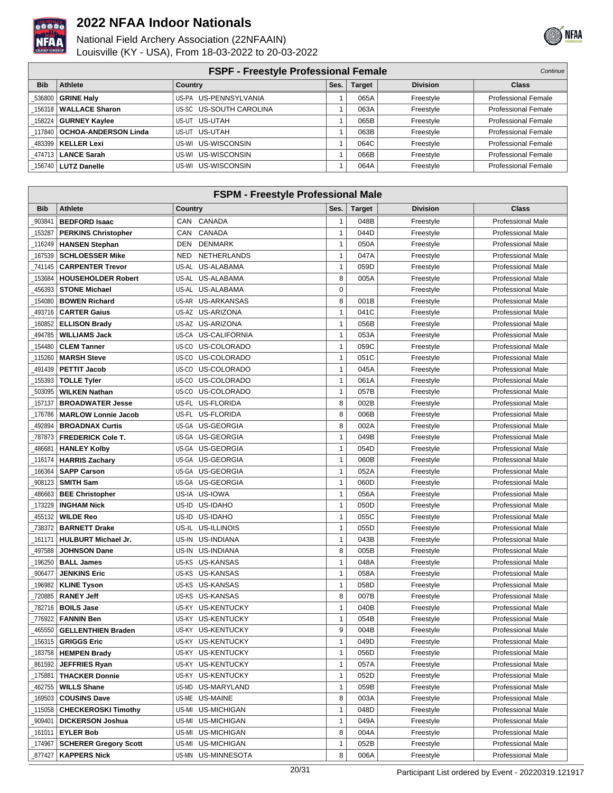



|            | <b>FSPF - Freestyle Professional Female</b> |                         |      |               |                 |                            |  |
|------------|---------------------------------------------|-------------------------|------|---------------|-----------------|----------------------------|--|
| <b>Bib</b> | Athlete                                     | Country                 | Ses. | <b>Target</b> | <b>Division</b> | <b>Class</b>               |  |
|            | 536800 GRINE Halv                           | US-PA US-PENNSYLVANIA   |      | 065A          | Freestyle       | <b>Professional Female</b> |  |
|            | 156318   WALLACE Sharon                     | US-SC US-SOUTH CAROLINA |      | 063A          | Freestyle       | <b>Professional Female</b> |  |
|            | 158224   GURNEY Kaylee                      | US-UT US-UTAH           |      | 065B          | Freestyle       | <b>Professional Female</b> |  |
|            | 117840   OCHOA-ANDERSON Linda               | US-UT US-UTAH           |      | 063B          | Freestyle       | <b>Professional Female</b> |  |
|            | 483399   KELLER Lexi                        | US-WI US-WISCONSIN      |      | 064C          | Freestyle       | <b>Professional Female</b> |  |
|            | 474713   LANCE Sarah                        | US-WI US-WISCONSIN      |      | 066B          | Freestyle       | <b>Professional Female</b> |  |
|            | 156740   LUTZ Danelle                       | US-WI US-WISCONSIN      |      | 064A          | Freestyle       | <b>Professional Female</b> |  |

| <b>FSPM - Freestyle Professional Male</b> |                              |                                  |              |               |                 |                          |  |
|-------------------------------------------|------------------------------|----------------------------------|--------------|---------------|-----------------|--------------------------|--|
| <b>Bib</b>                                | <b>Athlete</b>               | Country                          | Ses.         | <b>Target</b> | <b>Division</b> | <b>Class</b>             |  |
| 903841                                    | <b>BEDFORD Isaac</b>         | CANADA<br><b>CAN</b>             | $\mathbf{1}$ | 048B          | Freestyle       | <b>Professional Male</b> |  |
| 153287                                    | <b>PERKINS Christopher</b>   | CANADA<br>CAN                    | $\mathbf{1}$ | 044D          | Freestyle       | <b>Professional Male</b> |  |
| 116249                                    | <b>HANSEN Stephan</b>        | <b>DENMARK</b><br><b>DEN</b>     | $\mathbf{1}$ | 050A          | Freestyle       | <b>Professional Male</b> |  |
| 167539                                    | <b>SCHLOESSER Mike</b>       | <b>NETHERLANDS</b><br><b>NED</b> | $\mathbf{1}$ | 047A          | Freestyle       | <b>Professional Male</b> |  |
| 741145                                    | <b>CARPENTER Trevor</b>      | US-AL<br>US-ALABAMA              | $\mathbf{1}$ | 059D          | Freestyle       | <b>Professional Male</b> |  |
| 153684                                    | <b>HOUSEHOLDER Robert</b>    | US-AL US-ALABAMA                 | 8            | 005A          | Freestyle       | <b>Professional Male</b> |  |
| 456393                                    | <b>STONE Michael</b>         | US-AL US-ALABAMA                 | 0            |               | Freestyle       | <b>Professional Male</b> |  |
| 154080                                    | <b>BOWEN Richard</b>         | US-AR US-ARKANSAS                | 8            | 001B          | Freestyle       | <b>Professional Male</b> |  |
| 493716                                    | <b>CARTER Gaius</b>          | US-ARIZONA<br>US-AZ              | $\mathbf{1}$ | 041C          | Freestyle       | <b>Professional Male</b> |  |
| 160852                                    | <b>ELLISON Brady</b>         | US-ARIZONA<br>US-AZ              | $\mathbf{1}$ | 056B          | Freestyle       | <b>Professional Male</b> |  |
| 494785                                    | <b>WILLIAMS Jack</b>         | <b>US-CALIFORNIA</b><br>US-CA    | 1            | 053A          | Freestyle       | <b>Professional Male</b> |  |
| 154480                                    | <b>CLEM Tanner</b>           | US-CO<br>US-COLORADO             | $\mathbf{1}$ | 059C          | Freestyle       | <b>Professional Male</b> |  |
| 115260                                    | <b>MARSH Steve</b>           | US-COLORADO<br>US-CO             | $\mathbf{1}$ | 051C          | Freestyle       | <b>Professional Male</b> |  |
| 491439                                    | <b>PETTIT Jacob</b>          | US-COLORADO<br>US-CO             | $\mathbf{1}$ | 045A          | Freestyle       | <b>Professional Male</b> |  |
| 155393                                    | <b>TOLLE Tyler</b>           | US-CO US-COLORADO                | $\mathbf{1}$ | 061A          | Freestyle       | <b>Professional Male</b> |  |
| 503095                                    | <b>WILKEN Nathan</b>         | US-CO US-COLORADO                | $\mathbf{1}$ | 057B          | Freestyle       | <b>Professional Male</b> |  |
| 157137                                    | <b>BROADWATER Jesse</b>      | US-FLORIDA<br>US-FL              | 8            | 002B          | Freestyle       | <b>Professional Male</b> |  |
| 176786                                    | <b>MARLOW Lonnie Jacob</b>   | US-FLORIDA<br>US-FL              | 8            | 006B          | Freestyle       | <b>Professional Male</b> |  |
| 492894                                    | <b>BROADNAX Curtis</b>       | US-GA<br><b>US-GEORGIA</b>       | 8            | 002A          | Freestyle       | <b>Professional Male</b> |  |
| 787873                                    | <b>FREDERICK Cole T.</b>     | US-GA US-GEORGIA                 | 1            | 049B          | Freestyle       | <b>Professional Male</b> |  |
| 486681                                    | <b>HANLEY Kolby</b>          | US-GA US-GEORGIA                 | $\mathbf{1}$ | 054D          | Freestyle       | <b>Professional Male</b> |  |
| 116174                                    | <b>HARRIS Zachary</b>        | US-GA US-GEORGIA                 | 1            | 060B          | Freestyle       | <b>Professional Male</b> |  |
| 166364                                    | <b>SAPP Carson</b>           | US-GA US-GEORGIA                 | $\mathbf{1}$ | 052A          | Freestyle       | <b>Professional Male</b> |  |
| 908123                                    | <b>SMITH Sam</b>             | US-GA US-GEORGIA                 | $\mathbf{1}$ | 060D          | Freestyle       | <b>Professional Male</b> |  |
| 486663                                    | <b>BEE Christopher</b>       | US-IA US-IOWA                    | $\mathbf{1}$ | 056A          | Freestyle       | <b>Professional Male</b> |  |
| 173229                                    | <b>INGHAM Nick</b>           | US-ID US-IDAHO                   | $\mathbf{1}$ | 050D          | Freestyle       | <b>Professional Male</b> |  |
| 455132                                    | <b>WILDE Reo</b>             | US-ID US-IDAHO                   | $\mathbf{1}$ | 055C          | Freestyle       | <b>Professional Male</b> |  |
| 738372                                    | <b>BARNETT Drake</b>         | US-ILLINOIS<br>US-IL             | $\mathbf{1}$ | 055D          | Freestyle       | <b>Professional Male</b> |  |
| 161171                                    | <b>HULBURT Michael Jr.</b>   | US-INDIANA<br>US-IN              | $\mathbf{1}$ | 043B          | Freestyle       | <b>Professional Male</b> |  |
| 497588                                    | <b>JOHNSON Dane</b>          | US-INDIANA<br>US-IN              | 8            | 005B          | Freestyle       | <b>Professional Male</b> |  |
| 196250                                    | <b>BALL James</b>            | US-KS<br>US-KANSAS               | 1            | 048A          | Freestyle       | <b>Professional Male</b> |  |
| 906477                                    | <b>JENKINS Eric</b>          | US-KS US-KANSAS                  | $\mathbf{1}$ | 058A          | Freestyle       | <b>Professional Male</b> |  |
| 196982                                    | <b>KLINE Tyson</b>           | US-KS US-KANSAS                  | $\mathbf{1}$ | 058D          | Freestyle       | <b>Professional Male</b> |  |
| 720885                                    | <b>RANEY Jeff</b>            | US-KS US-KANSAS                  | 8            | 007B          | Freestyle       | <b>Professional Male</b> |  |
| 782716                                    | <b>BOILS Jase</b>            | US-KY US-KENTUCKY                | $\mathbf{1}$ | 040B          | Freestyle       | <b>Professional Male</b> |  |
| 776922                                    | <b>FANNIN Ben</b>            | US-KY<br><b>US-KENTUCKY</b>      | $\mathbf{1}$ | 054B          | Freestyle       | <b>Professional Male</b> |  |
| 465550                                    | <b>GELLENTHIEN Braden</b>    | US-KY US-KENTUCKY                | 9            | 004B          | Freestyle       | <b>Professional Male</b> |  |
| 156315                                    | <b>GRIGGS Eric</b>           | US-KY US-KENTUCKY                | $\mathbf{1}$ | 049D          | Freestyle       | Professional Male        |  |
| 183758                                    | <b>HEMPEN Brady</b>          | US-KY US-KENTUCKY                | $\mathbf{1}$ | 056D          | Freestyle       | Professional Male        |  |
| 861592                                    | <b>JEFFRIES Ryan</b>         | US-KY US-KENTUCKY                | $\mathbf{1}$ | 057A          | Freestyle       | <b>Professional Male</b> |  |
| _175881                                   | <b>THACKER Donnie</b>        | US-KY US-KENTUCKY                | $\mathbf{1}$ | 052D          | Freestyle       | <b>Professional Male</b> |  |
| 462755                                    | <b>WILLS Shane</b>           | US-MD US-MARYLAND                | $\mathbf{1}$ | 059B          | Freestyle       | Professional Male        |  |
| 169503                                    | <b>COUSINS Dave</b>          | US-ME US-MAINE                   | 8            | 003A          | Freestyle       | Professional Male        |  |
| 115058                                    | <b>CHECKEROSKI Timothy</b>   | US-MI US-MICHIGAN                | $\mathbf{1}$ | 048D          | Freestyle       | Professional Male        |  |
| 909401                                    | <b>DICKERSON Joshua</b>      | US-MI<br>US-MICHIGAN             | 1            | 049A          | Freestyle       | Professional Male        |  |
| _161011                                   | <b>EYLER Bob</b>             | US-MI<br>US-MICHIGAN             | 8            | 004A          | Freestyle       | Professional Male        |  |
| 174967                                    | <b>SCHERER Gregory Scott</b> | <b>US-MICHIGAN</b><br>US-MI      | $\mathbf{1}$ | 052B          | Freestyle       | <b>Professional Male</b> |  |
| 877427                                    | <b>KAPPERS Nick</b>          | US-MN US-MINNESOTA               | 8            | 006A          | Freestyle       | <b>Professional Male</b> |  |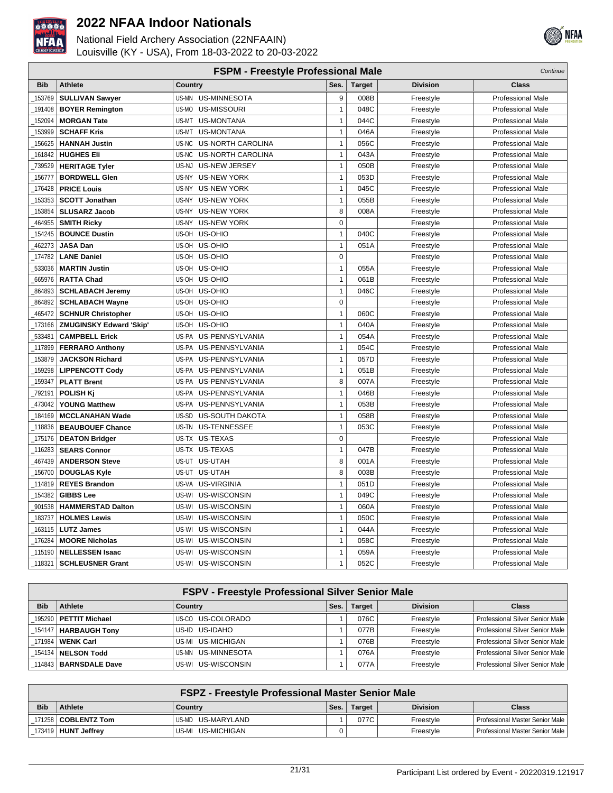



|            | <b>FSPM - Freestyle Professional Male</b><br>Continue |                                 |              |               |                 |                          |  |  |
|------------|-------------------------------------------------------|---------------------------------|--------------|---------------|-----------------|--------------------------|--|--|
| <b>Bib</b> | <b>Athlete</b>                                        | Country                         | Ses.         | <b>Target</b> | <b>Division</b> | <b>Class</b>             |  |  |
| 153769     | <b>SULLIVAN Sawyer</b>                                | US-MN US-MINNESOTA              | 9            | 008B          | Freestyle       | <b>Professional Male</b> |  |  |
| 191408     | <b>BOYER Remington</b>                                | US-MISSOURI<br>US-MO            | $\mathbf{1}$ | 048C          | Freestyle       | <b>Professional Male</b> |  |  |
| 152094     | <b>MORGAN Tate</b>                                    | US-MT<br><b>US-MONTANA</b>      | $\mathbf{1}$ | 044C          | Freestyle       | <b>Professional Male</b> |  |  |
| 153999     | <b>SCHAFF Kris</b>                                    | <b>US-MONTANA</b><br>US-MT      | $\mathbf{1}$ | 046A          | Freestyle       | <b>Professional Male</b> |  |  |
| 156625     | <b>HANNAH Justin</b>                                  | US-NC US-NORTH CAROLINA         | $\mathbf{1}$ | 056C          | Freestyle       | <b>Professional Male</b> |  |  |
| 161842     | <b>HUGHES Eli</b>                                     | US-NC<br>US-NORTH CAROLINA      | $\mathbf{1}$ | 043A          | Freestyle       | <b>Professional Male</b> |  |  |
| 739529     | <b>HERITAGE Tyler</b>                                 | <b>US-NEW JERSEY</b><br>US-NJ   | $\mathbf{1}$ | 050B          | Freestyle       | <b>Professional Male</b> |  |  |
| 156777     | <b>BORDWELL Glen</b>                                  | <b>US-NEW YORK</b><br>US-NY     | $\mathbf{1}$ | 053D          | Freestyle       | <b>Professional Male</b> |  |  |
| 176428     | <b>PRICE Louis</b>                                    | US-NY<br><b>US-NEW YORK</b>     | $\mathbf{1}$ | 045C          | Freestyle       | <b>Professional Male</b> |  |  |
| 153353     | <b>SCOTT Jonathan</b>                                 | US-NY<br><b>US-NEW YORK</b>     | $\mathbf{1}$ | 055B          | Freestyle       | <b>Professional Male</b> |  |  |
| 153854     | <b>SLUSARZ Jacob</b>                                  | US-NY<br><b>US-NEW YORK</b>     | 8            | 008A          | Freestyle       | Professional Male        |  |  |
| 464955     | <b>SMITH Ricky</b>                                    | US-NY<br><b>US-NEW YORK</b>     | $\mathbf 0$  |               | Freestyle       | Professional Male        |  |  |
| 154245     | <b>BOUNCE Dustin</b>                                  | US-OH<br>US-OHIO                | $\mathbf{1}$ | 040C          | Freestyle       | <b>Professional Male</b> |  |  |
| 462273     | <b>JASA Dan</b>                                       | US-OH US-OHIO                   | $\mathbf{1}$ | 051A          | Freestyle       | <b>Professional Male</b> |  |  |
| 174782     | <b>LANE Daniel</b>                                    | US-OH<br>US-OHIO                | $\mathbf 0$  |               | Freestyle       | <b>Professional Male</b> |  |  |
| 533036     | <b>MARTIN Justin</b>                                  | US-OH<br>US-OHIO                | $\mathbf{1}$ | 055A          | Freestyle       | <b>Professional Male</b> |  |  |
| 665976     | <b>RATTA Chad</b>                                     | US-OH US-OHIO                   | $\mathbf{1}$ | 061B          | Freestyle       | <b>Professional Male</b> |  |  |
| 864893     | <b>SCHLABACH Jeremy</b>                               | US-OHIO<br>US-OH                | $\mathbf{1}$ | 046C          | Freestyle       | <b>Professional Male</b> |  |  |
| 864892     | <b>SCHLABACH Wayne</b>                                | US-OH<br>US-OHIO                | $\pmb{0}$    |               | Freestyle       | <b>Professional Male</b> |  |  |
| 465472     | <b>SCHNUR Christopher</b>                             | US-OH US-OHIO                   | $\mathbf{1}$ | 060C          | Freestyle       | Professional Male        |  |  |
| 173166     | <b>ZMUGINSKY Edward 'Skip'</b>                        | US-OH<br>US-OHIO                | $\mathbf{1}$ | 040A          | Freestyle       | <b>Professional Male</b> |  |  |
| 533481     | <b>CAMPBELL Erick</b>                                 | US-PA<br>US-PENNSYLVANIA        | $\mathbf{1}$ | 054A          | Freestyle       | <b>Professional Male</b> |  |  |
| 117899     | <b>FERRARO Anthony</b>                                | US-PENNSYLVANIA<br>US-PA        | $\mathbf{1}$ | 054C          | Freestyle       | <b>Professional Male</b> |  |  |
| 153879     | <b>JACKSON Richard</b>                                | US-PA US-PENNSYLVANIA           | $\mathbf{1}$ | 057D          | Freestyle       | <b>Professional Male</b> |  |  |
| 159298     | <b>LIPPENCOTT Cody</b>                                | US-PA<br>US-PENNSYLVANIA        | $\mathbf{1}$ | 051B          | Freestyle       | <b>Professional Male</b> |  |  |
| 159347     | <b>PLATT Brent</b>                                    | US-PA<br>US-PENNSYLVANIA        | 8            | 007A          | Freestyle       | <b>Professional Male</b> |  |  |
| 792191     | <b>POLISH Kj</b>                                      | US-PA US-PENNSYLVANIA           | $\mathbf{1}$ | 046B          | Freestyle       | <b>Professional Male</b> |  |  |
| 473042     | <b>YOUNG Matthew</b>                                  | US-PA<br>US-PENNSYLVANIA        | $\mathbf{1}$ | 053B          | Freestyle       | <b>Professional Male</b> |  |  |
| 184169     | <b>MCCLANAHAN Wade</b>                                | US-SD<br><b>US-SOUTH DAKOTA</b> | $\mathbf{1}$ | 058B          | Freestyle       | <b>Professional Male</b> |  |  |
| 118836     | <b>BEAUBOUEF Chance</b>                               | US-TN US-TENNESSEE              | $\mathbf{1}$ | 053C          | Freestyle       | <b>Professional Male</b> |  |  |
| 175176     | <b>DEATON Bridger</b>                                 | US-TX US-TEXAS                  | 0            |               | Freestyle       | Professional Male        |  |  |
| 116283     | <b>SEARS Connor</b>                                   | US-TX US-TEXAS                  | $\mathbf{1}$ | 047B          | Freestyle       | <b>Professional Male</b> |  |  |
| 467439     | <b>ANDERSON Steve</b>                                 | US-UT US-UTAH                   | 8            | 001A          | Freestyle       | Professional Male        |  |  |
| 156700     | <b>DOUGLAS Kyle</b>                                   | US-UT US-UTAH                   | 8            | 003B          | Freestyle       | <b>Professional Male</b> |  |  |
| 114819     | <b>REYES Brandon</b>                                  | US-VA<br><b>US-VIRGINIA</b>     | $\mathbf{1}$ | 051D          | Freestyle       | <b>Professional Male</b> |  |  |
| 154382     | <b>GIBBS Lee</b>                                      | US-WI<br>US-WISCONSIN           | $\mathbf{1}$ | 049C          | Freestyle       | <b>Professional Male</b> |  |  |
| 901538     | <b>HAMMERSTAD Dalton</b>                              | US-WISCONSIN<br>US-WI           | $\mathbf{1}$ | 060A          | Freestyle       | Professional Male        |  |  |
| 183737     | <b>HOLMES Lewis</b>                                   | US-WI<br>US-WISCONSIN           | $\mathbf{1}$ | 050C          | Freestyle       | <b>Professional Male</b> |  |  |
| 163115     | <b>LUTZ James</b>                                     | US-WI<br>US-WISCONSIN           | $\mathbf{1}$ | 044A          | Freestyle       | <b>Professional Male</b> |  |  |
| 176284     | <b>MOORE Nicholas</b>                                 | US-WI<br>US-WISCONSIN           | $\mathbf{1}$ | 058C          | Freestyle       | <b>Professional Male</b> |  |  |
| 115190     | <b>NELLESSEN Isaac</b>                                | US-WI<br>US-WISCONSIN           | $\mathbf{1}$ | 059A          | Freestyle       | <b>Professional Male</b> |  |  |
| 118321     | <b>SCHLEUSNER Grant</b>                               | US-WI US-WISCONSIN              | $\mathbf{1}$ | 052C          | Freestyle       | Professional Male        |  |  |

|            | <b>FSPV - Freestyle Professional Silver Senior Male</b> |                    |      |               |                 |                                 |  |  |  |
|------------|---------------------------------------------------------|--------------------|------|---------------|-----------------|---------------------------------|--|--|--|
| <b>Bib</b> | Athlete                                                 | Country            | Ses. | <b>Target</b> | <b>Division</b> | <b>Class</b>                    |  |  |  |
|            | 195290   PETTIT Michael                                 | US-CO US-COLORADO  |      | 076C          | Freestyle       | Professional Silver Senior Male |  |  |  |
|            | _154147   HARBAUGH Tony                                 | US-ID US-IDAHO     |      | 077B          | Freestyle       | Professional Silver Senior Male |  |  |  |
|            | 171984   WENK Carl                                      | US-MI US-MICHIGAN  |      | 076B          | Freestyle       | Professional Silver Senior Male |  |  |  |
|            | 154134   NELSON Todd                                    | US-MN US-MINNESOTA |      | 076A          | Freestyle       | Professional Silver Senior Male |  |  |  |
|            | 114843   BARNSDALE Dave                                 | US-WI US-WISCONSIN |      | 077A          | Freestyle       | Professional Silver Senior Male |  |  |  |

|            | <b>FSPZ - Freestyle Professional Master Senior Male</b> |                    |      |               |                 |                                 |  |
|------------|---------------------------------------------------------|--------------------|------|---------------|-----------------|---------------------------------|--|
| <b>Bib</b> | Athlete                                                 | Country            | Ses. | <b>Target</b> | <b>Division</b> | <b>Class</b>                    |  |
|            | 171258   COBLENTZ Tom                                   | IUS-MD US-MARYLAND |      | 077C          | Freestyle       | Professional Master Senior Male |  |
|            | 173419   HUNT Jeffrey                                   | US-MI US-MICHIGAN  | 0    |               | Freestyle       | Professional Master Senior Male |  |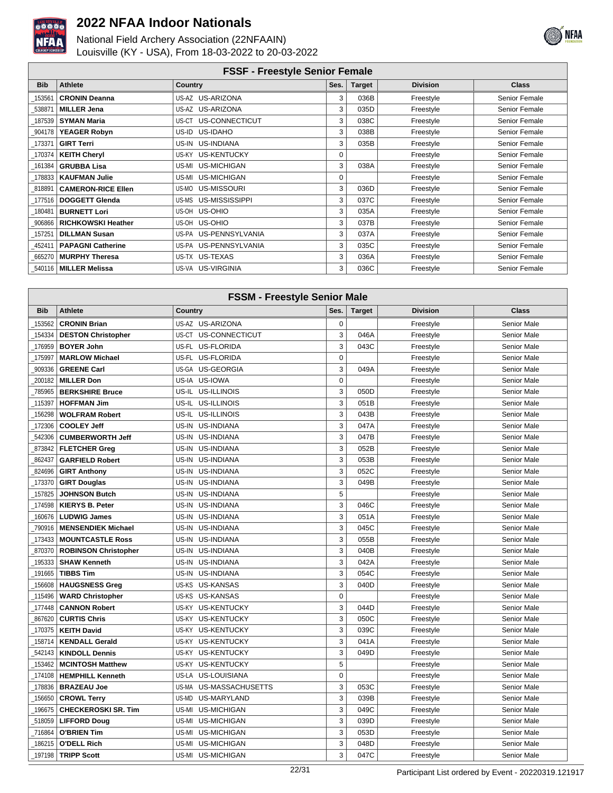



| <b>FSSF - Freestyle Senior Female</b> |                           |                       |      |               |                 |               |  |  |
|---------------------------------------|---------------------------|-----------------------|------|---------------|-----------------|---------------|--|--|
| <b>Bib</b>                            | <b>Athlete</b>            | <b>Country</b>        | Ses. | <b>Target</b> | <b>Division</b> | <b>Class</b>  |  |  |
| 153561                                | <b>CRONIN Deanna</b>      | US-AZ US-ARIZONA      | 3    | 036B          | Freestyle       | Senior Female |  |  |
| 538871                                | <b>MILLER Jena</b>        | US-AZ US-ARIZONA      | 3    | 035D          | Freestyle       | Senior Female |  |  |
| 187539                                | <b>SYMAN Maria</b>        | US-CT US-CONNECTICUT  | 3    | 038C          | Freestyle       | Senior Female |  |  |
| 904178                                | <b>YEAGER Robyn</b>       | US-ID US-IDAHO        | 3    | 038B          | Freestyle       | Senior Female |  |  |
| 173371                                | <b>GIRT Terri</b>         | US-IN US-INDIANA      | 3    | 035B          | Freestyle       | Senior Female |  |  |
| 170374                                | <b>KEITH Cheryl</b>       | US-KY US-KENTUCKY     | 0    |               | Freestyle       | Senior Female |  |  |
| 161384                                | <b>GRUBBA Lisa</b>        | US-MI US-MICHIGAN     | 3    | 038A          | Freestyle       | Senior Female |  |  |
| 178833                                | <b>KAUFMAN Julie</b>      | US-MI US-MICHIGAN     | 0    |               | Freestyle       | Senior Female |  |  |
| 818891                                | <b>CAMERON-RICE Ellen</b> | US-MISSOURI<br>US-MO  | 3    | 036D          | Freestyle       | Senior Female |  |  |
| 177516                                | <b>DOGGETT Glenda</b>     | US-MS US-MISSISSIPPI  | 3    | 037C          | Freestyle       | Senior Female |  |  |
| 180481                                | <b>BURNETT Lori</b>       | US-OH US-OHIO         | 3    | 035A          | Freestyle       | Senior Female |  |  |
| 906866                                | <b>RICHKOWSKI Heather</b> | US-OH US-OHIO         | 3    | 037B          | Freestyle       | Senior Female |  |  |
| 157251                                | <b>DILLMAN Susan</b>      | US-PA US-PENNSYLVANIA | 3    | 037A          | Freestyle       | Senior Female |  |  |
| 452411                                | <b>PAPAGNI Catherine</b>  | US-PA US-PENNSYLVANIA | 3    | 035C          | Freestyle       | Senior Female |  |  |
| 665270                                | <b>MURPHY Theresa</b>     | US-TX US-TEXAS        | 3    | 036A          | Freestyle       | Senior Female |  |  |
|                                       | 540116   MILLER Melissa   | US-VA US-VIRGINIA     | 3    | 036C          | Freestyle       | Senior Female |  |  |

|            | <b>FSSM - Freestyle Senior Male</b> |                             |             |               |                 |                    |  |  |
|------------|-------------------------------------|-----------------------------|-------------|---------------|-----------------|--------------------|--|--|
| <b>Bib</b> | <b>Athlete</b>                      | Country                     | Ses.        | <b>Target</b> | <b>Division</b> | <b>Class</b>       |  |  |
| 153562     | <b>CRONIN Brian</b>                 | US-AZ US-ARIZONA            | $\mathbf 0$ |               | Freestyle       | <b>Senior Male</b> |  |  |
| 154334     | <b>DESTON Christopher</b>           | US-CT US-CONNECTICUT        | 3           | 046A          | Freestyle       | Senior Male        |  |  |
| 176959     | <b>BOYER John</b>                   | US-FL US-FLORIDA            | 3           | 043C          | Freestyle       | <b>Senior Male</b> |  |  |
| 175997     | <b>MARLOW Michael</b>               | US-FL<br>US-FLORIDA         | $\mathbf 0$ |               | Freestyle       | Senior Male        |  |  |
| 909336     | <b>GREENE Carl</b>                  | US-GA US-GEORGIA            | 3           | 049A          | Freestyle       | Senior Male        |  |  |
| 200182     | <b>MILLER Don</b>                   | US-IA US-IOWA               | $\mathbf 0$ |               | Freestyle       | Senior Male        |  |  |
| 785965     | <b>BERKSHIRE Bruce</b>              | US-IL US-ILLINOIS           | 3           | 050D          | Freestyle       | <b>Senior Male</b> |  |  |
| 115397     | <b>HOFFMAN Jim</b>                  | US-IL US-ILLINOIS           | 3           | 051B          | Freestyle       | Senior Male        |  |  |
| 156298     | <b>WOLFRAM Robert</b>               | US-IL US-ILLINOIS           | 3           | 043B          | Freestyle       | Senior Male        |  |  |
| 172306     | <b>COOLEY Jeff</b>                  | US-IN US-INDIANA            | 3           | 047A          | Freestyle       | Senior Male        |  |  |
| 542306     | <b>CUMBERWORTH Jeff</b>             | US-IN US-INDIANA            | 3           | 047B          | Freestyle       | Senior Male        |  |  |
| 873842     | <b>FLETCHER Greg</b>                | US-IN US-INDIANA            | 3           | 052B          | Freestyle       | <b>Senior Male</b> |  |  |
| 862437     | <b>GARFIELD Robert</b>              | US-IN US-INDIANA            | 3           | 053B          | Freestyle       | Senior Male        |  |  |
| 824696     | <b>GIRT Anthony</b>                 | US-IN<br><b>US-INDIANA</b>  | 3           | 052C          | Freestyle       | Senior Male        |  |  |
| 173370     | <b>GIRT Douglas</b>                 | US-IN<br>US-INDIANA         | 3           | 049B          | Freestyle       | Senior Male        |  |  |
| 157825     | <b>JOHNSON Butch</b>                | <b>US-INDIANA</b><br>US-IN  | 5           |               | Freestyle       | Senior Male        |  |  |
| 174598     | <b>KIERYS B. Peter</b>              | US-IN US-INDIANA            | 3           | 046C          | Freestyle       | Senior Male        |  |  |
| 160676     | <b>LUDWIG James</b>                 | US-IN<br><b>US-INDIANA</b>  | 3           | 051A          | Freestyle       | Senior Male        |  |  |
| 790916     | <b>MENSENDIEK Michael</b>           | US-IN<br>US-INDIANA         | 3           | 045C          | Freestyle       | Senior Male        |  |  |
| 173433     | <b>MOUNTCASTLE Ross</b>             | US-INDIANA<br>US-IN         | 3           | 055B          | Freestyle       | <b>Senior Male</b> |  |  |
| 870370     | <b>ROBINSON Christopher</b>         | US-IN<br>US-INDIANA         | 3           | 040B          | Freestyle       | Senior Male        |  |  |
| 195333     | <b>SHAW Kenneth</b>                 | US-IN<br>US-INDIANA         | 3           | 042A          | Freestyle       | <b>Senior Male</b> |  |  |
| 191665     | <b>TIBBS Tim</b>                    | US-INDIANA<br>US-IN         | 3           | 054C          | Freestyle       | <b>Senior Male</b> |  |  |
| 156608     | <b>HAUGSNESS Greg</b>               | US-KS<br><b>US-KANSAS</b>   | 3           | 040D          | Freestyle       | Senior Male        |  |  |
| 115496     | <b>WARD Christopher</b>             | US-KS<br>US-KANSAS          | $\mathbf 0$ |               | Freestyle       | <b>Senior Male</b> |  |  |
| 177448     | <b>CANNON Robert</b>                | US-KY<br><b>US-KENTUCKY</b> | 3           | 044D          | Freestyle       | Senior Male        |  |  |
| 867620     | <b>CURTIS Chris</b>                 | US-KY<br><b>US-KENTUCKY</b> | 3           | 050C          | Freestyle       | Senior Male        |  |  |
| 170375     | <b>KEITH David</b>                  | US-KY<br><b>US-KENTUCKY</b> | 3           | 039C          | Freestyle       | <b>Senior Male</b> |  |  |
| 158714     | <b>KENDALL Gerald</b>               | US-KY<br><b>US-KENTUCKY</b> | 3           | 041A          | Freestyle       | Senior Male        |  |  |
| 542143     | <b>KINDOLL Dennis</b>               | US-KY<br><b>US-KENTUCKY</b> | 3           | 049D          | Freestyle       | Senior Male        |  |  |
| 153462     | <b>MCINTOSH Matthew</b>             | US-KY US-KENTUCKY           | 5           |               | Freestyle       | <b>Senior Male</b> |  |  |
| 174108     | <b>HEMPHILL Kenneth</b>             | US-LA US-LOUISIANA          | $\mathbf 0$ |               | Freestyle       | Senior Male        |  |  |
| 178836     | <b>BRAZEAU Joe</b>                  | US-MA<br>US-MASSACHUSETTS   | 3           | 053C          | Freestyle       | Senior Male        |  |  |
| 156650     | <b>CROWL Terry</b>                  | US-MD<br>US-MARYLAND        | 3           | 039B          | Freestyle       | Senior Male        |  |  |
| 196675     | <b>CHECKEROSKI SR. Tim</b>          | <b>US-MICHIGAN</b><br>US-MI | 3           | 049C          | Freestyle       | Senior Male        |  |  |
| 518059     | <b>LIFFORD Doug</b>                 | US-MI<br>US-MICHIGAN        | 3           | 039D          | Freestyle       | <b>Senior Male</b> |  |  |
| 716864     | <b>O'BRIEN Tim</b>                  | US-MI<br><b>US-MICHIGAN</b> | 3           | 053D          | Freestyle       | Senior Male        |  |  |
| 186215     | <b>O'DELL Rich</b>                  | US-MI<br><b>US-MICHIGAN</b> | 3           | 048D          | Freestyle       | <b>Senior Male</b> |  |  |
| 197198     | <b>TRIPP Scott</b>                  | US-MI US-MICHIGAN           | 3           | 047C          | Freestyle       | Senior Male        |  |  |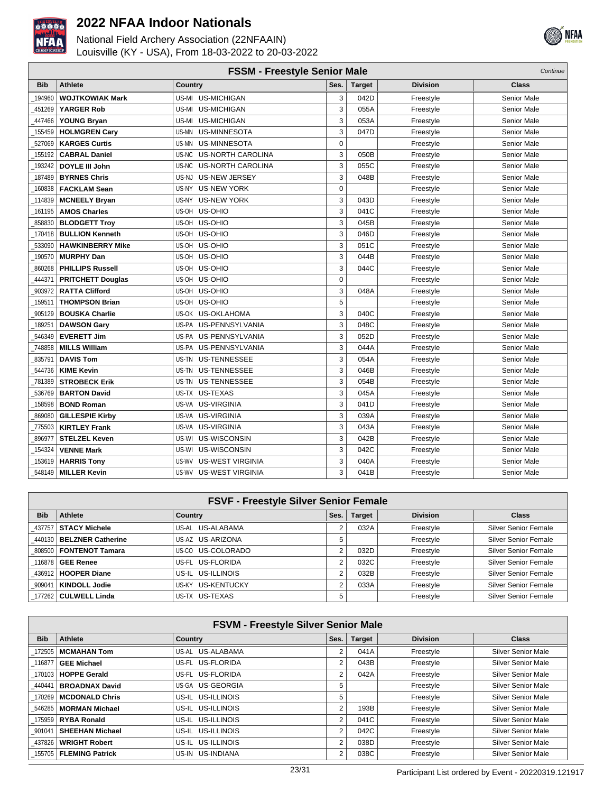



|            | <b>FSSM - Freestyle Senior Male</b> |                                  |          |               |                 |                    |  |  |
|------------|-------------------------------------|----------------------------------|----------|---------------|-----------------|--------------------|--|--|
| <b>Bib</b> | <b>Athlete</b>                      | <b>Country</b>                   | Ses.     | <b>Target</b> | <b>Division</b> | Class              |  |  |
| 194960     | <b>WOJTKOWIAK Mark</b>              | US-MI US-MICHIGAN                | 3        | 042D          | Freestyle       | Senior Male        |  |  |
| 451269     | <b>YARGER Rob</b>                   | US-MI US-MICHIGAN                | 3        | 055A          | Freestyle       | <b>Senior Male</b> |  |  |
| 447466     | <b>YOUNG Bryan</b>                  | US-MI US-MICHIGAN                | 3        | 053A          | Freestyle       | <b>Senior Male</b> |  |  |
| 155459     | <b>HOLMGREN Cary</b>                | US-MN US-MINNESOTA               | 3        | 047D          | Freestyle       | <b>Senior Male</b> |  |  |
| 527069     | <b>KARGES Curtis</b>                | US-MN US-MINNESOTA               | $\Omega$ |               | Freestyle       | Senior Male        |  |  |
| 155192     | <b>CABRAL Daniel</b>                | US-NC US-NORTH CAROLINA          | 3        | 050B          | Freestyle       | Senior Male        |  |  |
| 193242     | DOYLE III John                      | US-NC US-NORTH CAROLINA          | 3        | 055C          | Freestyle       | <b>Senior Male</b> |  |  |
| 187489     | <b>BYRNES Chris</b>                 | US-NJ US-NEW JERSEY              | 3        | 048B          | Freestyle       | Senior Male        |  |  |
| 160838     | <b>FACKLAM Sean</b>                 | <b>US-NEW YORK</b><br>US-NY      | 0        |               | Freestyle       | <b>Senior Male</b> |  |  |
| 114839     | <b>MCNEELY Bryan</b>                | US-NY US-NEW YORK                | 3        | 043D          | Freestyle       | Senior Male        |  |  |
| 161195     | <b>AMOS Charles</b>                 | US-OH US-OHIO                    | 3        | 041C          | Freestyle       | <b>Senior Male</b> |  |  |
| 858830     | <b>BLODGETT Troy</b>                | US-OH US-OHIO                    | 3        | 045B          | Freestyle       | Senior Male        |  |  |
| 170418     | <b>BULLION Kenneth</b>              | US-OH US-OHIO                    | 3        | 046D          | Freestyle       | Senior Male        |  |  |
| 533090     | <b>HAWKINBERRY Mike</b>             | US-OH US-OHIO                    | 3        | 051C          | Freestyle       | Senior Male        |  |  |
| 190570     | <b>MURPHY Dan</b>                   | US-OH US-OHIO                    | 3        | 044B          | Freestyle       | <b>Senior Male</b> |  |  |
| 860268     | <b>PHILLIPS Russell</b>             | US-OH US-OHIO                    | 3        | 044C          | Freestyle       | <b>Senior Male</b> |  |  |
| 444371     | <b>PRITCHETT Douglas</b>            | US-OH US-OHIO                    | $\Omega$ |               | Freestyle       | Senior Male        |  |  |
| 903972     | <b>RATTA Clifford</b>               | US-OHIO<br>US-OH                 | 3        | 048A          | Freestyle       | <b>Senior Male</b> |  |  |
| 159511     | <b>THOMPSON Brian</b>               | US-OH<br>US-OHIO                 | 5        |               | Freestyle       | Senior Male        |  |  |
| 905129     | <b>BOUSKA Charlie</b>               | <b>US-OKLAHOMA</b><br>US-OK      | 3        | 040C          | Freestyle       | Senior Male        |  |  |
| 189251     | <b>DAWSON Gary</b>                  | US-PA<br>US-PENNSYLVANIA         | 3        | 048C          | Freestyle       | Senior Male        |  |  |
| 546349     | <b>EVERETT Jim</b>                  | US-PA US-PENNSYLVANIA            | 3        | 052D          | Freestyle       | <b>Senior Male</b> |  |  |
| 748858     | <b>MILLS William</b>                | US-PA US-PENNSYLVANIA            | 3        | 044A          | Freestyle       | Senior Male        |  |  |
| 835791     | <b>DAVIS Tom</b>                    | US-TN US-TENNESSEE               | 3        | 054A          | Freestyle       | Senior Male        |  |  |
| 544736     | <b>KIME Kevin</b>                   | US-TN US-TENNESSEE               | 3        | 046B          | Freestyle       | Senior Male        |  |  |
| 781389     | <b>STROBECK Erik</b>                | US-TN US-TENNESSEE               | 3        | 054B          | Freestyle       | Senior Male        |  |  |
| 536769     | <b>BARTON David</b>                 | US-TX US-TEXAS                   | 3        | 045A          | Freestyle       | Senior Male        |  |  |
| 158598     | <b>BOND Roman</b>                   | US-VA US-VIRGINIA                | 3        | 041D          | Freestyle       | <b>Senior Male</b> |  |  |
| 869080     | <b>GILLESPIE Kirby</b>              | US-VA US-VIRGINIA                | 3        | 039A          | Freestyle       | <b>Senior Male</b> |  |  |
| 775503     | <b>KIRTLEY Frank</b>                | US-VA US-VIRGINIA                | 3        | 043A          | Freestyle       | Senior Male        |  |  |
| 896977     | <b>STELZEL Keven</b>                | US-WI US-WISCONSIN               | 3        | 042B          | Freestyle       | Senior Male        |  |  |
| 154324     | <b>VENNE Mark</b>                   | US-WI US-WISCONSIN               | 3        | 042C          | Freestyle       | Senior Male        |  |  |
| 153619     | <b>HARRIS Tony</b>                  | <b>US-WEST VIRGINIA</b><br>US-WV | 3        | 040A          | Freestyle       | Senior Male        |  |  |
| 548149     | <b>MILLER Kevin</b>                 | US-WV US-WEST VIRGINIA           | 3        | 041B          | Freestyle       | <b>Senior Male</b> |  |  |

|            | <b>FSVF - Freestyle Silver Senior Female</b> |                   |      |               |                 |                             |  |  |  |
|------------|----------------------------------------------|-------------------|------|---------------|-----------------|-----------------------------|--|--|--|
| <b>Bib</b> | Athlete                                      | <b>Country</b>    | Ses. | <b>Target</b> | <b>Division</b> | <b>Class</b>                |  |  |  |
|            | 437757   STACY Michele                       | US-AL US-ALABAMA  |      | 032A          | Freestyle       | <b>Silver Senior Female</b> |  |  |  |
|            | 440130   BELZNER Catherine                   | US-AZ US-ARIZONA  | 5    |               | Freestyle       | <b>Silver Senior Female</b> |  |  |  |
|            | 808500   FONTENOT Tamara                     | US-CO US-COLORADO |      | 032D          | Freestyle       | <b>Silver Senior Female</b> |  |  |  |
|            | 116878   GEE Renee                           | US-FL US-FLORIDA  | 2    | 032C          | Freestyle       | <b>Silver Senior Female</b> |  |  |  |
|            | 436912   HOOPER Diane                        | US-IL US-ILLINOIS |      | 032B          | Freestyle       | <b>Silver Senior Female</b> |  |  |  |
| 909041     | KINDOLL Jodie                                | US-KY US-KENTUCKY | 2    | 033A          | Freestyle       | <b>Silver Senior Female</b> |  |  |  |
|            | 177262   CULWELL Linda                       | US-TX US-TEXAS    | 5    |               | Freestyle       | <b>Silver Senior Female</b> |  |  |  |

| <b>FSVM - Freestyle Silver Senior Male</b> |                        |                     |                |               |                 |                           |  |  |
|--------------------------------------------|------------------------|---------------------|----------------|---------------|-----------------|---------------------------|--|--|
| <b>Bib</b>                                 | Athlete                | Country             | Ses.           | <b>Target</b> | <b>Division</b> | <b>Class</b>              |  |  |
| 172505                                     | <b>MCMAHAN Tom</b>     | US-AL US-ALABAMA    | 2              | 041A          | Freestyle       | <b>Silver Senior Male</b> |  |  |
| 116877                                     | <b>GEE Michael</b>     | US-FLORIDA<br>US-FL | 2              | 043B          | Freestyle       | <b>Silver Senior Male</b> |  |  |
| 170103                                     | <b>HOPPE Gerald</b>    | US-FL US-FLORIDA    | 2              | 042A          | Freestyle       | <b>Silver Senior Male</b> |  |  |
| 440441                                     | <b>BROADNAX David</b>  | US-GA US-GEORGIA    | 5              |               | Freestyle       | Silver Senior Male        |  |  |
| 170269                                     | <b>MCDONALD Chris</b>  | US-IL US-ILLINOIS   | 5              |               | Freestyle       | <b>Silver Senior Male</b> |  |  |
| 546285                                     | MORMAN Michael         | US-IL US-ILLINOIS   | $\overline{2}$ | 193B          | Freestyle       | <b>Silver Senior Male</b> |  |  |
|                                            | 175959   RYBA Ronald   | US-IL US-ILLINOIS   | $\overline{2}$ | 041C          | Freestyle       | Silver Senior Male        |  |  |
| 901041                                     | SHEEHAN Michael        | US-IL US-ILLINOIS   | $\overline{2}$ | 042C          | Freestyle       | <b>Silver Senior Male</b> |  |  |
| 437826                                     | <b>WRIGHT Robert</b>   | US-IL US-ILLINOIS   | $\overline{2}$ | 038D          | Freestyle       | Silver Senior Male        |  |  |
| 155705                                     | <b>FLEMING Patrick</b> | US-INDIANA<br>US-IN | 2              | 038C          | Freestyle       | <b>Silver Senior Male</b> |  |  |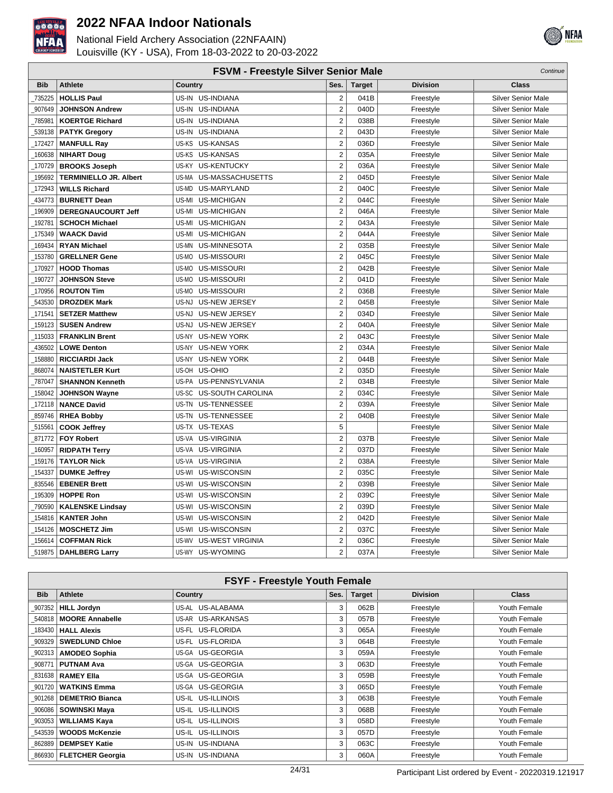



|            | <b>FSVM - Freestyle Silver Senior Male</b><br>Continue |                                  |                |               |                 |                           |  |  |
|------------|--------------------------------------------------------|----------------------------------|----------------|---------------|-----------------|---------------------------|--|--|
| <b>Bib</b> | <b>Athlete</b>                                         | Country                          | Ses.           | <b>Target</b> | <b>Division</b> | <b>Class</b>              |  |  |
| 735225     | <b>HOLLIS Paul</b>                                     | US-IN US-INDIANA                 | $\overline{2}$ | 041B          | Freestyle       | <b>Silver Senior Male</b> |  |  |
| 907649     | <b>JOHNSON Andrew</b>                                  | US-IN US-INDIANA                 | $\overline{2}$ | 040D          | Freestyle       | <b>Silver Senior Male</b> |  |  |
| 785981     | <b>KOERTGE Richard</b>                                 | US-IN US-INDIANA                 | $\overline{2}$ | 038B          | Freestyle       | <b>Silver Senior Male</b> |  |  |
| 539138     | <b>PATYK Gregory</b>                                   | US-IN US-INDIANA                 | $\overline{2}$ | 043D          | Freestyle       | Silver Senior Male        |  |  |
| 172427     | <b>MANFULL Ray</b>                                     | US-KS US-KANSAS                  | $\overline{2}$ | 036D          | Freestyle       | <b>Silver Senior Male</b> |  |  |
| 160638     | <b>NIHART Doug</b>                                     | US-KS US-KANSAS                  | $\overline{2}$ | 035A          | Freestyle       | <b>Silver Senior Male</b> |  |  |
| 170729     | <b>BROOKS Joseph</b>                                   | US-KY<br><b>US-KENTUCKY</b>      | $\overline{2}$ | 036A          | Freestyle       | <b>Silver Senior Male</b> |  |  |
| 195692     | <b>TERMINIELLO JR. Albert</b>                          | US-MA<br>US-MASSACHUSETTS        | $\overline{2}$ | 045D          | Freestyle       | <b>Silver Senior Male</b> |  |  |
| 172943     | <b>WILLS Richard</b>                                   | US-MD US-MARYLAND                | $\overline{2}$ | 040C          | Freestyle       | <b>Silver Senior Male</b> |  |  |
| 434773     | <b>BURNETT Dean</b>                                    | US-MI<br><b>US-MICHIGAN</b>      | $\overline{2}$ | 044C          | Freestyle       | <b>Silver Senior Male</b> |  |  |
| 196909     | <b>DEREGNAUCOURT Jeff</b>                              | US-MI<br><b>US-MICHIGAN</b>      | $\overline{2}$ | 046A          | Freestyle       | <b>Silver Senior Male</b> |  |  |
| 192781     | <b>SCHOCH Michael</b>                                  | US-MICHIGAN<br>US-MI             | $\overline{2}$ | 043A          | Freestyle       | <b>Silver Senior Male</b> |  |  |
| 175349     | <b>WAACK David</b>                                     | US-MI<br><b>US-MICHIGAN</b>      | $\overline{2}$ | 044A          | Freestyle       | <b>Silver Senior Male</b> |  |  |
| 169434     | <b>RYAN Michael</b>                                    | US-MN<br>US-MINNESOTA            | $\overline{2}$ | 035B          | Freestyle       | <b>Silver Senior Male</b> |  |  |
| 153780     | <b>GRELLNER Gene</b>                                   | US-MO US-MISSOURI                | $\overline{2}$ | 045C          | Freestyle       | <b>Silver Senior Male</b> |  |  |
| 170927     | <b>HOOD Thomas</b>                                     | US-MO US-MISSOURI                | $\overline{2}$ | 042B          | Freestyle       | <b>Silver Senior Male</b> |  |  |
| 190727     | <b>JOHNSON Steve</b>                                   | US-MO<br><b>US-MISSOURI</b>      | $\overline{2}$ | 041D          | Freestyle       | <b>Silver Senior Male</b> |  |  |
| 170956     | <b>ROUTON Tim</b>                                      | US-MO<br>US-MISSOURI             | $\overline{2}$ | 036B          | Freestyle       | <b>Silver Senior Male</b> |  |  |
| 543530     | <b>DROZDEK Mark</b>                                    | US-NEW JERSEY<br>US-NJ           | $\overline{2}$ | 045B          | Freestyle       | <b>Silver Senior Male</b> |  |  |
| 171541     | <b>SETZER Matthew</b>                                  | US-NJ<br>US-NEW JERSEY           | $\overline{2}$ | 034D          | Freestyle       | <b>Silver Senior Male</b> |  |  |
| 159123     | <b>SUSEN Andrew</b>                                    | US-NJ<br>US-NEW JERSEY           | $\overline{2}$ | 040A          | Freestyle       | <b>Silver Senior Male</b> |  |  |
| 115033     | <b>FRANKLIN Brent</b>                                  | <b>US-NEW YORK</b><br>US-NY      | $\overline{2}$ | 043C          | Freestyle       | <b>Silver Senior Male</b> |  |  |
| 436502     | <b>LOWE Denton</b>                                     | US-NY US-NEW YORK                | $\overline{2}$ | 034A          | Freestyle       | <b>Silver Senior Male</b> |  |  |
| 158880     | <b>RICCIARDI Jack</b>                                  | US-NY<br><b>US-NEW YORK</b>      | $\overline{2}$ | 044B          | Freestyle       | <b>Silver Senior Male</b> |  |  |
| 868074     | <b>NAISTETLER Kurt</b>                                 | US-OH US-OHIO                    | $\overline{2}$ | 035D          | Freestyle       | <b>Silver Senior Male</b> |  |  |
| 787047     | <b>SHANNON Kenneth</b>                                 | US-PENNSYLVANIA<br>US-PA         | $\overline{2}$ | 034B          | Freestyle       | <b>Silver Senior Male</b> |  |  |
| 158042     | <b>JOHNSON Wayne</b>                                   | US-SC US-SOUTH CAROLINA          | $\overline{2}$ | 034C          | Freestyle       | <b>Silver Senior Male</b> |  |  |
| 172118     | <b>NANCE David</b>                                     | US-TENNESSEE<br>US-TN            | $\overline{2}$ | 039A          | Freestyle       | <b>Silver Senior Male</b> |  |  |
| 859746     | <b>RHEA Bobby</b>                                      | US-TN US-TENNESSEE               | $\overline{2}$ | 040B          | Freestyle       | <b>Silver Senior Male</b> |  |  |
| 515561     | <b>COOK Jeffrey</b>                                    | US-TX US-TEXAS                   | 5              |               | Freestyle       | <b>Silver Senior Male</b> |  |  |
| 871772     | <b>FOY Robert</b>                                      | US-VA US-VIRGINIA                | $\overline{2}$ | 037B          | Freestyle       | <b>Silver Senior Male</b> |  |  |
| 160957     | <b>RIDPATH Terry</b>                                   | US-VA US-VIRGINIA                | $\overline{2}$ | 037D          | Freestyle       | <b>Silver Senior Male</b> |  |  |
| 159176     | <b>TAYLOR Nick</b>                                     | US-VA US-VIRGINIA                | $\overline{2}$ | 038A          | Freestyle       | <b>Silver Senior Male</b> |  |  |
| 154337     | <b>DUMKE Jeffrey</b>                                   | US-WISCONSIN<br>US-WI            | $\overline{2}$ | 035C          | Freestyle       | <b>Silver Senior Male</b> |  |  |
| 835546     | <b>EBENER Brett</b>                                    | US-WI<br>US-WISCONSIN            | $\overline{2}$ | 039B          | Freestyle       | <b>Silver Senior Male</b> |  |  |
| 195309     | <b>HOPPE Ron</b>                                       | US-WI<br>US-WISCONSIN            | $\overline{2}$ | 039C          | Freestyle       | <b>Silver Senior Male</b> |  |  |
| 790590     | <b>KALENSKE Lindsay</b>                                | US-WI US-WISCONSIN               | $\overline{2}$ | 039D          | Freestyle       | <b>Silver Senior Male</b> |  |  |
| 154816     | <b>KANTER John</b>                                     | US-WISCONSIN<br>US-WI            | $\overline{2}$ | 042D          | Freestyle       | <b>Silver Senior Male</b> |  |  |
| 154126     | <b>MOSCHETZ Jim</b>                                    | US-WI<br>US-WISCONSIN            | $\overline{2}$ | 037C          | Freestyle       | <b>Silver Senior Male</b> |  |  |
| 156614     | <b>COFFMAN Rick</b>                                    | <b>US-WEST VIRGINIA</b><br>US-WV | $\overline{2}$ | 036C          | Freestyle       | <b>Silver Senior Male</b> |  |  |
| 519875     | <b>DAHLBERG Larry</b>                                  | US-WY US-WYOMING                 | $\overline{2}$ | 037A          | Freestyle       | <b>Silver Senior Male</b> |  |  |

| <b>FSYF - Freestyle Youth Female</b> |                           |                   |      |               |                 |              |  |  |
|--------------------------------------|---------------------------|-------------------|------|---------------|-----------------|--------------|--|--|
| <b>Bib</b>                           | <b>Athlete</b>            | <b>Country</b>    | Ses. | <b>Target</b> | <b>Division</b> | <b>Class</b> |  |  |
| 907352                               | <b>HILL Jordyn</b>        | US-AL US-ALABAMA  | 3    | 062B          | Freestyle       | Youth Female |  |  |
| 540818                               | <b>MOORE Annabelle</b>    | US-AR US-ARKANSAS | 3    | 057B          | Freestyle       | Youth Female |  |  |
| 183430                               | <b>HALL Alexis</b>        | US-FL US-FLORIDA  | 3    | 065A          | Freestyle       | Youth Female |  |  |
| 909329                               | <b>SWEDLUND Chloe</b>     | US-FL US-FLORIDA  | 3    | 064B          | Freestyle       | Youth Female |  |  |
| 902313                               | <b>AMODEO Sophia</b>      | US-GA US-GEORGIA  | 3    | 059A          | Freestyle       | Youth Female |  |  |
| 908771                               | <b>PUTNAM Ava</b>         | US-GA US-GEORGIA  | 3    | 063D          | Freestyle       | Youth Female |  |  |
| 831638                               | <b>RAMEY Ella</b>         | US-GA US-GEORGIA  | 3    | 059B          | Freestyle       | Youth Female |  |  |
| 901720                               | <b>WATKINS Emma</b>       | US-GA US-GEORGIA  | 3    | 065D          | Freestyle       | Youth Female |  |  |
| 901268                               | <b>DEMETRIO Bianca</b>    | US-IL US-ILLINOIS | 3    | 063B          | Freestyle       | Youth Female |  |  |
| 906086                               | <b>SOWINSKI Maya</b>      | US-IL US-ILLINOIS | 3    | 068B          | Freestyle       | Youth Female |  |  |
| 903053                               | <b>WILLIAMS Kaya</b>      | US-IL US-ILLINOIS | 3    | 058D          | Freestyle       | Youth Female |  |  |
| 543539                               | <b>WOODS McKenzie</b>     | US-IL US-ILLINOIS | 3    | 057D          | Freestyle       | Youth Female |  |  |
| 862889                               | <b>DEMPSEY Katie</b>      | US-IN US-INDIANA  | 3    | 063C          | Freestyle       | Youth Female |  |  |
|                                      | 866930   FLETCHER Georgia | US-IN US-INDIANA  | 3    | 060A          | Freestyle       | Youth Female |  |  |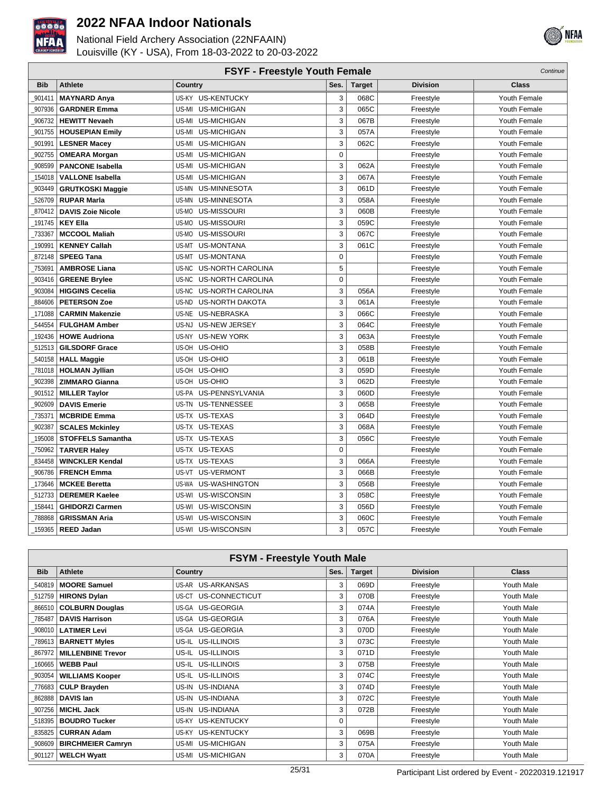



|            | FSYF - Freestyle Youth Female<br>Continue |                                   |             |               |                 |              |  |  |  |
|------------|-------------------------------------------|-----------------------------------|-------------|---------------|-----------------|--------------|--|--|--|
| <b>Bib</b> | <b>Athlete</b>                            | <b>Country</b>                    | Ses.        | <b>Target</b> | <b>Division</b> | Class        |  |  |  |
| 901411     | <b>MAYNARD Anya</b>                       | US-KY<br><b>US-KENTUCKY</b>       | 3           | 068C          | Freestyle       | Youth Female |  |  |  |
| 907936     | <b>GARDNER Emma</b>                       | US-MI<br><b>US-MICHIGAN</b>       | 3           | 065C          | Freestyle       | Youth Female |  |  |  |
| 906732     | <b>HEWITT Nevaeh</b>                      | <b>US-MICHIGAN</b><br>US-MI       | 3           | 067B          | Freestyle       | Youth Female |  |  |  |
| 901755     | <b>HOUSEPIAN Emily</b>                    | US-MI<br><b>US-MICHIGAN</b>       | 3           | 057A          | Freestyle       | Youth Female |  |  |  |
| 901991     | <b>LESNER Macey</b>                       | US-MI<br><b>US-MICHIGAN</b>       | 3           | 062C          | Freestyle       | Youth Female |  |  |  |
| 902755     | <b>OMEARA Morgan</b>                      | US-MI<br><b>US-MICHIGAN</b>       | $\mathbf 0$ |               | Freestyle       | Youth Female |  |  |  |
| 908599     | <b>PANCONE Isabella</b>                   | US-MI<br><b>US-MICHIGAN</b>       | 3           | 062A          | Freestyle       | Youth Female |  |  |  |
| 154018     | <b>VALLONE Isabella</b>                   | US-MI<br><b>US-MICHIGAN</b>       | 3           | 067A          | Freestyle       | Youth Female |  |  |  |
| 903449     | <b>GRUTKOSKI Maggie</b>                   | US-MINNESOTA<br>US-MN             | 3           | 061D          | Freestyle       | Youth Female |  |  |  |
| 526709     | <b>RUPAR Marla</b>                        | US-MINNESOTA<br>US-MN             | 3           | 058A          | Freestyle       | Youth Female |  |  |  |
| 870412     | <b>DAVIS Zoie Nicole</b>                  | US-MO<br>US-MISSOURI              | 3           | 060B          | Freestyle       | Youth Female |  |  |  |
| 191745     | <b>KEY Ella</b>                           | US-MO<br>US-MISSOURI              | 3           | 059C          | Freestyle       | Youth Female |  |  |  |
| 733367     | <b>MCCOOL Maliah</b>                      | US-MO<br>US-MISSOURI              | 3           | 067C          | Freestyle       | Youth Female |  |  |  |
| 190991     | <b>KENNEY Callah</b>                      | US-MT<br><b>US-MONTANA</b>        | 3           | 061C          | Freestyle       | Youth Female |  |  |  |
| 872148     | <b>SPEEG Tana</b>                         | US-MT<br><b>US-MONTANA</b>        | $\mathbf 0$ |               | Freestyle       | Youth Female |  |  |  |
| 753691     | <b>AMBROSE Liana</b>                      | <b>US-NORTH CAROLINA</b><br>US-NC | 5           |               | Freestyle       | Youth Female |  |  |  |
| 903416     | <b>GREENE Brylee</b>                      | US-NC<br><b>US-NORTH CAROLINA</b> | $\mathbf 0$ |               | Freestyle       | Youth Female |  |  |  |
| 903084     | <b>HIGGINS Cecelia</b>                    | <b>US-NORTH CAROLINA</b><br>US-NC | 3           | 056A          | Freestyle       | Youth Female |  |  |  |
| 884606     | <b>PETERSON Zoe</b>                       | <b>US-NORTH DAKOTA</b><br>US-ND   | 3           | 061A          | Freestyle       | Youth Female |  |  |  |
| 171088     | <b>CARMIN Makenzie</b>                    | US-NE<br>US-NEBRASKA              | 3           | 066C          | Freestyle       | Youth Female |  |  |  |
| 544554     | <b>FULGHAM Amber</b>                      | US-NJ<br><b>US-NEW JERSEY</b>     | 3           | 064C          | Freestyle       | Youth Female |  |  |  |
| 192436     | <b>HOWE Audriona</b>                      | US-NY<br><b>US-NEW YORK</b>       | 3           | 063A          | Freestyle       | Youth Female |  |  |  |
| 512513     | <b>GILSDORF Grace</b>                     | US-OH US-OHIO                     | 3           | 058B          | Freestyle       | Youth Female |  |  |  |
| 540158     | <b>HALL Maggie</b>                        | US-OH US-OHIO                     | 3           | 061B          | Freestyle       | Youth Female |  |  |  |
| 781018     | <b>HOLMAN Jyllian</b>                     | US-OH<br>US-OHIO                  | 3           | 059D          | Freestyle       | Youth Female |  |  |  |
| 902398     | <b>ZIMMARO Gianna</b>                     | US-OHIO<br>US-OH                  | 3           | 062D          | Freestyle       | Youth Female |  |  |  |
| 901512     | <b>MILLER Taylor</b>                      | US-PENNSYLVANIA<br>US-PA          | 3           | 060D          | Freestyle       | Youth Female |  |  |  |
| 902609     | <b>DAVIS Emerie</b>                       | US-TN US-TENNESSEE                | 3           | 065B          | Freestyle       | Youth Female |  |  |  |
| 735371     | <b>MCBRIDE Emma</b>                       | US-TX US-TEXAS                    | 3           | 064D          | Freestyle       | Youth Female |  |  |  |
| 902387     | <b>SCALES Mckinley</b>                    | US-TX<br>US-TEXAS                 | 3           | 068A          | Freestyle       | Youth Female |  |  |  |
| 195008     | <b>STOFFELS Samantha</b>                  | US-TX US-TEXAS                    | 3           | 056C          | Freestyle       | Youth Female |  |  |  |
| 750962     | <b>TARVER Haley</b>                       | US-TX US-TEXAS                    | $\mathbf 0$ |               | Freestyle       | Youth Female |  |  |  |
| 834458     | <b>WINCKLER Kendal</b>                    | US-TX US-TEXAS                    | 3           | 066A          | Freestyle       | Youth Female |  |  |  |
| 906786     | <b>FRENCH Emma</b>                        | US-VT<br><b>US-VERMONT</b>        | 3           | 066B          | Freestyle       | Youth Female |  |  |  |
| 173646     | <b>MCKEE Beretta</b>                      | <b>US-WASHINGTON</b><br>US-WA     | 3           | 056B          | Freestyle       | Youth Female |  |  |  |
| 512733     | <b>DEREMER Kaelee</b>                     | US-WISCONSIN<br>US-WI             | 3           | 058C          | Freestyle       | Youth Female |  |  |  |
| 158441     | <b>GHIDORZI Carmen</b>                    | US-WISCONSIN<br>US-WI             | 3           | 056D          | Freestyle       | Youth Female |  |  |  |
| 788868     | <b>GRISSMAN Aria</b>                      | US-WI<br>US-WISCONSIN             | 3           | 060C          | Freestyle       | Youth Female |  |  |  |
| 159365     | <b>REED Jadan</b>                         | US-WI US-WISCONSIN                | 3           | 057C          | Freestyle       | Youth Female |  |  |  |

|            | <b>FSYM - Freestyle Youth Male</b> |                      |      |               |                 |              |  |  |  |
|------------|------------------------------------|----------------------|------|---------------|-----------------|--------------|--|--|--|
| <b>Bib</b> | Athlete                            | Country              | Ses. | <b>Target</b> | <b>Division</b> | <b>Class</b> |  |  |  |
| 540819     | <b>MOORE Samuel</b>                | US-AR US-ARKANSAS    | 3    | 069D          | Freestyle       | Youth Male   |  |  |  |
| 512759     | <b>HIRONS Dylan</b>                | US-CT US-CONNECTICUT | 3    | 070B          | Freestyle       | Youth Male   |  |  |  |
| 866510     | <b>COLBURN Douglas</b>             | US-GA US-GEORGIA     | 3    | 074A          | Freestyle       | Youth Male   |  |  |  |
| 785487     | <b>DAVIS Harrison</b>              | US-GA US-GEORGIA     | 3    | 076A          | Freestyle       | Youth Male   |  |  |  |
| 908010     | <b>LATIMER Levi</b>                | US-GA US-GEORGIA     | 3    | 070D          | Freestyle       | Youth Male   |  |  |  |
| 789613     | <b>BARNETT Myles</b>               | US-IL US-ILLINOIS    | 3    | 073C          | Freestyle       | Youth Male   |  |  |  |
| 867972     | <b>MILLENBINE Trevor</b>           | US-IL US-ILLINOIS    | 3    | 071D          | Freestyle       | Youth Male   |  |  |  |
| 160665     | <b>WEBB Paul</b>                   | US-IL US-ILLINOIS    | 3    | 075B          | Freestyle       | Youth Male   |  |  |  |
| 903054     | <b>WILLIAMS Kooper</b>             | US-IL US-ILLINOIS    | 3    | 074C          | Freestyle       | Youth Male   |  |  |  |
| 776683     | <b>CULP Brayden</b>                | US-IN US-INDIANA     | 3    | 074D          | Freestyle       | Youth Male   |  |  |  |
| 862888     | <b>DAVIS Ian</b>                   | US-IN US-INDIANA     | 3    | 072C          | Freestyle       | Youth Male   |  |  |  |
| 907256     | <b>MICHL Jack</b>                  | US-IN US-INDIANA     | 3    | 072B          | Freestyle       | Youth Male   |  |  |  |
| 518395     | <b>BOUDRO Tucker</b>               | US-KY US-KENTUCKY    | 0    |               | Freestyle       | Youth Male   |  |  |  |
| 835825     | <b>CURRAN Adam</b>                 | US-KY US-KENTUCKY    | 3    | 069B          | Freestyle       | Youth Male   |  |  |  |
| 908609     | <b>BIRCHMEIER Camryn</b>           | US-MI US-MICHIGAN    | 3    | 075A          | Freestyle       | Youth Male   |  |  |  |
| 901127     | <b>WELCH Wyatt</b>                 | US-MI US-MICHIGAN    | 3    | 070A          | Freestyle       | Youth Male   |  |  |  |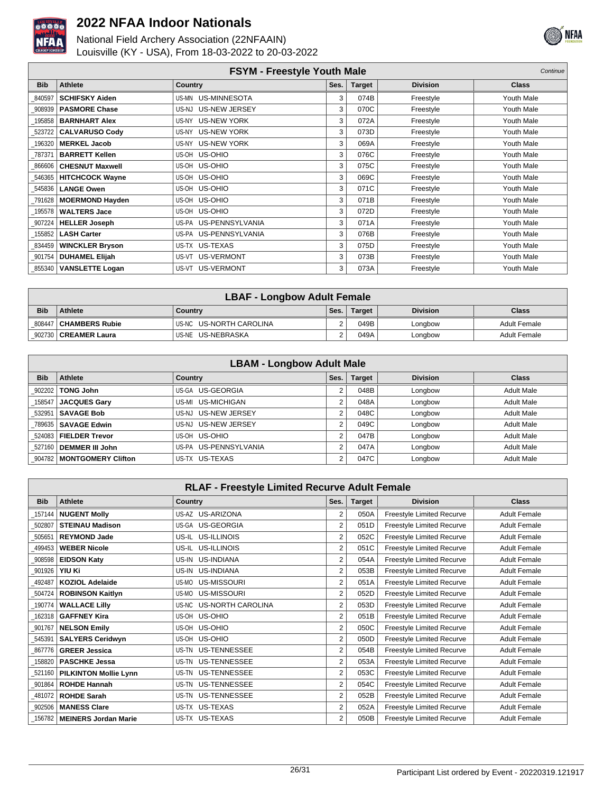



|            | <b>FSYM - Freestyle Youth Male</b> |                       |      |               |                 |              |  |  |
|------------|------------------------------------|-----------------------|------|---------------|-----------------|--------------|--|--|
| <b>Bib</b> | Athlete                            | <b>Country</b>        | Ses. | <b>Target</b> | <b>Division</b> | <b>Class</b> |  |  |
| 840597     | <b>SCHIFSKY Aiden</b>              | US-MN US-MINNESOTA    | 3    | 074B          | Freestyle       | Youth Male   |  |  |
| 908939     | <b>PASMORE Chase</b>               | US-NJ US-NEW JERSEY   | 3    | 070C          | Freestyle       | Youth Male   |  |  |
| 195858     | <b>BARNHART Alex</b>               | US-NY US-NEW YORK     | 3    | 072A          | Freestyle       | Youth Male   |  |  |
| 523722     | <b>CALVARUSO Cody</b>              | US-NY US-NEW YORK     | 3    | 073D          | Freestyle       | Youth Male   |  |  |
| 196320     | <b>MERKEL Jacob</b>                | US-NY US-NEW YORK     | 3    | 069A          | Freestyle       | Youth Male   |  |  |
| 787371     | <b>BARRETT Kellen</b>              | US-OH US-OHIO         | 3    | 076C          | Freestyle       | Youth Male   |  |  |
| 866606     | <b>CHESNUT Maxwell</b>             | US-OH US-OHIO         | 3    | 075C          | Freestyle       | Youth Male   |  |  |
| 546365     | <b>HITCHCOCK Wayne</b>             | US-OH US-OHIO         | 3    | 069C          | Freestyle       | Youth Male   |  |  |
| 545836     | <b>LANGE Owen</b>                  | US-OH US-OHIO         | 3    | 071C          | Freestyle       | Youth Male   |  |  |
| 791628     | <b>MOERMOND Hayden</b>             | US-OH US-OHIO         | 3    | 071B          | Freestyle       | Youth Male   |  |  |
| 195578     | <b>WALTERS Jace</b>                | US-OH US-OHIO         | 3    | 072D          | Freestyle       | Youth Male   |  |  |
| 907224     | <b>HELLER Joseph</b>               | US-PA US-PENNSYLVANIA | 3    | 071A          | Freestyle       | Youth Male   |  |  |
| 155852     | <b>LASH Carter</b>                 | US-PA US-PENNSYLVANIA | 3    | 076B          | Freestyle       | Youth Male   |  |  |
| 834459     | <b>WINCKLER Bryson</b>             | US-TX US-TEXAS        | 3    | 075D          | Freestyle       | Youth Male   |  |  |
| 901754     | <b>DUHAMEL Elijah</b>              | US-VT US-VERMONT      | 3    | 073B          | Freestyle       | Youth Male   |  |  |
| 855340     | <b>VANSLETTE Logan</b>             | US-VT US-VERMONT      | 3    | 073A          | Freestyle       | Youth Male   |  |  |

| <b>LBAF - Longbow Adult Female</b> |                        |                           |      |        |                 |                     |  |
|------------------------------------|------------------------|---------------------------|------|--------|-----------------|---------------------|--|
| <b>Bib</b>                         | Athlete                | Country                   | Ses. | Target | <b>Division</b> | Class               |  |
| 808447                             | ′ ∣ CHAMBERS Rubie∶    | I US-NC US-NORTH CAROLINA |      | 049B   | Longbow         | Adult Female        |  |
|                                    | 902730   CREAMER Laura | US-NE US-NEBRASKA         |      | 049A   | Longbow         | <b>Adult Female</b> |  |

|            | <b>LBAM - Longbow Adult Male</b> |                       |                |               |                 |                   |  |  |  |
|------------|----------------------------------|-----------------------|----------------|---------------|-----------------|-------------------|--|--|--|
| <b>Bib</b> | Athlete                          | Country               | Ses.           | <b>Target</b> | <b>Division</b> | <b>Class</b>      |  |  |  |
| 902202     | <b>TONG John</b>                 | US-GA US-GEORGIA      |                | 048B          | Longbow         | <b>Adult Male</b> |  |  |  |
| 158547     | <b>JACQUES Gary</b>              | US-MI US-MICHIGAN     | 2              | 048A          | Longbow         | <b>Adult Male</b> |  |  |  |
|            | 532951   SAVAGE Bob              | US-NJ US-NEW JERSEY   | 2              | 048C          | Longbow         | <b>Adult Male</b> |  |  |  |
|            | 789635   SAVAGE Edwin            | US-NJ US-NEW JERSEY   | 2              | 049C          | Longbow         | <b>Adult Male</b> |  |  |  |
|            | 524083   FIELDER Trevor          | US-OH US-OHIO         | 2              | 047B          | Longbow         | <b>Adult Male</b> |  |  |  |
|            | 527160   DEMMER III John         | US-PA US-PENNSYLVANIA | 2              | 047A          | Longbow         | <b>Adult Male</b> |  |  |  |
|            | 904782   MONTGOMERY Clifton      | US-TX US-TEXAS        | $\overline{2}$ | 047C          | Longbow         | <b>Adult Male</b> |  |  |  |

| <b>RLAF - Freestyle Limited Recurve Adult Female</b> |                               |                         |                |               |                           |                     |  |  |
|------------------------------------------------------|-------------------------------|-------------------------|----------------|---------------|---------------------------|---------------------|--|--|
| <b>Bib</b>                                           | <b>Athlete</b>                | <b>Country</b>          | Ses.           | <b>Target</b> | <b>Division</b>           | <b>Class</b>        |  |  |
| 157144                                               | <b>NUGENT Molly</b>           | US-AZ US-ARIZONA        | $\overline{2}$ | 050A          | Freestyle Limited Recurve | <b>Adult Female</b> |  |  |
| 502807                                               | <b>STEINAU Madison</b>        | US-GA US-GEORGIA        | $\overline{2}$ | 051D          | Freestyle Limited Recurve | <b>Adult Female</b> |  |  |
| 505651                                               | <b>REYMOND Jade</b>           | US-IL US-ILLINOIS       | 2              | 052C          | Freestyle Limited Recurve | <b>Adult Female</b> |  |  |
| 499453                                               | <b>WEBER Nicole</b>           | US-IL US-ILLINOIS       | 2              | 051C          | Freestyle Limited Recurve | <b>Adult Female</b> |  |  |
| 908598                                               | <b>EIDSON Katy</b>            | US-IN US-INDIANA        | $\overline{2}$ | 054A          | Freestyle Limited Recurve | <b>Adult Female</b> |  |  |
| 901926                                               | YIU Ki                        | US-IN US-INDIANA        | $\overline{2}$ | 053B          | Freestyle Limited Recurve | <b>Adult Female</b> |  |  |
| 492487                                               | <b>KOZIOL Adelaide</b>        | US-MO US-MISSOURI       | $\overline{2}$ | 051A          | Freestyle Limited Recurve | <b>Adult Female</b> |  |  |
| 504724                                               | <b>ROBINSON Kaitlyn</b>       | US-MO US-MISSOURI       | $\overline{2}$ | 052D          | Freestyle Limited Recurve | <b>Adult Female</b> |  |  |
| 190774                                               | <b>WALLACE Lilly</b>          | US-NC US-NORTH CAROLINA | $\overline{2}$ | 053D          | Freestyle Limited Recurve | <b>Adult Female</b> |  |  |
| 162318                                               | <b>GAFFNEY Kira</b>           | US-OH US-OHIO           | $\overline{2}$ | 051B          | Freestyle Limited Recurve | <b>Adult Female</b> |  |  |
| 901767                                               | <b>NELSON Emily</b>           | US-OH US-OHIO           | $\overline{2}$ | 050C          | Freestyle Limited Recurve | <b>Adult Female</b> |  |  |
| 545391                                               | <b>SALYERS Ceridwyn</b>       | US-OH US-OHIO           | $\overline{2}$ | 050D          | Freestyle Limited Recurve | <b>Adult Female</b> |  |  |
| 867776                                               | <b>GREER Jessica</b>          | US-TN US-TENNESSEE      | $\overline{2}$ | 054B          | Freestyle Limited Recurve | <b>Adult Female</b> |  |  |
| 158820                                               | <b>PASCHKE Jessa</b>          | US-TN US-TENNESSEE      | $\overline{2}$ | 053A          | Freestyle Limited Recurve | <b>Adult Female</b> |  |  |
| 521160                                               | <b>PILKINTON Mollie Lynn</b>  | US-TN US-TENNESSEE      | $\overline{2}$ | 053C          | Freestyle Limited Recurve | <b>Adult Female</b> |  |  |
| 901864                                               | <b>ROHDE Hannah</b>           | US-TN US-TENNESSEE      | $\overline{2}$ | 054C          | Freestyle Limited Recurve | <b>Adult Female</b> |  |  |
| 481072                                               | <b>ROHDE Sarah</b>            | US-TN US-TENNESSEE      | 2              | 052B          | Freestyle Limited Recurve | <b>Adult Female</b> |  |  |
| 902506                                               | <b>MANESS Clare</b>           | US-TX US-TEXAS          | 2              | 052A          | Freestyle Limited Recurve | <b>Adult Female</b> |  |  |
|                                                      | 156782   MEINERS Jordan Marie | US-TX US-TEXAS          | $\overline{2}$ | 050B          | Freestyle Limited Recurve | <b>Adult Female</b> |  |  |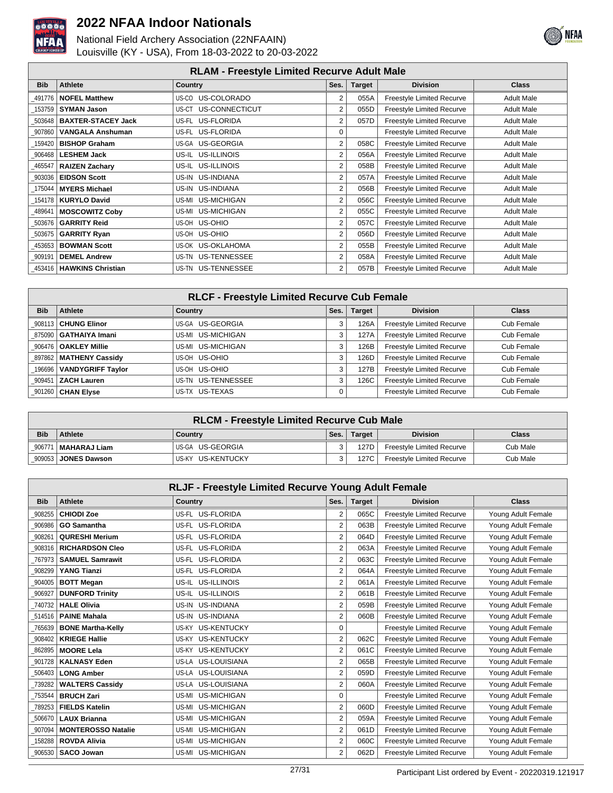

|            | <b>RLAM - Freestyle Limited Recurve Adult Male</b> |                      |                |               |                                  |                   |  |  |  |
|------------|----------------------------------------------------|----------------------|----------------|---------------|----------------------------------|-------------------|--|--|--|
| <b>Bib</b> | Athlete                                            | Country              | Ses.           | <b>Target</b> | <b>Division</b>                  | <b>Class</b>      |  |  |  |
| 491776     | <b>NOFEL Matthew</b>                               | US-CO US-COLORADO    | 2              | 055A          | <b>Freestyle Limited Recurve</b> | <b>Adult Male</b> |  |  |  |
| 153759     | <b>SYMAN Jason</b>                                 | US-CT US-CONNECTICUT | 2              | 055D          | <b>Freestyle Limited Recurve</b> | <b>Adult Male</b> |  |  |  |
| 503648     | <b>BAXTER-STACEY Jack</b>                          | US-FL US-FLORIDA     | 2              | 057D          | <b>Freestyle Limited Recurve</b> | <b>Adult Male</b> |  |  |  |
| 907860     | <b>VANGALA Anshuman</b>                            | US-FL US-FLORIDA     | 0              |               | <b>Freestyle Limited Recurve</b> | <b>Adult Male</b> |  |  |  |
| 159420     | <b>BISHOP Graham</b>                               | US-GA US-GEORGIA     | $\overline{2}$ | 058C          | <b>Freestyle Limited Recurve</b> | <b>Adult Male</b> |  |  |  |
| 906468     | <b>LESHEM Jack</b>                                 | US-IL US-ILLINOIS    | $\overline{2}$ | 056A          | Freestyle Limited Recurve        | <b>Adult Male</b> |  |  |  |
| 465547     | <b>RAIZEN Zachary</b>                              | US-IL US-ILLINOIS    | 2              | 058B          | Freestyle Limited Recurve        | <b>Adult Male</b> |  |  |  |
| 903036     | <b>EIDSON Scott</b>                                | US-IN US-INDIANA     | $\overline{2}$ | 057A          | <b>Freestyle Limited Recurve</b> | <b>Adult Male</b> |  |  |  |
| 175044     | <b>MYERS Michael</b>                               | US-IN US-INDIANA     | $\overline{2}$ | 056B          | Freestyle Limited Recurve        | <b>Adult Male</b> |  |  |  |
| 154178     | <b>KURYLO David</b>                                | US-MI US-MICHIGAN    | $\overline{2}$ | 056C          | <b>Freestyle Limited Recurve</b> | <b>Adult Male</b> |  |  |  |
| 489641     | <b>MOSCOWITZ Coby</b>                              | US-MI US-MICHIGAN    | $\overline{2}$ | 055C          | <b>Freestyle Limited Recurve</b> | <b>Adult Male</b> |  |  |  |
| 503676     | <b>GARRITY Reid</b>                                | US-OH US-OHIO        | 2              | 057C          | <b>Freestyle Limited Recurve</b> | <b>Adult Male</b> |  |  |  |
| 503675     | <b>GARRITY Ryan</b>                                | US-OH US-OHIO        | $\overline{2}$ | 056D          | <b>Freestyle Limited Recurve</b> | <b>Adult Male</b> |  |  |  |
| 453653     | <b>BOWMAN Scott</b>                                | US-OK US-OKLAHOMA    | $\overline{2}$ | 055B          | <b>Freestyle Limited Recurve</b> | <b>Adult Male</b> |  |  |  |
| 909191     | <b>DEMEL Andrew</b>                                | US-TN US-TENNESSEE   | $\overline{2}$ | 058A          | Freestyle Limited Recurve        | <b>Adult Male</b> |  |  |  |
|            | _453416   HAWKINS Christian                        | US-TN US-TENNESSEE   | 2              | 057B          | <b>Freestyle Limited Recurve</b> | <b>Adult Male</b> |  |  |  |

| <b>RLCF - Freestyle Limited Recurve Cub Female</b> |                            |                    |      |               |                                  |              |  |  |
|----------------------------------------------------|----------------------------|--------------------|------|---------------|----------------------------------|--------------|--|--|
| <b>Bib</b>                                         | Athlete                    | Country            | Ses. | <b>Target</b> | <b>Division</b>                  | <b>Class</b> |  |  |
|                                                    | 908113   CHUNG Elinor      | US-GA US-GEORGIA   | 3    | 126A          | <b>Freestyle Limited Recurve</b> | Cub Female   |  |  |
|                                                    | 875090   GATHAIYA Imani    | US-MI US-MICHIGAN  | 3    | 127A          | <b>Freestyle Limited Recurve</b> | Cub Female   |  |  |
|                                                    | 906476   OAKLEY Millie     | US-MI US-MICHIGAN  | 3    | 126B          | <b>Freestyle Limited Recurve</b> | Cub Female   |  |  |
|                                                    | 897862   MATHENY Cassidy   | US-OH US-OHIO      | 3    | 126D          | <b>Freestyle Limited Recurve</b> | Cub Female   |  |  |
|                                                    | 196696   VANDYGRIFF Taylor | US-OH US-OHIO      | 3    | 127B          | <b>Freestyle Limited Recurve</b> | Cub Female   |  |  |
|                                                    | 909451   ZACH Lauren       | US-TN US-TENNESSEE | 3    | 126C          | <b>Freestyle Limited Recurve</b> | Cub Female   |  |  |
|                                                    | _901260 <b>CHAN Elyse</b>  | US-TX US-TEXAS     | 0    |               | <b>Freestyle Limited Recurve</b> | Cub Female   |  |  |

| <b>RLCM - Freestyle Limited Recurve Cub Male</b> |                       |                    |      |               |                                  |              |  |
|--------------------------------------------------|-----------------------|--------------------|------|---------------|----------------------------------|--------------|--|
| <b>Bib</b>                                       | Athlete               | Country            | Ses. | <b>Target</b> | <b>Division</b>                  | <b>Class</b> |  |
| 906771                                           | MAHARAJ Liam          | IUS-GA US-GEORGIA  | ົ    | 127D          | <b>Freestyle Limited Recurve</b> | Cub Male     |  |
|                                                  | 909053   JONES Dawson | IUS-KY US-KENTUCKY |      | 127C          | <b>Freestyle Limited Recurve</b> | Cub Male     |  |

|            | <b>RLJF - Freestyle Limited Recurve Young Adult Female</b> |                             |                |               |                                  |                    |  |  |  |
|------------|------------------------------------------------------------|-----------------------------|----------------|---------------|----------------------------------|--------------------|--|--|--|
| <b>Bib</b> | <b>Athlete</b>                                             | <b>Country</b>              | Ses.           | <b>Target</b> | <b>Division</b>                  | <b>Class</b>       |  |  |  |
| 908255     | <b>CHIODI Zoe</b>                                          | US-FL US-FLORIDA            | 2              | 065C          | <b>Freestyle Limited Recurve</b> | Young Adult Female |  |  |  |
| 906986     | <b>GO Samantha</b>                                         | US-FL US-FLORIDA            | $\overline{2}$ | 063B          | <b>Freestyle Limited Recurve</b> | Young Adult Female |  |  |  |
| 908261     | <b>QURESHI Merium</b>                                      | US-FL US-FLORIDA            | $\overline{2}$ | 064D          | <b>Freestyle Limited Recurve</b> | Young Adult Female |  |  |  |
| 908316     | <b>RICHARDSON Cleo</b>                                     | US-FL US-FLORIDA            | 2              | 063A          | <b>Freestyle Limited Recurve</b> | Young Adult Female |  |  |  |
| 767973     | <b>SAMUEL Samrawit</b>                                     | US-FL US-FLORIDA            | 2              | 063C          | <b>Freestyle Limited Recurve</b> | Young Adult Female |  |  |  |
| 908299     | <b>YANG Tianzi</b>                                         | US-FL US-FLORIDA            | $\overline{2}$ | 064A          | <b>Freestyle Limited Recurve</b> | Young Adult Female |  |  |  |
| 904005     | <b>BOTT Megan</b>                                          | US-IL US-ILLINOIS           | $\overline{2}$ | 061A          | <b>Freestyle Limited Recurve</b> | Young Adult Female |  |  |  |
| 906927     | <b>DUNFORD Trinity</b>                                     | US-IL US-ILLINOIS           | $\overline{2}$ | 061B          | <b>Freestyle Limited Recurve</b> | Young Adult Female |  |  |  |
| 740732     | <b>HALE Olivia</b>                                         | US-IN US-INDIANA            | $\overline{2}$ | 059B          | <b>Freestyle Limited Recurve</b> | Young Adult Female |  |  |  |
| 514516     | <b>PAINE Mahala</b>                                        | US-IN US-INDIANA            | $\overline{2}$ | 060B          | <b>Freestyle Limited Recurve</b> | Young Adult Female |  |  |  |
| 765639     | <b>BONE Martha-Kelly</b>                                   | US-KY US-KENTUCKY           | 0              |               | <b>Freestyle Limited Recurve</b> | Young Adult Female |  |  |  |
| 908402     | <b>KRIEGE Hallie</b>                                       | <b>US-KENTUCKY</b><br>US-KY | $\overline{2}$ | 062C          | <b>Freestyle Limited Recurve</b> | Young Adult Female |  |  |  |
| 862895     | <b>MOORE Lela</b>                                          | US-KY US-KENTUCKY           | $\overline{2}$ | 061C          | Freestyle Limited Recurve        | Young Adult Female |  |  |  |
| 901728     | <b>KALNASY Eden</b>                                        | US-LA US-LOUISIANA          | $\overline{2}$ | 065B          | <b>Freestyle Limited Recurve</b> | Young Adult Female |  |  |  |
| 506403     | <b>LONG Amber</b>                                          | US-LA US-LOUISIANA          | $\overline{2}$ | 059D          | <b>Freestyle Limited Recurve</b> | Young Adult Female |  |  |  |
| 739282     | <b>WALTERS Cassidv</b>                                     | US-LA US-LOUISIANA          | $\mathbf{2}$   | 060A          | <b>Freestyle Limited Recurve</b> | Young Adult Female |  |  |  |
| 753544     | <b>BRUCH Zari</b>                                          | US-MI US-MICHIGAN           | 0              |               | <b>Freestyle Limited Recurve</b> | Young Adult Female |  |  |  |
| 789253     | <b>FIELDS Katelin</b>                                      | US-MI US-MICHIGAN           | 2              | 060D          | Freestyle Limited Recurve        | Young Adult Female |  |  |  |
| 506670     | <b>LAUX Brianna</b>                                        | US-MI US-MICHIGAN           | $\overline{2}$ | 059A          | <b>Freestyle Limited Recurve</b> | Young Adult Female |  |  |  |
| 907094     | <b>MONTEROSSO Natalie</b>                                  | US-MI US-MICHIGAN           | $\overline{2}$ | 061D          | <b>Freestyle Limited Recurve</b> | Young Adult Female |  |  |  |
| 158288     | <b>ROVDA Alivia</b>                                        | US-MI US-MICHIGAN           | $\overline{2}$ | 060C          | <b>Freestyle Limited Recurve</b> | Young Adult Female |  |  |  |
| 906530     | <b>SACO Jowan</b>                                          | US-MI US-MICHIGAN           | $\overline{2}$ | 062D          | <b>Freestyle Limited Recurve</b> | Young Adult Female |  |  |  |

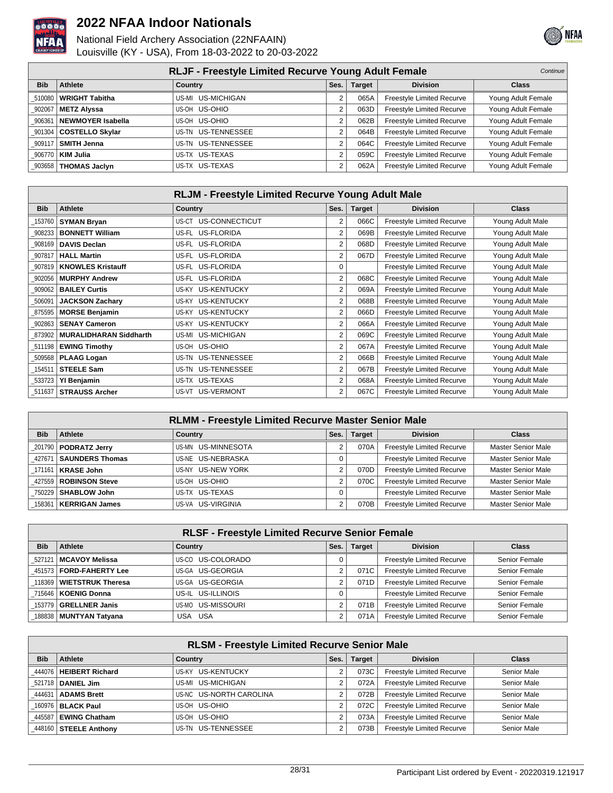



|            | <b>RLJF - Freestyle Limited Recurve Young Adult Female</b><br>Continue |                       |            |      |                                  |                    |  |  |  |
|------------|------------------------------------------------------------------------|-----------------------|------------|------|----------------------------------|--------------------|--|--|--|
| <b>Bib</b> | <b>Target</b><br><b>Division</b><br>Athlete<br>Country<br>Ses.         |                       |            |      |                                  |                    |  |  |  |
|            | 510080   WRIGHT Tabitha                                                | US-MI US-MICHIGAN     |            | 065A | Freestyle Limited Recurve        | Young Adult Female |  |  |  |
|            | 902067   METZ Alyssa                                                   | US-OH US-OHIO         |            | 063D | Freestyle Limited Recurve        | Young Adult Female |  |  |  |
|            | 906361 NEWMOYER Isabella                                               | US-OH US-OHIO         |            | 062B | Freestyle Limited Recurve        | Young Adult Female |  |  |  |
|            | _901304   COSTELLO Skylar                                              | US-TN US-TENNESSEE    |            | 064B | <b>Freestyle Limited Recurve</b> | Young Adult Female |  |  |  |
|            | 909117 SMITH Jenna                                                     | US-TENNESSEE<br>US-TN |            | 064C | <b>Freestyle Limited Recurve</b> | Young Adult Female |  |  |  |
|            | 906770   KIM Julia                                                     | US-TX US-TEXAS        | $\sqrt{2}$ | 059C | <b>Freestyle Limited Recurve</b> | Young Adult Female |  |  |  |
| 903658     | <b>THOMAS Jaclyn</b>                                                   | US-TX US-TEXAS        | c          | 062A | Freestyle Limited Recurve        | Young Adult Female |  |  |  |

|            | RLJM - Freestyle Limited Recurve Young Adult Male |                             |                |               |                                  |                  |  |  |  |
|------------|---------------------------------------------------|-----------------------------|----------------|---------------|----------------------------------|------------------|--|--|--|
| <b>Bib</b> | <b>Athlete</b>                                    | <b>Country</b>              | Ses.           | <b>Target</b> | <b>Division</b>                  | <b>Class</b>     |  |  |  |
| 153760     | <b>SYMAN Bryan</b>                                | US-CT US-CONNECTICUT        | 2              | 066C          | Freestyle Limited Recurve        | Young Adult Male |  |  |  |
| 908233     | <b>BONNETT William</b>                            | US-FL US-FLORIDA            | 2              | 069B          | <b>Freestyle Limited Recurve</b> | Young Adult Male |  |  |  |
| 908169     | <b>DAVIS Declan</b>                               | US-FL US-FLORIDA            | 2              | 068D          | <b>Freestyle Limited Recurve</b> | Young Adult Male |  |  |  |
| 907817     | <b>HALL Martin</b>                                | US-FL US-FLORIDA            | $\overline{2}$ | 067D          | Freestyle Limited Recurve        | Young Adult Male |  |  |  |
| 907819     | <b>KNOWLES Kristauff</b>                          | US-FL US-FLORIDA            | 0              |               | <b>Freestyle Limited Recurve</b> | Young Adult Male |  |  |  |
| 902056     | <b>MURPHY Andrew</b>                              | US-FL US-FLORIDA            | $\overline{2}$ | 068C          | <b>Freestyle Limited Recurve</b> | Young Adult Male |  |  |  |
| 909062     | <b>BAILEY Curtis</b>                              | <b>US-KENTUCKY</b><br>US-KY | $\overline{2}$ | 069A          | <b>Freestyle Limited Recurve</b> | Young Adult Male |  |  |  |
| 506091     | <b>JACKSON Zachary</b>                            | <b>US-KENTUCKY</b><br>US-KY | 2              | 068B          | <b>Freestyle Limited Recurve</b> | Young Adult Male |  |  |  |
| 875595     | <b>MORSE Benjamin</b>                             | <b>US-KENTUCKY</b><br>US-KY | $\overline{2}$ | 066D          | <b>Freestyle Limited Recurve</b> | Young Adult Male |  |  |  |
| 902863     | <b>SENAY Cameron</b>                              | US-KY US-KENTUCKY           | 2              | 066A          | <b>Freestyle Limited Recurve</b> | Young Adult Male |  |  |  |
| 873902     | <b>MURALIDHARAN Siddharth</b>                     | US-MI US-MICHIGAN           | 2              | 069C          | <b>Freestyle Limited Recurve</b> | Young Adult Male |  |  |  |
| 511198     | <b>EWING Timothy</b>                              | US-OH US-OHIO               | 2              | 067A          | <b>Freestyle Limited Recurve</b> | Young Adult Male |  |  |  |
| 509568     | <b>PLAAG Logan</b>                                | US-TN US-TENNESSEE          | $\overline{2}$ | 066B          | <b>Freestyle Limited Recurve</b> | Young Adult Male |  |  |  |
| 154511     | <b>STEELE Sam</b>                                 | US-TN US-TENNESSEE          | $\overline{2}$ | 067B          | <b>Freestyle Limited Recurve</b> | Young Adult Male |  |  |  |
| 533723     | YI Benjamin                                       | US-TX US-TEXAS              | $\overline{2}$ | 068A          | <b>Freestyle Limited Recurve</b> | Young Adult Male |  |  |  |
| 511637     | <b>STRAUSS Archer</b>                             | US-VT US-VERMONT            | 2              | 067C          | <b>Freestyle Limited Recurve</b> | Young Adult Male |  |  |  |

|            | RLMM - Freestyle Limited Recurve Master Senior Male |                    |      |               |                                  |                           |  |  |  |
|------------|-----------------------------------------------------|--------------------|------|---------------|----------------------------------|---------------------------|--|--|--|
| <b>Bib</b> | Athlete                                             | Country            | Ses. | <b>Target</b> | <b>Division</b>                  | <b>Class</b>              |  |  |  |
|            | 201790   PODRATZ Jerry                              | US-MN US-MINNESOTA | ◠    | 070A          | <b>Freestyle Limited Recurve</b> | Master Senior Male        |  |  |  |
| 427671     | SAUNDERS Thomas                                     | US-NE US-NEBRASKA  |      |               | <b>Freestyle Limited Recurve</b> | Master Senior Male        |  |  |  |
| 171161     | KRASE John                                          | US-NY US-NEW YORK  |      | 070D          | <b>Freestyle Limited Recurve</b> | <b>Master Senior Male</b> |  |  |  |
|            | 427559   ROBINSON Steve                             | US-OH US-OHIO      | c    | 070C          | <b>Freestyle Limited Recurve</b> | <b>Master Senior Male</b> |  |  |  |
|            | 750229   SHABLOW John                               | US-TX US-TEXAS     | 0    |               | <b>Freestyle Limited Recurve</b> | Master Senior Male        |  |  |  |
| 158361     | <b>KERRIGAN James</b>                               | US-VA US-VIRGINIA  | ◠    | 070B          | <b>Freestyle Limited Recurve</b> | <b>Master Senior Male</b> |  |  |  |

| <b>RLSF - Freestyle Limited Recurve Senior Female</b> |                                                                                |                   |   |      |                                  |               |  |  |  |
|-------------------------------------------------------|--------------------------------------------------------------------------------|-------------------|---|------|----------------------------------|---------------|--|--|--|
| <b>Bib</b>                                            | <b>Target</b><br><b>Division</b><br>Athlete<br>Ses.<br>Country<br><b>Class</b> |                   |   |      |                                  |               |  |  |  |
|                                                       | 527121   MCAVOY Melissa                                                        | US-CO US-COLORADO | 0 |      | <b>Freestyle Limited Recurve</b> | Senior Female |  |  |  |
|                                                       | 451573   FORD-FAHERTY Lee                                                      | US-GA US-GEORGIA  |   | 071C | <b>Freestyle Limited Recurve</b> | Senior Female |  |  |  |
|                                                       | 118369   WIETSTRUK Theresa                                                     | US-GA US-GEORGIA  |   | 071D | <b>Freestyle Limited Recurve</b> | Senior Female |  |  |  |
|                                                       | 715646   KOENIG Donna                                                          | US-IL US-ILLINOIS |   |      | <b>Freestyle Limited Recurve</b> | Senior Female |  |  |  |
|                                                       | 153779 GRELLNER Janis                                                          | US-MO US-MISSOURI |   | 071B | <b>Freestyle Limited Recurve</b> | Senior Female |  |  |  |
|                                                       | 188838   MUNTYAN Tatyana                                                       | USA USA           |   | 071A | <b>Freestyle Limited Recurve</b> | Senior Female |  |  |  |

| <b>RLSM - Freestyle Limited Recurve Senior Male</b> |                                                                                |                         |   |      |                                  |             |  |  |  |
|-----------------------------------------------------|--------------------------------------------------------------------------------|-------------------------|---|------|----------------------------------|-------------|--|--|--|
| <b>Bib</b>                                          | <b>Division</b><br><b>Target</b><br>Athlete<br>Ses.<br><b>Class</b><br>Country |                         |   |      |                                  |             |  |  |  |
|                                                     | 444076   HEIBERT Richard                                                       | US-KY US-KENTUCKY       |   | 073C | <b>Freestyle Limited Recurve</b> | Senior Male |  |  |  |
|                                                     | 521718 DANIEL Jim                                                              | US-MI US-MICHIGAN       |   | 072A | <b>Freestyle Limited Recurve</b> | Senior Male |  |  |  |
|                                                     | 444631   ADAMS Brett                                                           | US-NC US-NORTH CAROLINA |   | 072B | <b>Freestyle Limited Recurve</b> | Senior Male |  |  |  |
|                                                     | 160976   BLACK Paul                                                            | US-OH US-OHIO           | 2 | 072C | <b>Freestyle Limited Recurve</b> | Senior Male |  |  |  |
|                                                     | 445587 EWING Chatham                                                           | US-OH US-OHIO           |   | 073A | <b>Freestyle Limited Recurve</b> | Senior Male |  |  |  |
|                                                     | 448160 STEELE Anthony                                                          | US-TN US-TENNESSEE      |   | 073B | <b>Freestyle Limited Recurve</b> | Senior Male |  |  |  |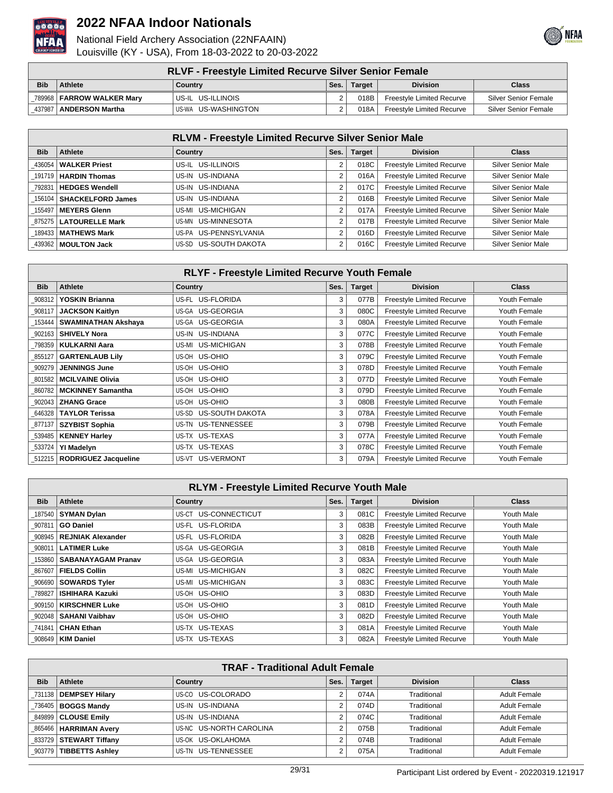



|            | <b>RLVF - Freestyle Limited Recurve Silver Senior Female</b> |                     |          |               |                                  |                      |  |  |
|------------|--------------------------------------------------------------|---------------------|----------|---------------|----------------------------------|----------------------|--|--|
| <b>Bib</b> | Athlete                                                      | Country             | Ses.     | <b>Target</b> | <b>Division</b>                  | Class                |  |  |
|            | 789968   FARROW WALKER Mary                                  | US-IL US-ILLINOIS   | $\Omega$ | 018B          | Freestyle Limited Recurve        | Silver Senior Female |  |  |
| 437987     | ANDERSON Martha                                              | US-WA US-WASHINGTON | $\sim$   | 018A          | <b>Freestyle Limited Recurve</b> | Silver Senior Female |  |  |

|            | RLVM - Freestyle Limited Recurve Silver Senior Male |                       |        |               |                           |                           |  |  |  |
|------------|-----------------------------------------------------|-----------------------|--------|---------------|---------------------------|---------------------------|--|--|--|
| <b>Bib</b> | Athlete                                             | Country               | Ses.   | <b>Target</b> | <b>Division</b>           | <b>Class</b>              |  |  |  |
|            | 436054   WALKER Priest                              | US-IL US-ILLINOIS     |        | 018C          | Freestyle Limited Recurve | <b>Silver Senior Male</b> |  |  |  |
|            | 191719   HARDIN Thomas                              | US-IN US-INDIANA      |        | 016A          | Freestyle Limited Recurve | <b>Silver Senior Male</b> |  |  |  |
| 792831     | <b>HEDGES Wendell</b>                               | US-IN US-INDIANA      | $\sim$ | 017C          | Freestyle Limited Recurve | <b>Silver Senior Male</b> |  |  |  |
|            | 156104   SHACKELFORD James                          | US-IN US-INDIANA      |        | 016B          | Freestyle Limited Recurve | <b>Silver Senior Male</b> |  |  |  |
|            | 155497   MEYERS Glenn                               | US-MI US-MICHIGAN     |        | 017A          | Freestyle Limited Recurve | <b>Silver Senior Male</b> |  |  |  |
|            | 875275   LATOURELLE Mark                            | US-MN US-MINNESOTA    |        | 017B          | Freestyle Limited Recurve | <b>Silver Senior Male</b> |  |  |  |
|            | 189433   MATHEWS Mark                               | US-PA US-PENNSYLVANIA |        | 016D          | Freestyle Limited Recurve | <b>Silver Senior Male</b> |  |  |  |
|            | 439362   MOULTON Jack                               | US-SD US-SOUTH DAKOTA | $\sim$ | 016C          | Freestyle Limited Recurve | <b>Silver Senior Male</b> |  |  |  |

|            | <b>RLYF - Freestyle Limited Recurve Youth Female</b> |                            |      |               |                                  |              |  |  |  |
|------------|------------------------------------------------------|----------------------------|------|---------------|----------------------------------|--------------|--|--|--|
| <b>Bib</b> | Athlete                                              | Country                    | Ses. | <b>Target</b> | <b>Division</b>                  | <b>Class</b> |  |  |  |
| 908312     | YOSKIN Brianna                                       | US-FL US-FLORIDA           | 3    | 077B          | <b>Freestyle Limited Recurve</b> | Youth Female |  |  |  |
| 908117     | <b>JACKSON Kaitlyn</b>                               | US-GA US-GEORGIA           | 3    | 080C          | <b>Freestyle Limited Recurve</b> | Youth Female |  |  |  |
| 153444     | <b>SWAMINATHAN Akshaya</b>                           | US-GA US-GEORGIA           | 3    | 080A          | <b>Freestyle Limited Recurve</b> | Youth Female |  |  |  |
| 902163     | <b>SHIVELY Nora</b>                                  | US-IN US-INDIANA           | 3    | 077C          | Freestyle Limited Recurve        | Youth Female |  |  |  |
| 798359     | <b>KULKARNI Aara</b>                                 | US-MI US-MICHIGAN          | 3    | 078B          | <b>Freestyle Limited Recurve</b> | Youth Female |  |  |  |
| 855127     | <b>GARTENLAUB Lily</b>                               | US-OH US-OHIO              | 3    | 079C          | Freestyle Limited Recurve        | Youth Female |  |  |  |
| 909279     | <b>JENNINGS June</b>                                 | US-OH US-OHIO              | 3    | 078D          | <b>Freestyle Limited Recurve</b> | Youth Female |  |  |  |
| 801582     | <b>MCILVAINE Olivia</b>                              | US-OH US-OHIO              | 3    | 077D          | Freestyle Limited Recurve        | Youth Female |  |  |  |
| 860782     | <b>MCKINNEY Samantha</b>                             | US-OH US-OHIO              | 3    | 079D          | Freestyle Limited Recurve        | Youth Female |  |  |  |
| 902043     | <b>ZHANG Grace</b>                                   | US-OH US-OHIO              | 3    | 080B          | <b>Freestyle Limited Recurve</b> | Youth Female |  |  |  |
| 646328     | <b>TAYLOR Terissa</b>                                | US-SD US-SOUTH DAKOTA      | 3    | 078A          | <b>Freestyle Limited Recurve</b> | Youth Female |  |  |  |
| 877137     | <b>SZYBIST Sophia</b>                                | US-TN US-TENNESSEE         | 3    | 079B          | Freestyle Limited Recurve        | Youth Female |  |  |  |
| 539485     | <b>KENNEY Harley</b>                                 | US-TX US-TEXAS             | 3    | 077A          | <b>Freestyle Limited Recurve</b> | Youth Female |  |  |  |
| 533724     | <b>YI Madelyn</b>                                    | US-TX US-TEXAS             | 3    | 078C          | Freestyle Limited Recurve        | Youth Female |  |  |  |
|            | 512215   RODRIGUEZ Jacqueline                        | <b>US-VERMONT</b><br>US-VT | 3    | 079A          | <b>Freestyle Limited Recurve</b> | Youth Female |  |  |  |

| RLYM - Freestyle Limited Recurve Youth Male |                             |                      |      |               |                           |              |  |  |
|---------------------------------------------|-----------------------------|----------------------|------|---------------|---------------------------|--------------|--|--|
| <b>Bib</b>                                  | Athlete                     | <b>Country</b>       | Ses. | <b>Target</b> | <b>Division</b>           | <b>Class</b> |  |  |
| 187540                                      | <b>SYMAN Dylan</b>          | US-CT US-CONNECTICUT | 3    | 081C          | Freestyle Limited Recurve | Youth Male   |  |  |
| 907811                                      | GO Daniel                   | US-FL US-FLORIDA     | 3    | 083B          | Freestyle Limited Recurve | Youth Male   |  |  |
|                                             | 908945   REJNIAK Alexander  | US-FL US-FLORIDA     | 3    | 082B          | Freestyle Limited Recurve | Youth Male   |  |  |
| 908011                                      | <b>LATIMER Luke</b>         | US-GA US-GEORGIA     | 3    | 081B          | Freestyle Limited Recurve | Youth Male   |  |  |
|                                             | 153860   SABANAYAGAM Pranav | US-GA US-GEORGIA     | 3    | 083A          | Freestyle Limited Recurve | Youth Male   |  |  |
|                                             | 867607   FIELDS Collin      | US-MI US-MICHIGAN    | 3    | 082C          | Freestyle Limited Recurve | Youth Male   |  |  |
| 906690                                      | <b>SOWARDS Tyler</b>        | US-MI US-MICHIGAN    | 3    | 083C          | Freestyle Limited Recurve | Youth Male   |  |  |
|                                             | 789827   ISHIHARA Kazuki    | US-OH US-OHIO        | 3    | 083D          | Freestyle Limited Recurve | Youth Male   |  |  |
| 909150                                      | <b>KIRSCHNER Luke</b>       | US-OH US-OHIO        | 3    | 081D          | Freestyle Limited Recurve | Youth Male   |  |  |
| 902048                                      | <b>SAHANI Vaibhav</b>       | US-OH US-OHIO        | 3    | 082D          | Freestyle Limited Recurve | Youth Male   |  |  |
| 741841 l                                    | <b>CHAN Ethan</b>           | US-TX US-TEXAS       | 3    | 081A          | Freestyle Limited Recurve | Youth Male   |  |  |
|                                             | 908649   KIM Daniel         | US-TX US-TEXAS       | 3    | 082A          | Freestyle Limited Recurve | Youth Male   |  |  |

|            | <b>TRAF - Traditional Adult Female</b> |                         |      |               |                 |                     |  |  |  |  |
|------------|----------------------------------------|-------------------------|------|---------------|-----------------|---------------------|--|--|--|--|
| <b>Bib</b> | Athlete                                | Country                 | Ses. | <b>Target</b> | <b>Division</b> | <b>Class</b>        |  |  |  |  |
|            | 731138   DEMPSEY Hilary                | US-CO US-COLORADO       |      | 074A          | Traditional     | <b>Adult Female</b> |  |  |  |  |
|            | 736405   <b>BOGGS Mandy</b>            | US-IN US-INDIANA        |      | 074D          | Traditional     | <b>Adult Female</b> |  |  |  |  |
|            | 849899   CLOUSE Emily                  | US-IN US-INDIANA        |      | 074C          | Traditional     | Adult Female        |  |  |  |  |
|            | 865466   HARRIMAN Avery                | US-NC US-NORTH CAROLINA |      | 075B          | Traditional     | <b>Adult Female</b> |  |  |  |  |
|            | 833729   STEWART Tiffany               | US-OK US-OKLAHOMA       |      | 074B          | Traditional     | <b>Adult Female</b> |  |  |  |  |
|            | 903779   TIBBETTS Ashley               | US-TN US-TENNESSEE      |      | 075A          | Traditional     | <b>Adult Female</b> |  |  |  |  |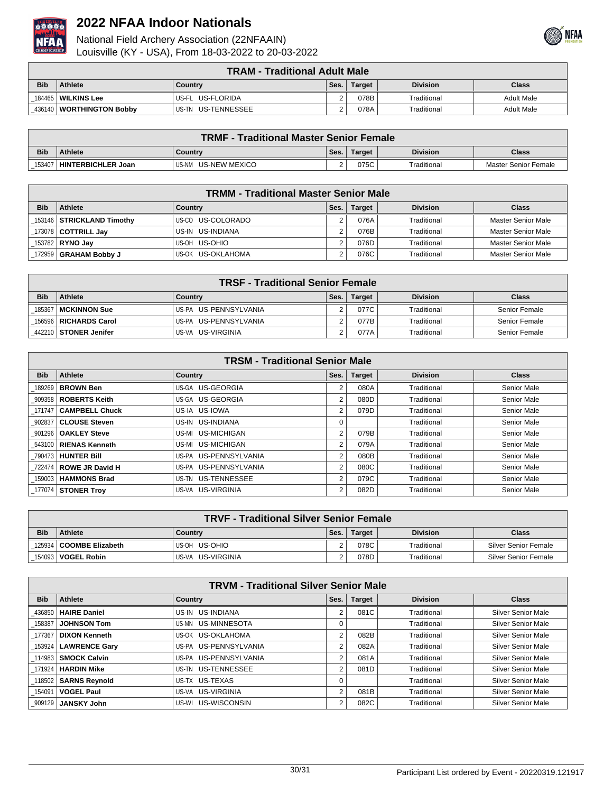



|                    | <b>TRAM - Traditional Adult Male</b> |                    |      |               |                 |                   |  |  |
|--------------------|--------------------------------------|--------------------|------|---------------|-----------------|-------------------|--|--|
| <b>Bib</b>         | Athlete                              | Country            | Ses. | <b>Target</b> | <b>Division</b> | <b>Class</b>      |  |  |
| 184465             | ∣ WILKINS Lee                        | US-FL US-FLORIDA   |      | 078B          | Traditional     | <b>Adult Male</b> |  |  |
| $\_$ 436140 $\mid$ | <b>WORTHINGTON Bobby</b>             | US-TN US-TENNESSEE | -    | 078A          | Traditional     | <b>Adult Male</b> |  |  |

|            | <b>TRMF - Traditional Master Senior Female</b> |                     |      |        |                 |                      |  |
|------------|------------------------------------------------|---------------------|------|--------|-----------------|----------------------|--|
| <b>Bib</b> | <b>Athlete</b>                                 | Country             | Ses. | Target | <b>Division</b> | Class                |  |
|            | 153407   HINTERBICHLER Joan                    | US-NM US-NEW MEXICO |      | 075C   | Traditional     | Master Senior Female |  |

| <b>TRMM - Traditional Master Senior Male</b> |                              |                   |      |               |                 |                    |  |
|----------------------------------------------|------------------------------|-------------------|------|---------------|-----------------|--------------------|--|
| <b>Bib</b>                                   | Athlete                      | Country           | Ses. | <b>Target</b> | <b>Division</b> | <b>Class</b>       |  |
|                                              | _153146 STRICKLAND Timothy   | US-CO US-COLORADO |      | 076A          | Traditional     | Master Senior Male |  |
|                                              | 173078   <b>COTTRILL Jay</b> | US-IN US-INDIANA  |      | 076B          | Traditional     | Master Senior Male |  |
|                                              | 153782   <b>RYNO Jay</b>     | US-OH US-OHIO     |      | 076D          | Traditional     | Master Senior Male |  |
|                                              | 172959   GRAHAM Bobby J      | US-OK US-OKLAHOMA |      | 076C          | Traditional     | Master Senior Male |  |

| <b>TRSF - Traditional Senior Female</b>                                      |                         |                       |  |      |             |               |
|------------------------------------------------------------------------------|-------------------------|-----------------------|--|------|-------------|---------------|
| <b>Bib</b><br><b>Division</b><br>Athlete<br>Ses.<br>Country<br><b>Target</b> |                         |                       |  |      |             | <b>Class</b>  |
|                                                                              | 185367   MCKINNON Sue   | US-PA US-PENNSYLVANIA |  | 077C | Traditional | Senior Female |
|                                                                              | 156596   RICHARDS Carol | US-PA US-PENNSYLVANIA |  | 077B | Traditional | Senior Female |
|                                                                              | 442210   STONER Jenifer | 'US-VA US-VIRGINIA    |  | 077A | Traditional | Senior Female |

| <b>TRSM - Traditional Senior Male</b> |                          |                       |                |               |                 |              |  |
|---------------------------------------|--------------------------|-----------------------|----------------|---------------|-----------------|--------------|--|
| <b>Bib</b>                            | Athlete                  | Country               | Ses.           | <b>Target</b> | <b>Division</b> | <b>Class</b> |  |
| 189269                                | <b>BROWN Ben</b>         | US-GA<br>US-GEORGIA   | 2              | 080A          | Traditional     | Senior Male  |  |
| 909358                                | <b>ROBERTS Keith</b>     | US-GA US-GEORGIA      | 2              | 080D          | Traditional     | Senior Male  |  |
| 171747                                | <b>CAMPBELL Chuck</b>    | US-IA US-IOWA         | 2              | 079D          | Traditional     | Senior Male  |  |
| 902837                                | <b>CLOUSE Steven</b>     | US-IN US-INDIANA      | 0              |               | Traditional     | Senior Male  |  |
| 901296                                | <b>OAKLEY Steve</b>      | US-MI US-MICHIGAN     | 2              | 079B          | Traditional     | Senior Male  |  |
|                                       | 543100   RIENAS Kenneth  | US-MI US-MICHIGAN     | 2              | 079A          | Traditional     | Senior Male  |  |
|                                       | 790473 HUNTER Bill       | US-PA US-PENNSYLVANIA | 2              | 080B          | Traditional     | Senior Male  |  |
|                                       | 722474   ROWE JR David H | US-PA US-PENNSYLVANIA | 2              | 080C          | Traditional     | Senior Male  |  |
|                                       | 159003   HAMMONS Brad    | US-TN US-TENNESSEE    | $\overline{2}$ | 079C          | Traditional     | Senior Male  |  |
|                                       | 177074   STONER Troy     | US-VA US-VIRGINIA     | 2              | 082D          | Traditional     | Senior Male  |  |

| <b>TRVF - Traditional Silver Senior Female</b> |                             |                    |      |               |                 |                      |
|------------------------------------------------|-----------------------------|--------------------|------|---------------|-----------------|----------------------|
| <b>Bib</b>                                     | <b>Athlete</b>              | Country            | Ses. | <b>Target</b> | <b>Division</b> | Class                |
|                                                | 125934   COOMBE Elizabeth   | IUS-OH US-OHIO     |      | 078C          | Traditional     | Silver Senior Female |
|                                                | 154093   <b>VOGEL Robin</b> | IUS-VA US-VIRGINIA |      | 078D          | Traditional     | Silver Senior Female |

| <b>TRVM - Traditional Silver Senior Male</b> |                                                                                       |                       |            |      |             |                           |  |  |
|----------------------------------------------|---------------------------------------------------------------------------------------|-----------------------|------------|------|-------------|---------------------------|--|--|
| <b>Bib</b>                                   | Ses.<br><b>Target</b><br><b>Division</b><br>Athlete<br><b>Country</b><br><b>Class</b> |                       |            |      |             |                           |  |  |
|                                              | 436850   HAIRE Daniel                                                                 | US-IN US-INDIANA      |            | 081C | Traditional | <b>Silver Senior Male</b> |  |  |
| 158387 l                                     | <b>JOHNSON Tom</b>                                                                    | US-MN US-MINNESOTA    |            |      | Traditional | Silver Senior Male        |  |  |
|                                              | 177367   DIXON Kenneth                                                                | US-OK US-OKLAHOMA     | $\sqrt{2}$ | 082B | Traditional | <b>Silver Senior Male</b> |  |  |
|                                              | 153924   LAWRENCE Gary                                                                | US-PA US-PENNSYLVANIA | 2          | 082A | Traditional | Silver Senior Male        |  |  |
|                                              | 114983 SMOCK Calvin                                                                   | US-PA US-PENNSYLVANIA |            | 081A | Traditional | <b>Silver Senior Male</b> |  |  |
|                                              | 171924   HARDIN Mike                                                                  | US-TN US-TENNESSEE    | $\sqrt{2}$ | 081D | Traditional | <b>Silver Senior Male</b> |  |  |
|                                              | 118502   SARNS Reynold                                                                | US-TX US-TEXAS        |            |      | Traditional | <b>Silver Senior Male</b> |  |  |
| 154091                                       | <b>VOGEL Paul</b>                                                                     | US-VA US-VIRGINIA     | c          | 081B | Traditional | <b>Silver Senior Male</b> |  |  |
|                                              | 909129 JANSKY John                                                                    | US-WI US-WISCONSIN    |            | 082C | Traditional | Silver Senior Male        |  |  |